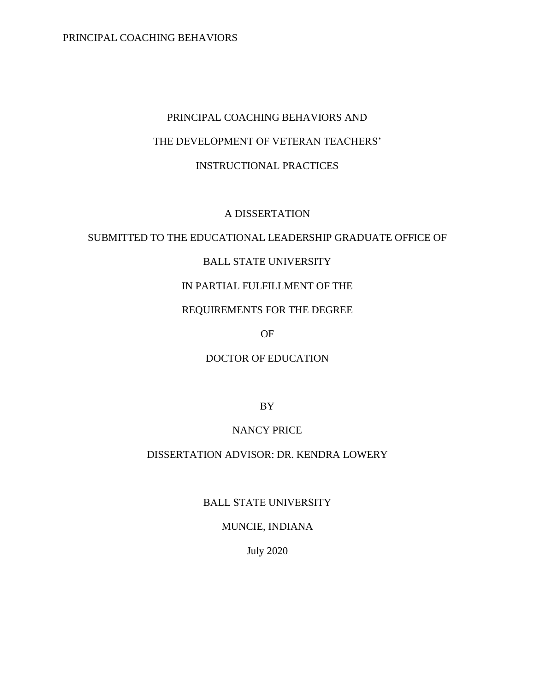# PRINCIPAL COACHING BEHAVIORS AND THE DEVELOPMENT OF VETERAN TEACHERS' INSTRUCTIONAL PRACTICES

# A DISSERTATION

# SUBMITTED TO THE EDUCATIONAL LEADERSHIP GRADUATE OFFICE OF

# BALL STATE UNIVERSITY

# IN PARTIAL FULFILLMENT OF THE

# REQUIREMENTS FOR THE DEGREE

OF

# DOCTOR OF EDUCATION

BY

# NANCY PRICE

# DISSERTATION ADVISOR: DR. KENDRA LOWERY

BALL STATE UNIVERSITY

### MUNCIE, INDIANA

July 2020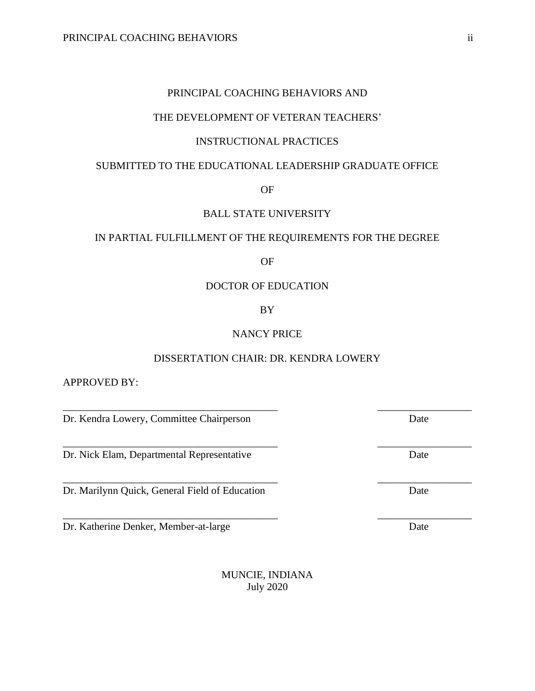### THE DEVELOPMENT OF VETERAN TEACHERS'

# INSTRUCTIONAL PRACTICES

# SUBMITTED TO THE EDUCATIONAL LEADERSHIP GRADUATE OFFICE

OF

# BALL STATE UNIVERSITY

# IN PARTIAL FULFILLMENT OF THE REQUIREMENTS FOR THE DEGREE

OF

#### DOCTOR OF EDUCATION

BY

### NANCY PRICE

#### DISSERTATION CHAIR: DR. KENDRA LOWERY

\_\_\_\_\_\_\_\_\_\_\_\_\_\_\_\_\_\_\_\_\_\_\_\_\_\_\_\_\_\_\_\_\_\_\_\_\_\_\_\_\_ \_\_\_\_\_\_\_\_\_\_\_\_\_\_\_\_\_\_

\_\_\_\_\_\_\_\_\_\_\_\_\_\_\_\_\_\_\_\_\_\_\_\_\_\_\_\_\_\_\_\_\_\_\_\_\_\_\_\_\_ \_\_\_\_\_\_\_\_\_\_\_\_\_\_\_\_\_\_

\_\_\_\_\_\_\_\_\_\_\_\_\_\_\_\_\_\_\_\_\_\_\_\_\_\_\_\_\_\_\_\_\_\_\_\_\_\_\_\_\_ \_\_\_\_\_\_\_\_\_\_\_\_\_\_\_\_\_\_

APPROVED BY:

Dr. Kendra Lowery, Committee Chairperson Date

Dr. Nick Elam, Departmental Representative Date

Dr. Marilynn Quick, General Field of Education Date

Dr. Katherine Denker, Member-at-large Date

MUNCIE, INDIANA July 2020

\_\_\_\_\_\_\_\_\_\_\_\_\_\_\_\_\_\_\_\_\_\_\_\_\_\_\_\_\_\_\_\_\_\_\_\_\_\_\_\_\_ \_\_\_\_\_\_\_\_\_\_\_\_\_\_\_\_\_\_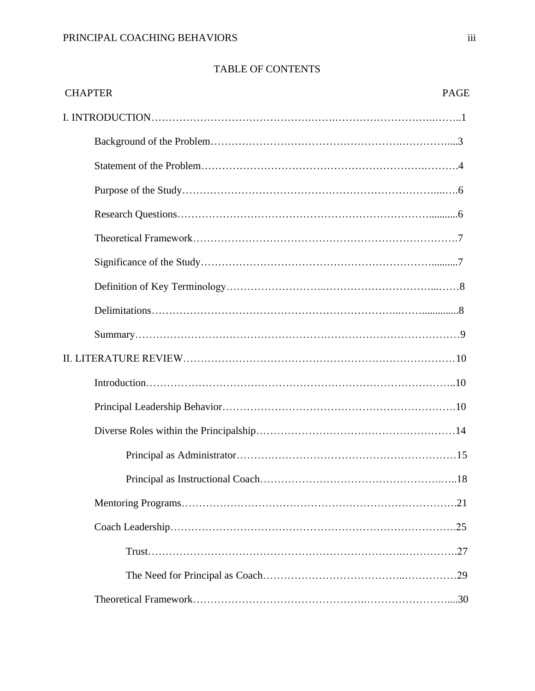# TABLE OF CONTENTS

| <b>CHAPTER</b><br><b>PAGE</b> |
|-------------------------------|
|                               |
|                               |
|                               |
|                               |
|                               |
|                               |
|                               |
|                               |
|                               |
|                               |
|                               |
|                               |
|                               |
|                               |
|                               |
|                               |
|                               |
|                               |
|                               |
|                               |
|                               |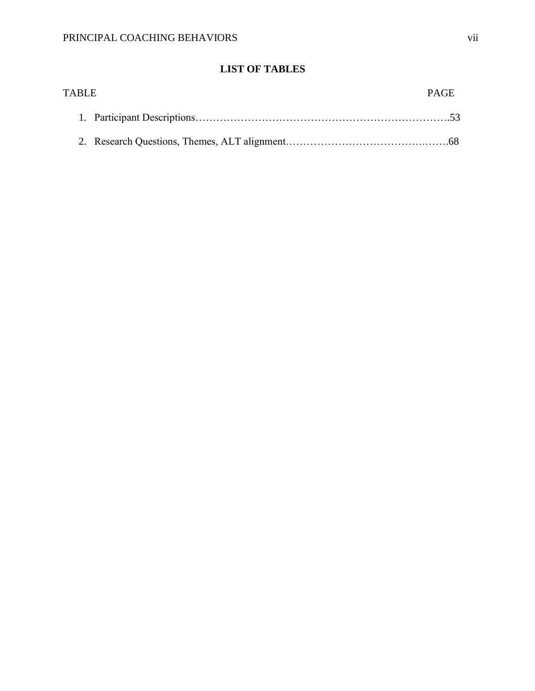# **LIST OF TABLES**

| <b>TABLE</b> | <b>PAGE</b> |
|--------------|-------------|
|              |             |
|              |             |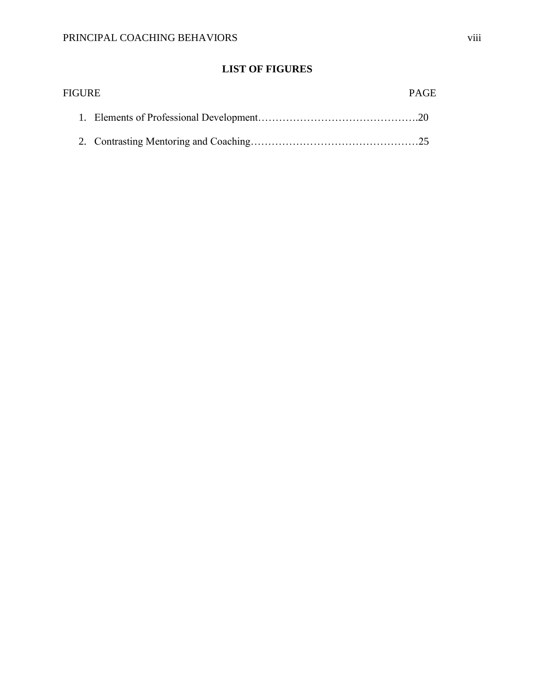# **LIST OF FIGURES**

| <b>FIGURE</b> | <b>PAGE</b> |
|---------------|-------------|
|               |             |
|               |             |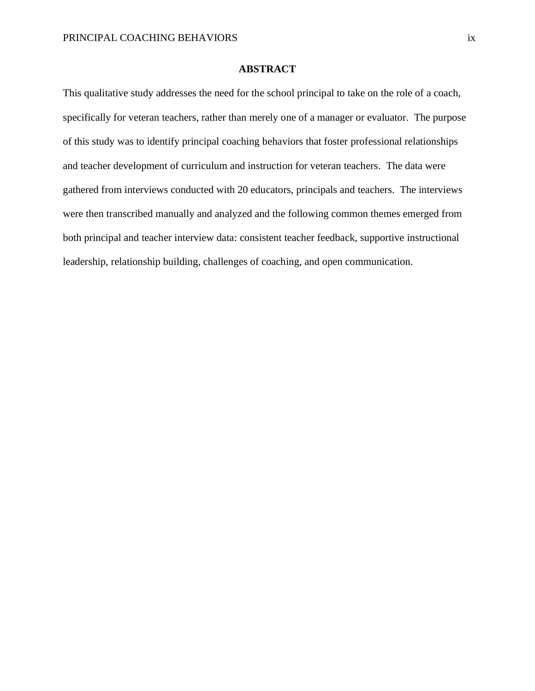### **ABSTRACT**

This qualitative study addresses the need for the school principal to take on the role of a coach, specifically for veteran teachers, rather than merely one of a manager or evaluator. The purpose of this study was to identify principal coaching behaviors that foster professional relationships and teacher development of curriculum and instruction for veteran teachers. The data were gathered from interviews conducted with 20 educators, principals and teachers. The interviews were then transcribed manually and analyzed and the following common themes emerged from both principal and teacher interview data: consistent teacher feedback, supportive instructional leadership, relationship building, challenges of coaching, and open communication.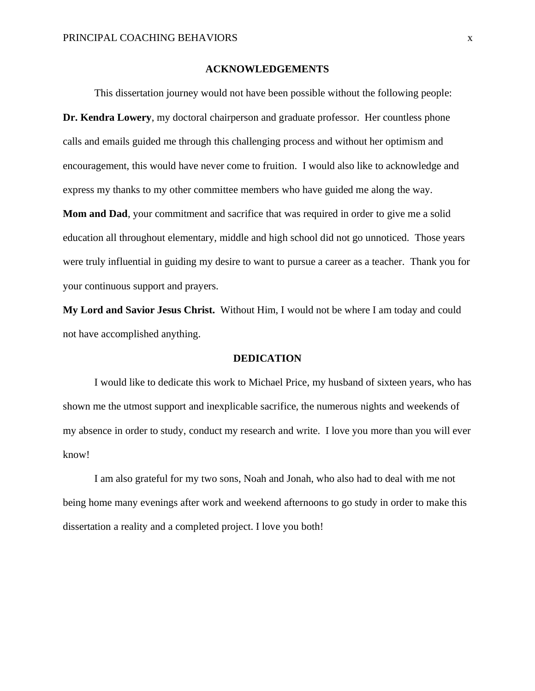#### **ACKNOWLEDGEMENTS**

This dissertation journey would not have been possible without the following people: **Dr. Kendra Lowery**, my doctoral chairperson and graduate professor. Her countless phone calls and emails guided me through this challenging process and without her optimism and encouragement, this would have never come to fruition. I would also like to acknowledge and express my thanks to my other committee members who have guided me along the way.

**Mom and Dad**, your commitment and sacrifice that was required in order to give me a solid education all throughout elementary, middle and high school did not go unnoticed. Those years were truly influential in guiding my desire to want to pursue a career as a teacher. Thank you for your continuous support and prayers.

**My Lord and Savior Jesus Christ.** Without Him, I would not be where I am today and could not have accomplished anything.

#### **DEDICATION**

I would like to dedicate this work to Michael Price, my husband of sixteen years, who has shown me the utmost support and inexplicable sacrifice, the numerous nights and weekends of my absence in order to study, conduct my research and write. I love you more than you will ever know!

I am also grateful for my two sons, Noah and Jonah, who also had to deal with me not being home many evenings after work and weekend afternoons to go study in order to make this dissertation a reality and a completed project. I love you both!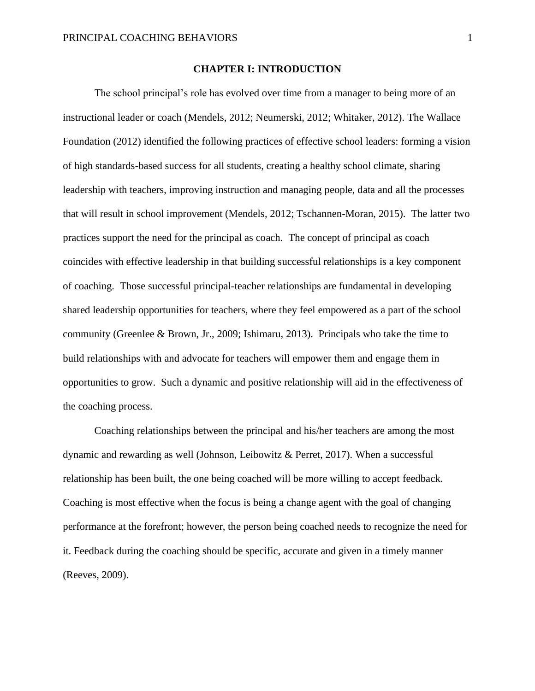#### **CHAPTER I: INTRODUCTION**

The school principal's role has evolved over time from a manager to being more of an instructional leader or coach (Mendels, 2012; Neumerski, 2012; Whitaker, 2012). The Wallace Foundation (2012) identified the following practices of effective school leaders: forming a vision of high standards-based success for all students, creating a healthy school climate, sharing leadership with teachers, improving instruction and managing people, data and all the processes that will result in school improvement (Mendels, 2012; Tschannen-Moran, 2015). The latter two practices support the need for the principal as coach. The concept of principal as coach coincides with effective leadership in that building successful relationships is a key component of coaching. Those successful principal-teacher relationships are fundamental in developing shared leadership opportunities for teachers, where they feel empowered as a part of the school community (Greenlee & Brown, Jr., 2009; Ishimaru, 2013). Principals who take the time to build relationships with and advocate for teachers will empower them and engage them in opportunities to grow. Such a dynamic and positive relationship will aid in the effectiveness of the coaching process.

Coaching relationships between the principal and his/her teachers are among the most dynamic and rewarding as well (Johnson, Leibowitz & Perret, 2017). When a successful relationship has been built, the one being coached will be more willing to accept feedback. Coaching is most effective when the focus is being a change agent with the goal of changing performance at the forefront; however, the person being coached needs to recognize the need for it. Feedback during the coaching should be specific, accurate and given in a timely manner (Reeves, 2009).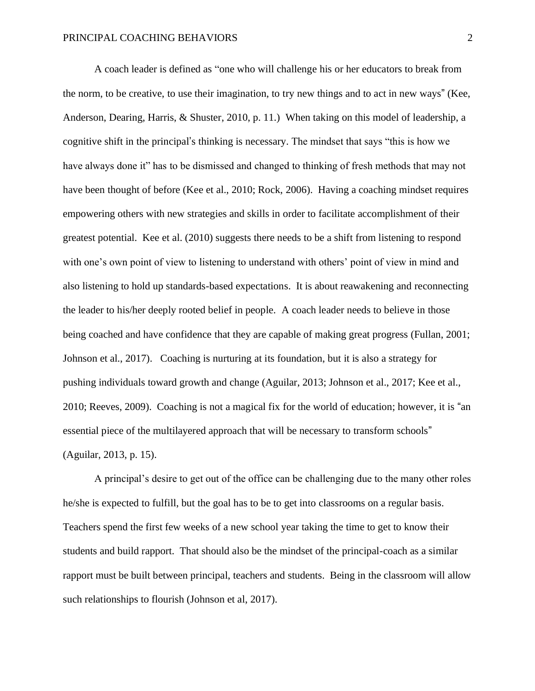A coach leader is defined as "one who will challenge his or her educators to break from the norm, to be creative, to use their imagination, to try new things and to act in new ways" (Kee, Anderson, Dearing, Harris, & Shuster, 2010, p. 11.) When taking on this model of leadership, a cognitive shift in the principal's thinking is necessary. The mindset that says "this is how we have always done it" has to be dismissed and changed to thinking of fresh methods that may not have been thought of before (Kee et al., 2010; Rock, 2006). Having a coaching mindset requires empowering others with new strategies and skills in order to facilitate accomplishment of their greatest potential. Kee et al. (2010) suggests there needs to be a shift from listening to respond with one's own point of view to listening to understand with others' point of view in mind and also listening to hold up standards-based expectations. It is about reawakening and reconnecting the leader to his/her deeply rooted belief in people. A coach leader needs to believe in those being coached and have confidence that they are capable of making great progress (Fullan, 2001; Johnson et al., 2017). Coaching is nurturing at its foundation, but it is also a strategy for pushing individuals toward growth and change (Aguilar, 2013; Johnson et al., 2017; Kee et al., 2010; Reeves, 2009). Coaching is not a magical fix for the world of education; however, it is "an essential piece of the multilayered approach that will be necessary to transform schools" (Aguilar, 2013, p. 15).

A principal's desire to get out of the office can be challenging due to the many other roles he/she is expected to fulfill, but the goal has to be to get into classrooms on a regular basis. Teachers spend the first few weeks of a new school year taking the time to get to know their students and build rapport. That should also be the mindset of the principal-coach as a similar rapport must be built between principal, teachers and students. Being in the classroom will allow such relationships to flourish (Johnson et al, 2017).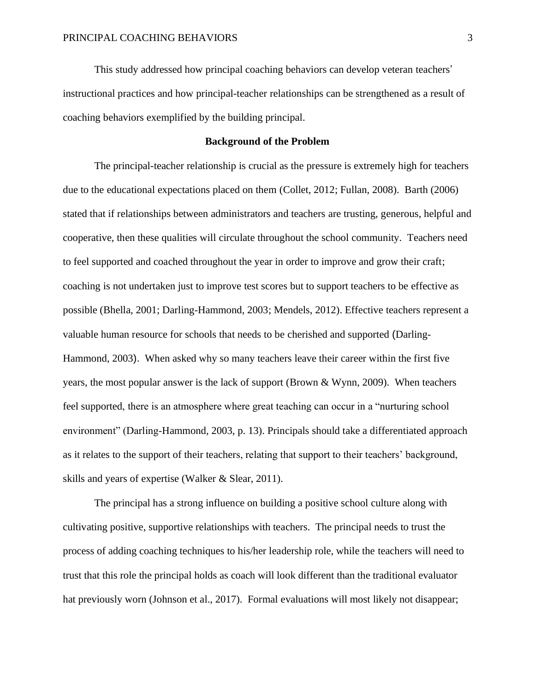This study addressed how principal coaching behaviors can develop veteran teachers' instructional practices and how principal-teacher relationships can be strengthened as a result of coaching behaviors exemplified by the building principal.

#### **Background of the Problem**

The principal-teacher relationship is crucial as the pressure is extremely high for teachers due to the educational expectations placed on them (Collet, 2012; Fullan, 2008). Barth (2006) stated that if relationships between administrators and teachers are trusting, generous, helpful and cooperative, then these qualities will circulate throughout the school community. Teachers need to feel supported and coached throughout the year in order to improve and grow their craft; coaching is not undertaken just to improve test scores but to support teachers to be effective as possible (Bhella, 2001; Darling-Hammond, 2003; Mendels, 2012). Effective teachers represent a valuable human resource for schools that needs to be cherished and supported (Darling-Hammond, 2003). When asked why so many teachers leave their career within the first five years, the most popular answer is the lack of support (Brown & Wynn, 2009). When teachers feel supported, there is an atmosphere where great teaching can occur in a "nurturing school environment" (Darling-Hammond, 2003, p. 13). Principals should take a differentiated approach as it relates to the support of their teachers, relating that support to their teachers' background, skills and years of expertise (Walker & Slear, 2011).

The principal has a strong influence on building a positive school culture along with cultivating positive, supportive relationships with teachers. The principal needs to trust the process of adding coaching techniques to his/her leadership role, while the teachers will need to trust that this role the principal holds as coach will look different than the traditional evaluator hat previously worn (Johnson et al., 2017). Formal evaluations will most likely not disappear;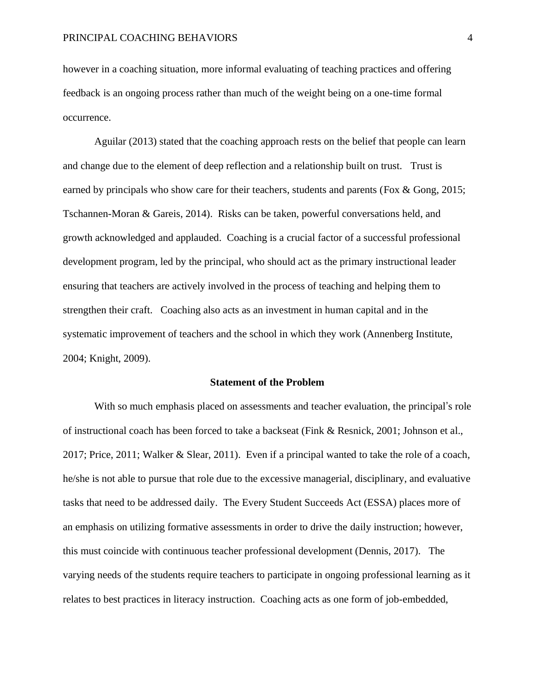however in a coaching situation, more informal evaluating of teaching practices and offering feedback is an ongoing process rather than much of the weight being on a one-time formal occurrence.

Aguilar (2013) stated that the coaching approach rests on the belief that people can learn and change due to the element of deep reflection and a relationship built on trust. Trust is earned by principals who show care for their teachers, students and parents (Fox & Gong, 2015; Tschannen-Moran & Gareis, 2014). Risks can be taken, powerful conversations held, and growth acknowledged and applauded. Coaching is a crucial factor of a successful professional development program, led by the principal, who should act as the primary instructional leader ensuring that teachers are actively involved in the process of teaching and helping them to strengthen their craft. Coaching also acts as an investment in human capital and in the systematic improvement of teachers and the school in which they work (Annenberg Institute, 2004; Knight, 2009).

#### **Statement of the Problem**

With so much emphasis placed on assessments and teacher evaluation, the principal's role of instructional coach has been forced to take a backseat (Fink & Resnick, 2001; Johnson et al., 2017; Price, 2011; Walker & Slear, 2011). Even if a principal wanted to take the role of a coach, he/she is not able to pursue that role due to the excessive managerial, disciplinary, and evaluative tasks that need to be addressed daily. The Every Student Succeeds Act (ESSA) places more of an emphasis on utilizing formative assessments in order to drive the daily instruction; however, this must coincide with continuous teacher professional development (Dennis, 2017). The varying needs of the students require teachers to participate in ongoing professional learning as it relates to best practices in literacy instruction. Coaching acts as one form of job-embedded,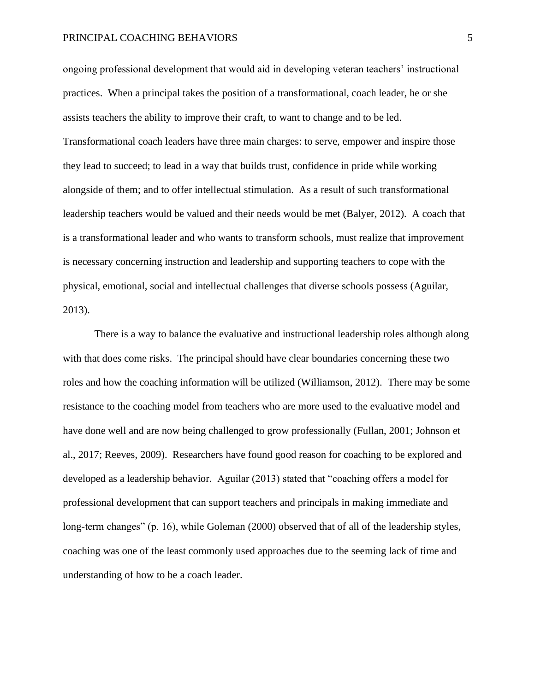ongoing professional development that would aid in developing veteran teachers' instructional practices. When a principal takes the position of a transformational, coach leader, he or she assists teachers the ability to improve their craft, to want to change and to be led. Transformational coach leaders have three main charges: to serve, empower and inspire those they lead to succeed; to lead in a way that builds trust, confidence in pride while working alongside of them; and to offer intellectual stimulation. As a result of such transformational leadership teachers would be valued and their needs would be met (Balyer, 2012). A coach that is a transformational leader and who wants to transform schools, must realize that improvement is necessary concerning instruction and leadership and supporting teachers to cope with the physical, emotional, social and intellectual challenges that diverse schools possess (Aguilar, 2013).

There is a way to balance the evaluative and instructional leadership roles although along with that does come risks. The principal should have clear boundaries concerning these two roles and how the coaching information will be utilized (Williamson, 2012). There may be some resistance to the coaching model from teachers who are more used to the evaluative model and have done well and are now being challenged to grow professionally (Fullan, 2001; Johnson et al., 2017; Reeves, 2009). Researchers have found good reason for coaching to be explored and developed as a leadership behavior. Aguilar (2013) stated that "coaching offers a model for professional development that can support teachers and principals in making immediate and long-term changes" (p. 16), while Goleman (2000) observed that of all of the leadership styles, coaching was one of the least commonly used approaches due to the seeming lack of time and understanding of how to be a coach leader.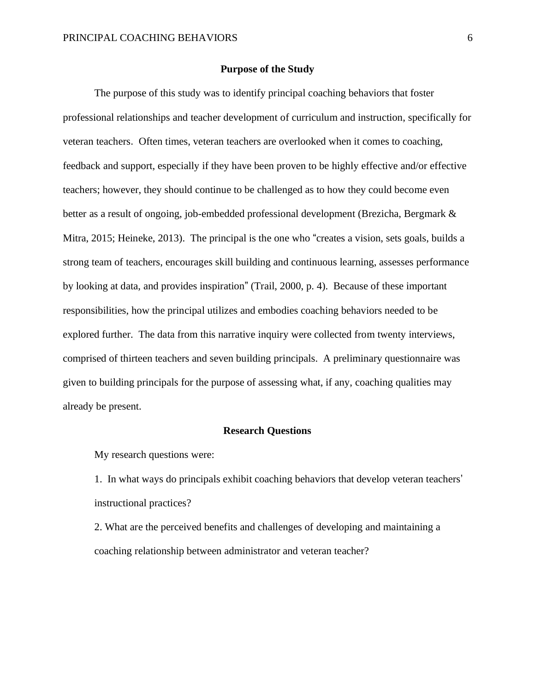#### **Purpose of the Study**

The purpose of this study was to identify principal coaching behaviors that foster professional relationships and teacher development of curriculum and instruction, specifically for veteran teachers. Often times, veteran teachers are overlooked when it comes to coaching, feedback and support, especially if they have been proven to be highly effective and/or effective teachers; however, they should continue to be challenged as to how they could become even better as a result of ongoing, job-embedded professional development (Brezicha, Bergmark & Mitra, 2015; Heineke, 2013). The principal is the one who "creates a vision, sets goals, builds a strong team of teachers, encourages skill building and continuous learning, assesses performance by looking at data, and provides inspiration" (Trail, 2000, p. 4). Because of these important responsibilities, how the principal utilizes and embodies coaching behaviors needed to be explored further. The data from this narrative inquiry were collected from twenty interviews, comprised of thirteen teachers and seven building principals. A preliminary questionnaire was given to building principals for the purpose of assessing what, if any, coaching qualities may already be present.

#### **Research Questions**

My research questions were:

1. In what ways do principals exhibit coaching behaviors that develop veteran teachers' instructional practices?

2. What are the perceived benefits and challenges of developing and maintaining a coaching relationship between administrator and veteran teacher?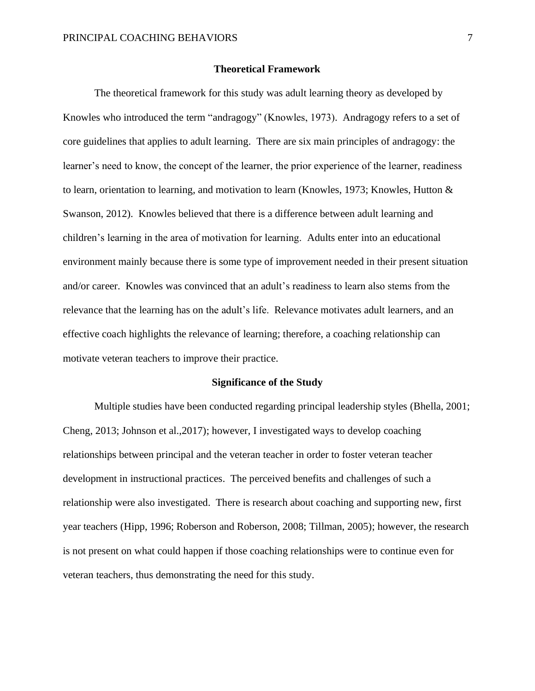#### **Theoretical Framework**

The theoretical framework for this study was adult learning theory as developed by Knowles who introduced the term "andragogy" (Knowles, 1973). Andragogy refers to a set of core guidelines that applies to adult learning. There are six main principles of andragogy: the learner's need to know, the concept of the learner, the prior experience of the learner, readiness to learn, orientation to learning, and motivation to learn (Knowles, 1973; Knowles, Hutton & Swanson, 2012). Knowles believed that there is a difference between adult learning and children's learning in the area of motivation for learning. Adults enter into an educational environment mainly because there is some type of improvement needed in their present situation and/or career. Knowles was convinced that an adult's readiness to learn also stems from the relevance that the learning has on the adult's life. Relevance motivates adult learners, and an effective coach highlights the relevance of learning; therefore, a coaching relationship can motivate veteran teachers to improve their practice.

#### **Significance of the Study**

Multiple studies have been conducted regarding principal leadership styles (Bhella, 2001; Cheng, 2013; Johnson et al.,2017); however, I investigated ways to develop coaching relationships between principal and the veteran teacher in order to foster veteran teacher development in instructional practices. The perceived benefits and challenges of such a relationship were also investigated. There is research about coaching and supporting new, first year teachers (Hipp, 1996; Roberson and Roberson, 2008; Tillman, 2005); however, the research is not present on what could happen if those coaching relationships were to continue even for veteran teachers, thus demonstrating the need for this study.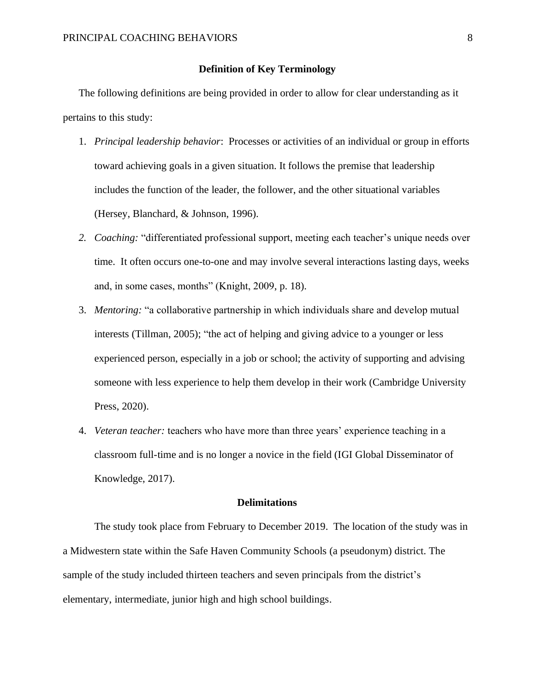#### **Definition of Key Terminology**

The following definitions are being provided in order to allow for clear understanding as it pertains to this study:

- 1. *Principal leadership behavior*: Processes or activities of an individual or group in efforts toward achieving goals in a given situation. It follows the premise that leadership includes the function of the leader, the follower, and the other situational variables (Hersey, Blanchard, & Johnson, 1996).
- *2. Coaching:* "differentiated professional support, meeting each teacher's unique needs over time. It often occurs one-to-one and may involve several interactions lasting days, weeks and, in some cases, months" (Knight, 2009, p. 18).
- 3. *Mentoring:* "a collaborative partnership in which individuals share and develop mutual interests (Tillman, 2005); "the act of helping and giving advice to a younger or less experienced person, especially in a job or school; the activity of supporting and advising someone with less experience to help them develop in their work (Cambridge University Press, 2020).
- 4. *Veteran teacher:* teachers who have more than three years' experience teaching in a classroom full-time and is no longer a novice in the field (IGI Global Disseminator of Knowledge, 2017).

#### **Delimitations**

The study took place from February to December 2019. The location of the study was in a Midwestern state within the Safe Haven Community Schools (a pseudonym) district. The sample of the study included thirteen teachers and seven principals from the district's elementary, intermediate, junior high and high school buildings.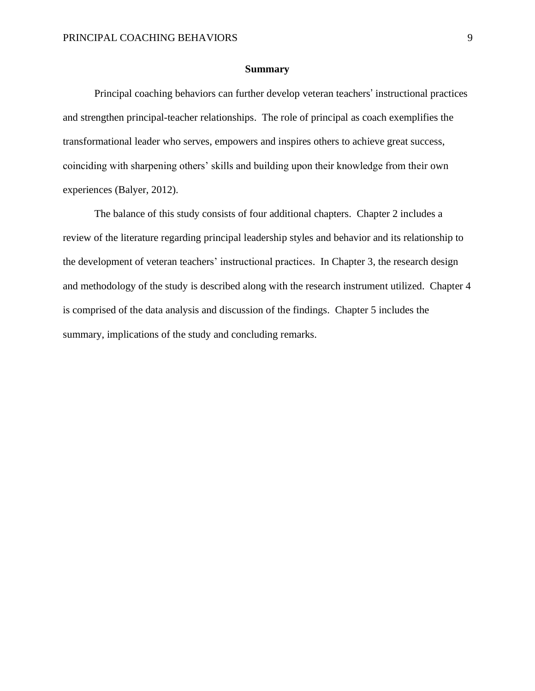#### **Summary**

Principal coaching behaviors can further develop veteran teachers' instructional practices and strengthen principal-teacher relationships. The role of principal as coach exemplifies the transformational leader who serves, empowers and inspires others to achieve great success, coinciding with sharpening others' skills and building upon their knowledge from their own experiences (Balyer, 2012).

The balance of this study consists of four additional chapters. Chapter 2 includes a review of the literature regarding principal leadership styles and behavior and its relationship to the development of veteran teachers' instructional practices. In Chapter 3, the research design and methodology of the study is described along with the research instrument utilized. Chapter 4 is comprised of the data analysis and discussion of the findings. Chapter 5 includes the summary, implications of the study and concluding remarks.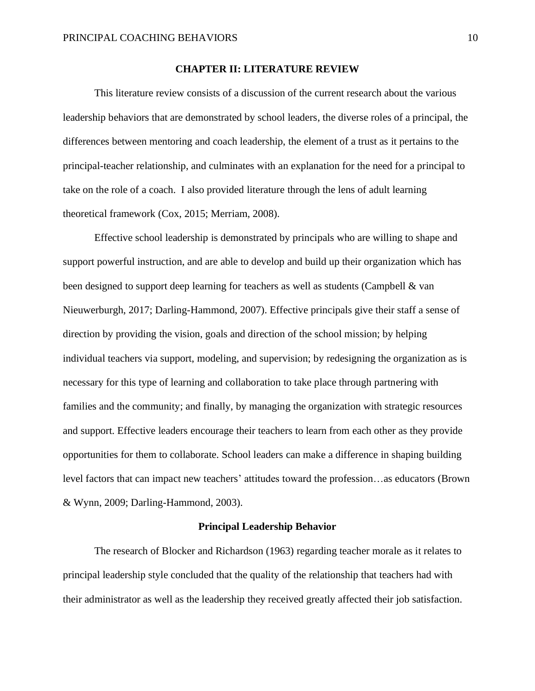#### **CHAPTER II: LITERATURE REVIEW**

This literature review consists of a discussion of the current research about the various leadership behaviors that are demonstrated by school leaders, the diverse roles of a principal, the differences between mentoring and coach leadership, the element of a trust as it pertains to the principal-teacher relationship, and culminates with an explanation for the need for a principal to take on the role of a coach. I also provided literature through the lens of adult learning theoretical framework (Cox, 2015; Merriam, 2008).

Effective school leadership is demonstrated by principals who are willing to shape and support powerful instruction, and are able to develop and build up their organization which has been designed to support deep learning for teachers as well as students (Campbell & van Nieuwerburgh, 2017; Darling-Hammond, 2007). Effective principals give their staff a sense of direction by providing the vision, goals and direction of the school mission; by helping individual teachers via support, modeling, and supervision; by redesigning the organization as is necessary for this type of learning and collaboration to take place through partnering with families and the community; and finally, by managing the organization with strategic resources and support. Effective leaders encourage their teachers to learn from each other as they provide opportunities for them to collaborate. School leaders can make a difference in shaping building level factors that can impact new teachers' attitudes toward the profession…as educators (Brown & Wynn, 2009; Darling-Hammond, 2003).

#### **Principal Leadership Behavior**

The research of Blocker and Richardson (1963) regarding teacher morale as it relates to principal leadership style concluded that the quality of the relationship that teachers had with their administrator as well as the leadership they received greatly affected their job satisfaction.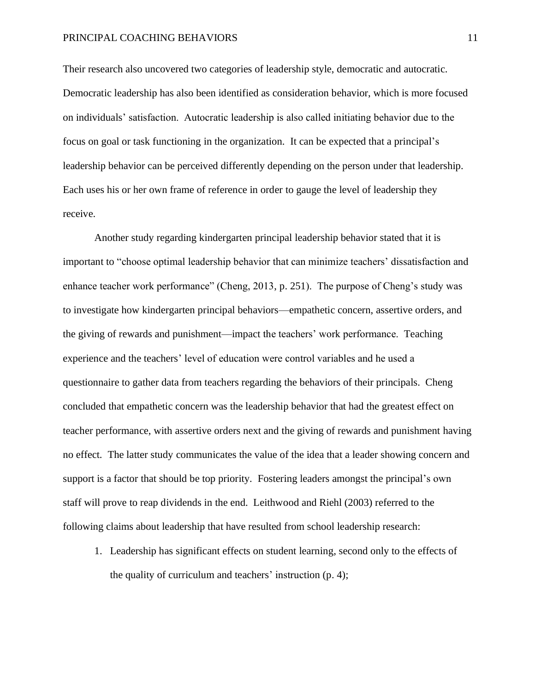Their research also uncovered two categories of leadership style, democratic and autocratic. Democratic leadership has also been identified as consideration behavior, which is more focused on individuals' satisfaction. Autocratic leadership is also called initiating behavior due to the focus on goal or task functioning in the organization. It can be expected that a principal's leadership behavior can be perceived differently depending on the person under that leadership. Each uses his or her own frame of reference in order to gauge the level of leadership they receive.

Another study regarding kindergarten principal leadership behavior stated that it is important to "choose optimal leadership behavior that can minimize teachers' dissatisfaction and enhance teacher work performance" (Cheng, 2013, p. 251). The purpose of Cheng's study was to investigate how kindergarten principal behaviors—empathetic concern, assertive orders, and the giving of rewards and punishment—impact the teachers' work performance. Teaching experience and the teachers' level of education were control variables and he used a questionnaire to gather data from teachers regarding the behaviors of their principals. Cheng concluded that empathetic concern was the leadership behavior that had the greatest effect on teacher performance, with assertive orders next and the giving of rewards and punishment having no effect. The latter study communicates the value of the idea that a leader showing concern and support is a factor that should be top priority. Fostering leaders amongst the principal's own staff will prove to reap dividends in the end. Leithwood and Riehl (2003) referred to the following claims about leadership that have resulted from school leadership research:

1. Leadership has significant effects on student learning, second only to the effects of the quality of curriculum and teachers' instruction (p. 4);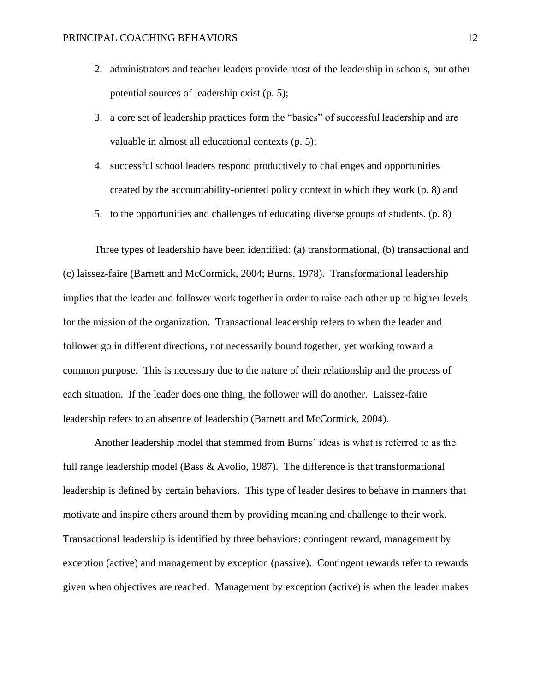- 2. administrators and teacher leaders provide most of the leadership in schools, but other potential sources of leadership exist (p. 5);
- 3. a core set of leadership practices form the "basics" of successful leadership and are valuable in almost all educational contexts (p. 5);
- 4. successful school leaders respond productively to challenges and opportunities created by the accountability-oriented policy context in which they work (p. 8) and
- 5. to the opportunities and challenges of educating diverse groups of students. (p. 8)

Three types of leadership have been identified: (a) transformational, (b) transactional and (c) laissez-faire (Barnett and McCormick, 2004; Burns, 1978). Transformational leadership implies that the leader and follower work together in order to raise each other up to higher levels for the mission of the organization. Transactional leadership refers to when the leader and follower go in different directions, not necessarily bound together, yet working toward a common purpose. This is necessary due to the nature of their relationship and the process of each situation. If the leader does one thing, the follower will do another. Laissez-faire leadership refers to an absence of leadership (Barnett and McCormick, 2004).

Another leadership model that stemmed from Burns' ideas is what is referred to as the full range leadership model (Bass & Avolio, 1987). The difference is that transformational leadership is defined by certain behaviors. This type of leader desires to behave in manners that motivate and inspire others around them by providing meaning and challenge to their work. Transactional leadership is identified by three behaviors: contingent reward, management by exception (active) and management by exception (passive). Contingent rewards refer to rewards given when objectives are reached. Management by exception (active) is when the leader makes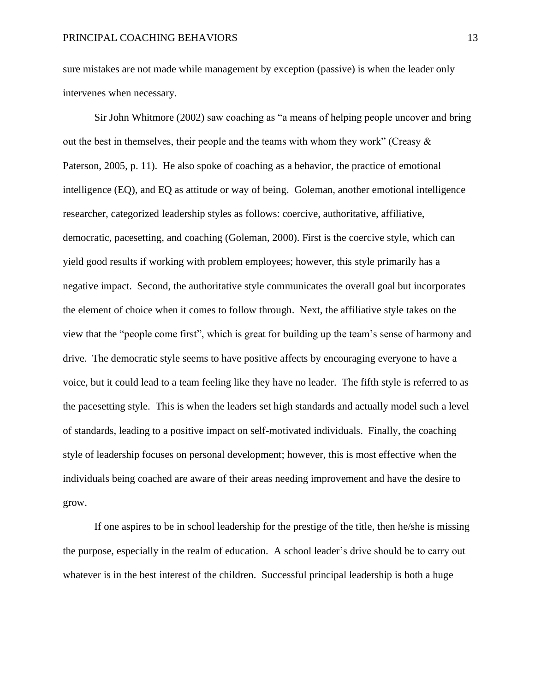sure mistakes are not made while management by exception (passive) is when the leader only intervenes when necessary.

Sir John Whitmore (2002) saw coaching as "a means of helping people uncover and bring out the best in themselves, their people and the teams with whom they work" (Creasy  $\&$ Paterson, 2005, p. 11). He also spoke of coaching as a behavior, the practice of emotional intelligence (EQ), and EQ as attitude or way of being. Goleman, another emotional intelligence researcher, categorized leadership styles as follows: coercive, authoritative, affiliative, democratic, pacesetting, and coaching (Goleman, 2000). First is the coercive style, which can yield good results if working with problem employees; however, this style primarily has a negative impact. Second, the authoritative style communicates the overall goal but incorporates the element of choice when it comes to follow through. Next, the affiliative style takes on the view that the "people come first", which is great for building up the team's sense of harmony and drive. The democratic style seems to have positive affects by encouraging everyone to have a voice, but it could lead to a team feeling like they have no leader. The fifth style is referred to as the pacesetting style. This is when the leaders set high standards and actually model such a level of standards, leading to a positive impact on self-motivated individuals. Finally, the coaching style of leadership focuses on personal development; however, this is most effective when the individuals being coached are aware of their areas needing improvement and have the desire to grow.

If one aspires to be in school leadership for the prestige of the title, then he/she is missing the purpose, especially in the realm of education. A school leader's drive should be to carry out whatever is in the best interest of the children. Successful principal leadership is both a huge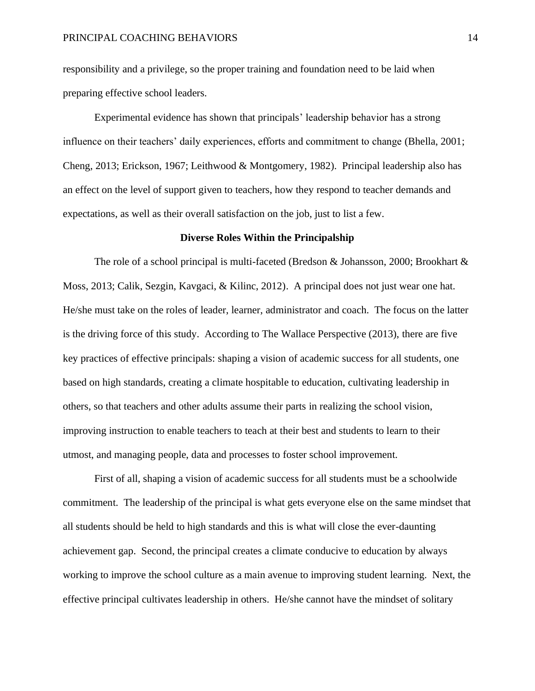responsibility and a privilege, so the proper training and foundation need to be laid when preparing effective school leaders.

Experimental evidence has shown that principals' leadership behavior has a strong influence on their teachers' daily experiences, efforts and commitment to change (Bhella, 2001; Cheng, 2013; Erickson, 1967; Leithwood & Montgomery, 1982). Principal leadership also has an effect on the level of support given to teachers, how they respond to teacher demands and expectations, as well as their overall satisfaction on the job, just to list a few.

#### **Diverse Roles Within the Principalship**

The role of a school principal is multi-faceted (Bredson & Johansson, 2000; Brookhart & Moss, 2013; Calik, Sezgin, Kavgaci, & Kilinc, 2012). A principal does not just wear one hat. He/she must take on the roles of leader, learner, administrator and coach. The focus on the latter is the driving force of this study. According to The Wallace Perspective (2013), there are five key practices of effective principals: shaping a vision of academic success for all students, one based on high standards, creating a climate hospitable to education, cultivating leadership in others, so that teachers and other adults assume their parts in realizing the school vision, improving instruction to enable teachers to teach at their best and students to learn to their utmost, and managing people, data and processes to foster school improvement.

First of all, shaping a vision of academic success for all students must be a schoolwide commitment. The leadership of the principal is what gets everyone else on the same mindset that all students should be held to high standards and this is what will close the ever-daunting achievement gap. Second, the principal creates a climate conducive to education by always working to improve the school culture as a main avenue to improving student learning. Next, the effective principal cultivates leadership in others. He/she cannot have the mindset of solitary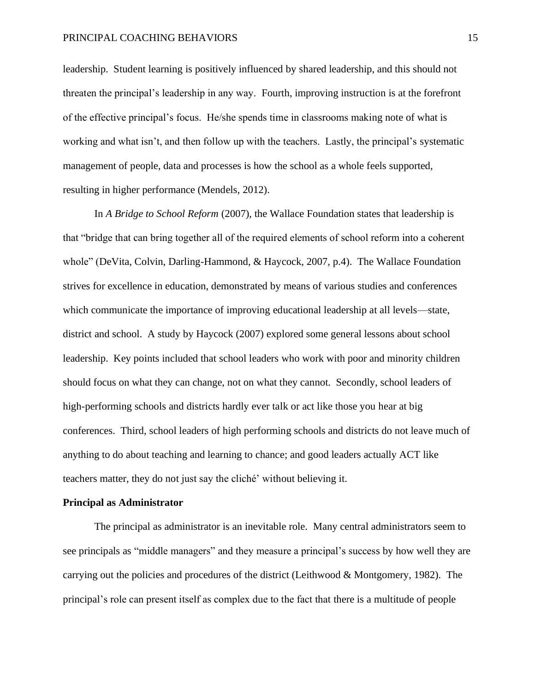leadership. Student learning is positively influenced by shared leadership, and this should not threaten the principal's leadership in any way. Fourth, improving instruction is at the forefront of the effective principal's focus. He/she spends time in classrooms making note of what is working and what isn't, and then follow up with the teachers. Lastly, the principal's systematic management of people, data and processes is how the school as a whole feels supported, resulting in higher performance (Mendels, 2012).

In *A Bridge to School Reform* (2007), the Wallace Foundation states that leadership is that "bridge that can bring together all of the required elements of school reform into a coherent whole" (DeVita, Colvin, Darling-Hammond, & Haycock, 2007, p.4). The Wallace Foundation strives for excellence in education, demonstrated by means of various studies and conferences which communicate the importance of improving educational leadership at all levels—state, district and school. A study by Haycock (2007) explored some general lessons about school leadership. Key points included that school leaders who work with poor and minority children should focus on what they can change, not on what they cannot. Secondly, school leaders of high-performing schools and districts hardly ever talk or act like those you hear at big conferences. Third, school leaders of high performing schools and districts do not leave much of anything to do about teaching and learning to chance; and good leaders actually ACT like teachers matter, they do not just say the cliché' without believing it.

#### **Principal as Administrator**

The principal as administrator is an inevitable role. Many central administrators seem to see principals as "middle managers" and they measure a principal's success by how well they are carrying out the policies and procedures of the district (Leithwood & Montgomery, 1982). The principal's role can present itself as complex due to the fact that there is a multitude of people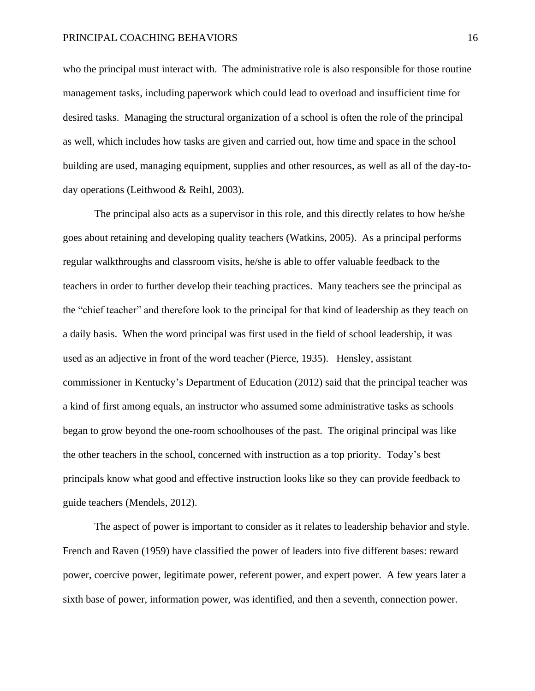who the principal must interact with. The administrative role is also responsible for those routine management tasks, including paperwork which could lead to overload and insufficient time for desired tasks. Managing the structural organization of a school is often the role of the principal as well, which includes how tasks are given and carried out, how time and space in the school building are used, managing equipment, supplies and other resources, as well as all of the day-today operations (Leithwood & Reihl, 2003).

The principal also acts as a supervisor in this role, and this directly relates to how he/she goes about retaining and developing quality teachers (Watkins, 2005). As a principal performs regular walkthroughs and classroom visits, he/she is able to offer valuable feedback to the teachers in order to further develop their teaching practices. Many teachers see the principal as the "chief teacher" and therefore look to the principal for that kind of leadership as they teach on a daily basis. When the word principal was first used in the field of school leadership, it was used as an adjective in front of the word teacher (Pierce, 1935). Hensley, assistant commissioner in Kentucky's Department of Education (2012) said that the principal teacher was a kind of first among equals, an instructor who assumed some administrative tasks as schools began to grow beyond the one-room schoolhouses of the past. The original principal was like the other teachers in the school, concerned with instruction as a top priority. Today's best principals know what good and effective instruction looks like so they can provide feedback to guide teachers (Mendels, 2012).

The aspect of power is important to consider as it relates to leadership behavior and style. French and Raven (1959) have classified the power of leaders into five different bases: reward power, coercive power, legitimate power, referent power, and expert power. A few years later a sixth base of power, information power, was identified, and then a seventh, connection power.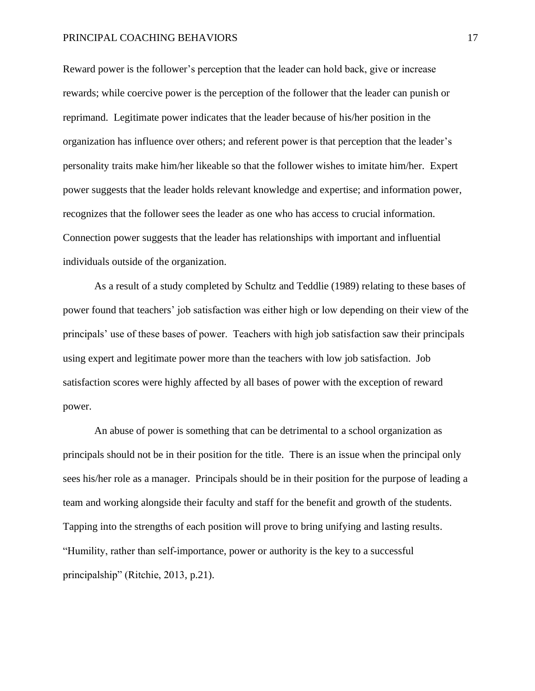Reward power is the follower's perception that the leader can hold back, give or increase rewards; while coercive power is the perception of the follower that the leader can punish or reprimand. Legitimate power indicates that the leader because of his/her position in the organization has influence over others; and referent power is that perception that the leader's personality traits make him/her likeable so that the follower wishes to imitate him/her. Expert power suggests that the leader holds relevant knowledge and expertise; and information power, recognizes that the follower sees the leader as one who has access to crucial information. Connection power suggests that the leader has relationships with important and influential individuals outside of the organization.

As a result of a study completed by Schultz and Teddlie (1989) relating to these bases of power found that teachers' job satisfaction was either high or low depending on their view of the principals' use of these bases of power. Teachers with high job satisfaction saw their principals using expert and legitimate power more than the teachers with low job satisfaction. Job satisfaction scores were highly affected by all bases of power with the exception of reward power.

An abuse of power is something that can be detrimental to a school organization as principals should not be in their position for the title. There is an issue when the principal only sees his/her role as a manager. Principals should be in their position for the purpose of leading a team and working alongside their faculty and staff for the benefit and growth of the students. Tapping into the strengths of each position will prove to bring unifying and lasting results. "Humility, rather than self-importance, power or authority is the key to a successful principalship" (Ritchie, 2013, p.21).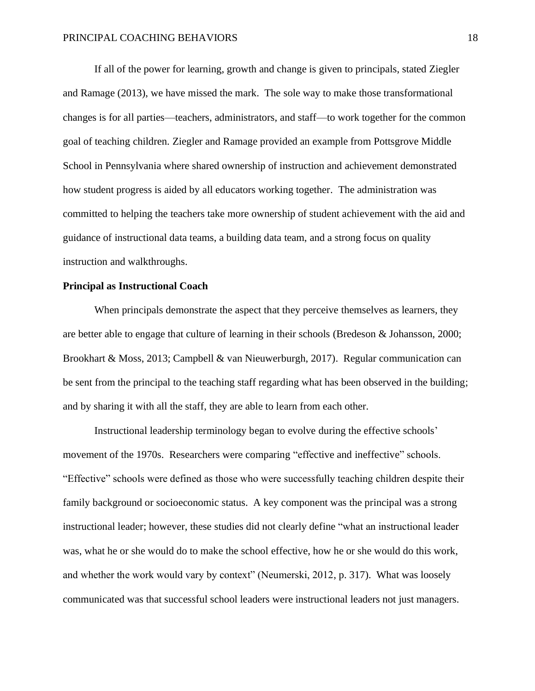If all of the power for learning, growth and change is given to principals, stated Ziegler and Ramage (2013), we have missed the mark. The sole way to make those transformational changes is for all parties—teachers, administrators, and staff—to work together for the common goal of teaching children. Ziegler and Ramage provided an example from Pottsgrove Middle School in Pennsylvania where shared ownership of instruction and achievement demonstrated how student progress is aided by all educators working together. The administration was committed to helping the teachers take more ownership of student achievement with the aid and guidance of instructional data teams, a building data team, and a strong focus on quality instruction and walkthroughs.

#### **Principal as Instructional Coach**

When principals demonstrate the aspect that they perceive themselves as learners, they are better able to engage that culture of learning in their schools (Bredeson & Johansson, 2000; Brookhart & Moss, 2013; Campbell & van Nieuwerburgh, 2017). Regular communication can be sent from the principal to the teaching staff regarding what has been observed in the building; and by sharing it with all the staff, they are able to learn from each other.

Instructional leadership terminology began to evolve during the effective schools' movement of the 1970s. Researchers were comparing "effective and ineffective" schools. "Effective" schools were defined as those who were successfully teaching children despite their family background or socioeconomic status. A key component was the principal was a strong instructional leader; however, these studies did not clearly define "what an instructional leader was, what he or she would do to make the school effective, how he or she would do this work, and whether the work would vary by context" (Neumerski, 2012, p. 317). What was loosely communicated was that successful school leaders were instructional leaders not just managers.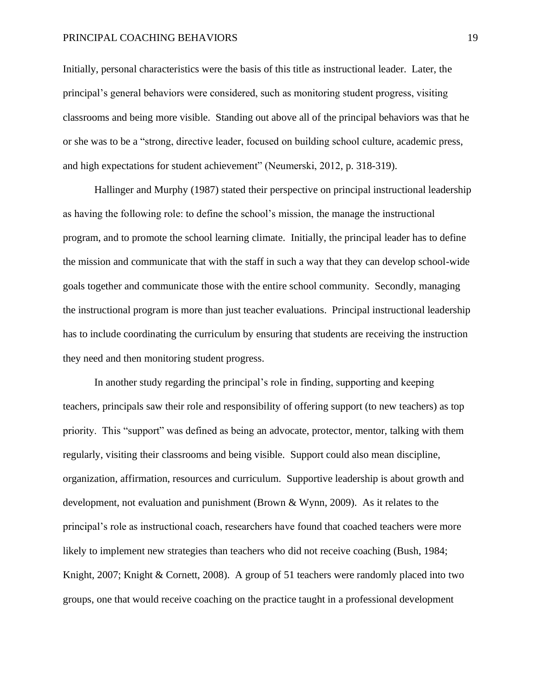Initially, personal characteristics were the basis of this title as instructional leader. Later, the principal's general behaviors were considered, such as monitoring student progress, visiting classrooms and being more visible. Standing out above all of the principal behaviors was that he or she was to be a "strong, directive leader, focused on building school culture, academic press, and high expectations for student achievement" (Neumerski, 2012, p. 318-319).

Hallinger and Murphy (1987) stated their perspective on principal instructional leadership as having the following role: to define the school's mission, the manage the instructional program, and to promote the school learning climate. Initially, the principal leader has to define the mission and communicate that with the staff in such a way that they can develop school-wide goals together and communicate those with the entire school community. Secondly, managing the instructional program is more than just teacher evaluations. Principal instructional leadership has to include coordinating the curriculum by ensuring that students are receiving the instruction they need and then monitoring student progress.

In another study regarding the principal's role in finding, supporting and keeping teachers, principals saw their role and responsibility of offering support (to new teachers) as top priority. This "support" was defined as being an advocate, protector, mentor, talking with them regularly, visiting their classrooms and being visible. Support could also mean discipline, organization, affirmation, resources and curriculum. Supportive leadership is about growth and development, not evaluation and punishment (Brown & Wynn, 2009). As it relates to the principal's role as instructional coach, researchers have found that coached teachers were more likely to implement new strategies than teachers who did not receive coaching (Bush, 1984; Knight, 2007; Knight & Cornett, 2008). A group of 51 teachers were randomly placed into two groups, one that would receive coaching on the practice taught in a professional development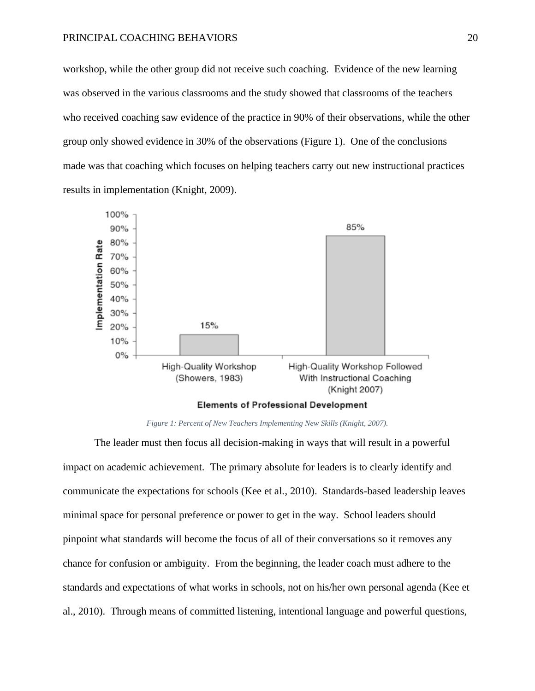workshop, while the other group did not receive such coaching. Evidence of the new learning was observed in the various classrooms and the study showed that classrooms of the teachers who received coaching saw evidence of the practice in 90% of their observations, while the other group only showed evidence in 30% of the observations (Figure 1). One of the conclusions made was that coaching which focuses on helping teachers carry out new instructional practices results in implementation (Knight, 2009).



*Figure 1: Percent of New Teachers Implementing New Skills (Knight, 2007).*

The leader must then focus all decision-making in ways that will result in a powerful impact on academic achievement. The primary absolute for leaders is to clearly identify and communicate the expectations for schools (Kee et al., 2010). Standards-based leadership leaves minimal space for personal preference or power to get in the way. School leaders should pinpoint what standards will become the focus of all of their conversations so it removes any chance for confusion or ambiguity. From the beginning, the leader coach must adhere to the standards and expectations of what works in schools, not on his/her own personal agenda (Kee et al., 2010). Through means of committed listening, intentional language and powerful questions,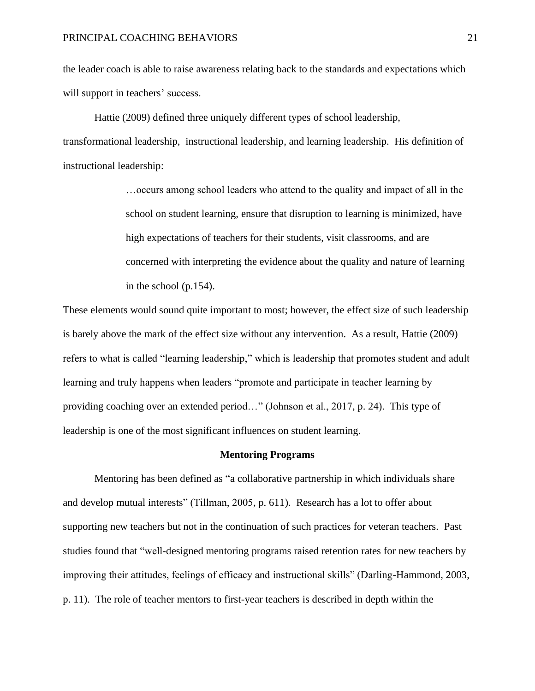the leader coach is able to raise awareness relating back to the standards and expectations which will support in teachers' success.

Hattie (2009) defined three uniquely different types of school leadership, transformational leadership, instructional leadership, and learning leadership. His definition of instructional leadership:

> …occurs among school leaders who attend to the quality and impact of all in the school on student learning, ensure that disruption to learning is minimized, have high expectations of teachers for their students, visit classrooms, and are concerned with interpreting the evidence about the quality and nature of learning in the school (p.154).

These elements would sound quite important to most; however, the effect size of such leadership is barely above the mark of the effect size without any intervention. As a result, Hattie (2009) refers to what is called "learning leadership," which is leadership that promotes student and adult learning and truly happens when leaders "promote and participate in teacher learning by providing coaching over an extended period…" (Johnson et al., 2017, p. 24). This type of leadership is one of the most significant influences on student learning.

#### **Mentoring Programs**

Mentoring has been defined as "a collaborative partnership in which individuals share and develop mutual interests" (Tillman, 2005, p. 611). Research has a lot to offer about supporting new teachers but not in the continuation of such practices for veteran teachers. Past studies found that "well-designed mentoring programs raised retention rates for new teachers by improving their attitudes, feelings of efficacy and instructional skills" (Darling-Hammond, 2003, p. 11). The role of teacher mentors to first-year teachers is described in depth within the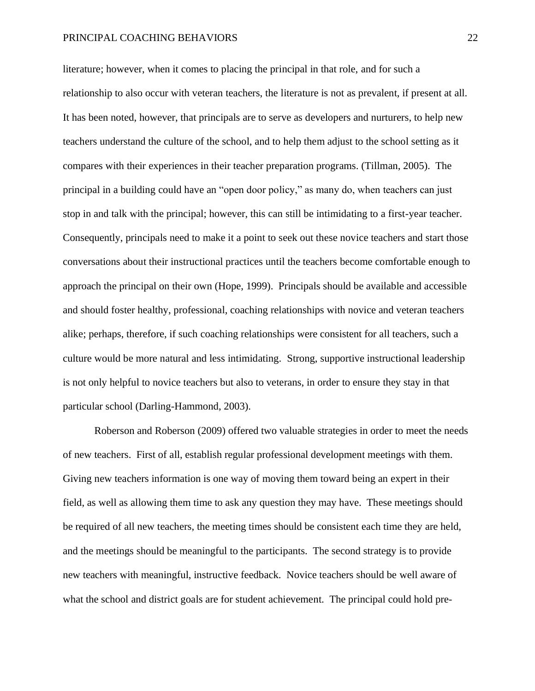literature; however, when it comes to placing the principal in that role, and for such a relationship to also occur with veteran teachers, the literature is not as prevalent, if present at all. It has been noted, however, that principals are to serve as developers and nurturers, to help new teachers understand the culture of the school, and to help them adjust to the school setting as it compares with their experiences in their teacher preparation programs. (Tillman, 2005). The principal in a building could have an "open door policy," as many do, when teachers can just stop in and talk with the principal; however, this can still be intimidating to a first-year teacher. Consequently, principals need to make it a point to seek out these novice teachers and start those conversations about their instructional practices until the teachers become comfortable enough to approach the principal on their own (Hope, 1999). Principals should be available and accessible and should foster healthy, professional, coaching relationships with novice and veteran teachers alike; perhaps, therefore, if such coaching relationships were consistent for all teachers, such a culture would be more natural and less intimidating. Strong, supportive instructional leadership is not only helpful to novice teachers but also to veterans, in order to ensure they stay in that particular school (Darling-Hammond, 2003).

Roberson and Roberson (2009) offered two valuable strategies in order to meet the needs of new teachers. First of all, establish regular professional development meetings with them. Giving new teachers information is one way of moving them toward being an expert in their field, as well as allowing them time to ask any question they may have. These meetings should be required of all new teachers, the meeting times should be consistent each time they are held, and the meetings should be meaningful to the participants. The second strategy is to provide new teachers with meaningful, instructive feedback. Novice teachers should be well aware of what the school and district goals are for student achievement. The principal could hold pre-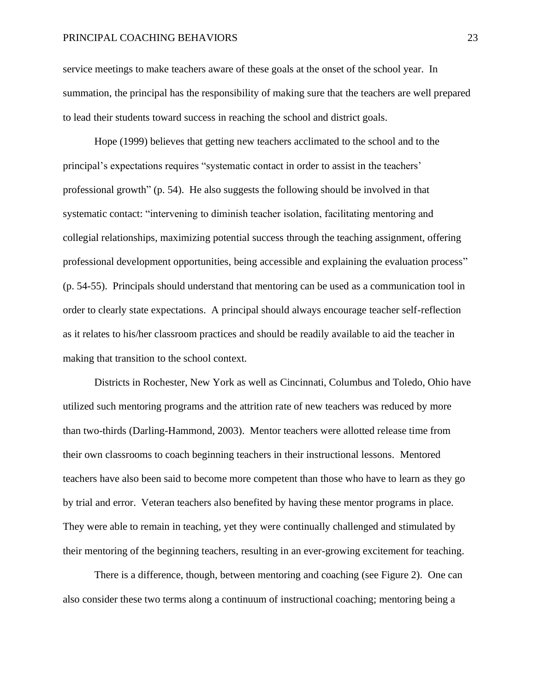service meetings to make teachers aware of these goals at the onset of the school year. In summation, the principal has the responsibility of making sure that the teachers are well prepared to lead their students toward success in reaching the school and district goals.

Hope (1999) believes that getting new teachers acclimated to the school and to the principal's expectations requires "systematic contact in order to assist in the teachers' professional growth" (p. 54). He also suggests the following should be involved in that systematic contact: "intervening to diminish teacher isolation, facilitating mentoring and collegial relationships, maximizing potential success through the teaching assignment, offering professional development opportunities, being accessible and explaining the evaluation process" (p. 54-55). Principals should understand that mentoring can be used as a communication tool in order to clearly state expectations. A principal should always encourage teacher self-reflection as it relates to his/her classroom practices and should be readily available to aid the teacher in making that transition to the school context.

Districts in Rochester, New York as well as Cincinnati, Columbus and Toledo, Ohio have utilized such mentoring programs and the attrition rate of new teachers was reduced by more than two-thirds (Darling-Hammond, 2003). Mentor teachers were allotted release time from their own classrooms to coach beginning teachers in their instructional lessons. Mentored teachers have also been said to become more competent than those who have to learn as they go by trial and error. Veteran teachers also benefited by having these mentor programs in place. They were able to remain in teaching, yet they were continually challenged and stimulated by their mentoring of the beginning teachers, resulting in an ever-growing excitement for teaching.

There is a difference, though, between mentoring and coaching (see Figure 2). One can also consider these two terms along a continuum of instructional coaching; mentoring being a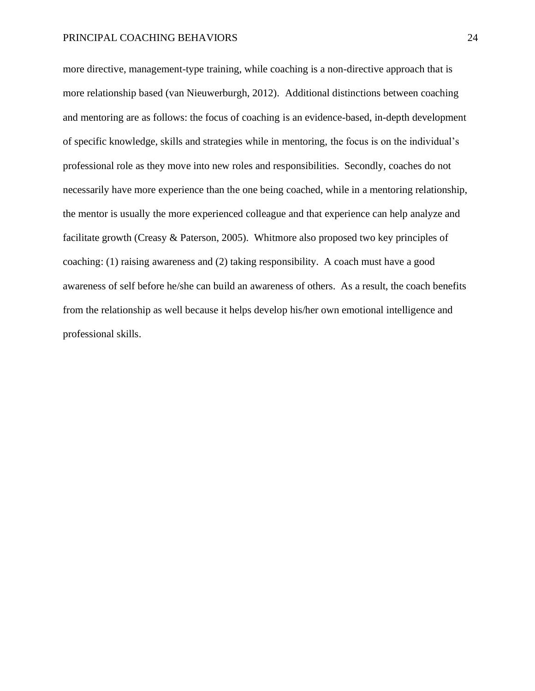more directive, management-type training, while coaching is a non-directive approach that is more relationship based (van Nieuwerburgh, 2012). Additional distinctions between coaching and mentoring are as follows: the focus of coaching is an evidence-based, in-depth development of specific knowledge, skills and strategies while in mentoring, the focus is on the individual's professional role as they move into new roles and responsibilities. Secondly, coaches do not necessarily have more experience than the one being coached, while in a mentoring relationship, the mentor is usually the more experienced colleague and that experience can help analyze and facilitate growth (Creasy & Paterson, 2005). Whitmore also proposed two key principles of coaching: (1) raising awareness and (2) taking responsibility. A coach must have a good awareness of self before he/she can build an awareness of others. As a result, the coach benefits from the relationship as well because it helps develop his/her own emotional intelligence and professional skills.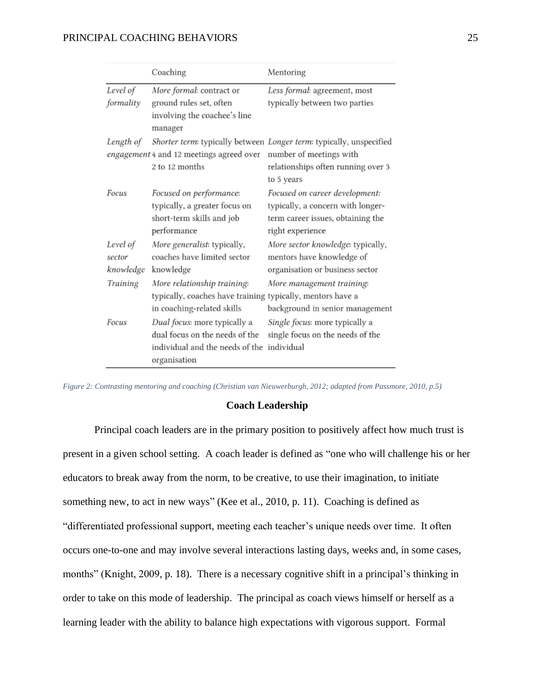|                                 | Coaching                                                                                                                     | Mentoring                                                                                                                                          |
|---------------------------------|------------------------------------------------------------------------------------------------------------------------------|----------------------------------------------------------------------------------------------------------------------------------------------------|
| Level of<br>formality           | More formal: contract or<br>ground rules set, often<br>involving the coachee's line<br>manager                               | Less formal: agreement, most<br>typically between two parties                                                                                      |
| Length of                       | engagement 4 and 12 meetings agreed over<br>2 to 12 months                                                                   | Shorter term: typically between Longer term: typically, unspecified<br>number of meetings with<br>relationships often running over 3<br>to 5 years |
| Focus                           | Focused on performance:<br>typically, a greater focus on<br>short-term skills and job<br>performance                         | Focused on career development:<br>typically, a concern with longer-<br>term career issues, obtaining the<br>right experience                       |
| Level of<br>sector<br>knowledge | More generalist: typically,<br>coaches have limited sector<br>knowledge                                                      | More sector knowledge: typically,<br>mentors have knowledge of<br>organisation or business sector                                                  |
| Training                        | More relationship training:<br>typically, coaches have training typically, mentors have a<br>in coaching-related skills      | More management training:<br>background in senior management                                                                                       |
| Focus                           | Dual focus: more typically a<br>dual focus on the needs of the<br>individual and the needs of the individual<br>organisation | Single focus: more typically a<br>single focus on the needs of the                                                                                 |

*Figure 2: Contrasting mentoring and coaching (Christian van Nieuwerburgh, 2012; adapted from Passmore, 2010, p.5)*

#### **Coach Leadership**

Principal coach leaders are in the primary position to positively affect how much trust is present in a given school setting. A coach leader is defined as "one who will challenge his or her educators to break away from the norm, to be creative, to use their imagination, to initiate something new, to act in new ways" (Kee et al., 2010, p. 11). Coaching is defined as "differentiated professional support, meeting each teacher's unique needs over time. It often occurs one-to-one and may involve several interactions lasting days, weeks and, in some cases, months" (Knight, 2009, p. 18).There is a necessary cognitive shift in a principal's thinking in order to take on this mode of leadership. The principal as coach views himself or herself as a learning leader with the ability to balance high expectations with vigorous support. Formal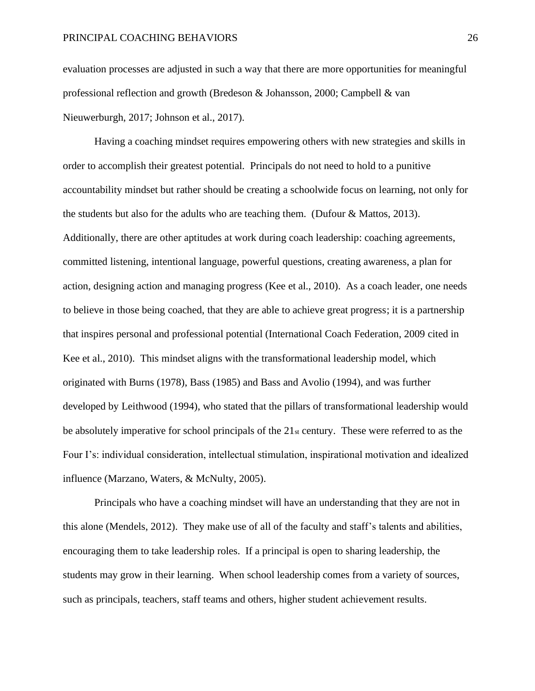evaluation processes are adjusted in such a way that there are more opportunities for meaningful professional reflection and growth (Bredeson & Johansson, 2000; Campbell & van Nieuwerburgh, 2017; Johnson et al., 2017).

Having a coaching mindset requires empowering others with new strategies and skills in order to accomplish their greatest potential. Principals do not need to hold to a punitive accountability mindset but rather should be creating a schoolwide focus on learning, not only for the students but also for the adults who are teaching them. (Dufour  $\&$  Mattos, 2013). Additionally, there are other aptitudes at work during coach leadership: coaching agreements, committed listening, intentional language, powerful questions, creating awareness, a plan for action, designing action and managing progress (Kee et al., 2010). As a coach leader, one needs to believe in those being coached, that they are able to achieve great progress; it is a partnership that inspires personal and professional potential (International Coach Federation, 2009 cited in Kee et al., 2010). This mindset aligns with the transformational leadership model, which originated with Burns (1978), Bass (1985) and Bass and Avolio (1994), and was further developed by Leithwood (1994), who stated that the pillars of transformational leadership would be absolutely imperative for school principals of the  $21<sub>st</sub>$  century. These were referred to as the Four I's: individual consideration, intellectual stimulation, inspirational motivation and idealized influence (Marzano, Waters, & McNulty, 2005).

Principals who have a coaching mindset will have an understanding that they are not in this alone (Mendels, 2012). They make use of all of the faculty and staff's talents and abilities, encouraging them to take leadership roles. If a principal is open to sharing leadership, the students may grow in their learning. When school leadership comes from a variety of sources, such as principals, teachers, staff teams and others, higher student achievement results.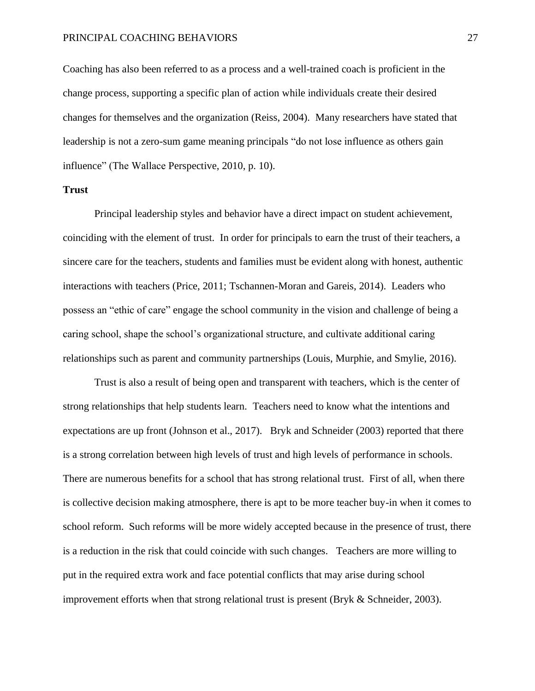Coaching has also been referred to as a process and a well-trained coach is proficient in the change process, supporting a specific plan of action while individuals create their desired changes for themselves and the organization (Reiss, 2004). Many researchers have stated that leadership is not a zero-sum game meaning principals "do not lose influence as others gain influence" (The Wallace Perspective, 2010, p. 10).

# **Trust**

Principal leadership styles and behavior have a direct impact on student achievement, coinciding with the element of trust. In order for principals to earn the trust of their teachers, a sincere care for the teachers, students and families must be evident along with honest, authentic interactions with teachers (Price, 2011; Tschannen-Moran and Gareis, 2014). Leaders who possess an "ethic of care" engage the school community in the vision and challenge of being a caring school, shape the school's organizational structure, and cultivate additional caring relationships such as parent and community partnerships (Louis, Murphie, and Smylie, 2016).

Trust is also a result of being open and transparent with teachers, which is the center of strong relationships that help students learn. Teachers need to know what the intentions and expectations are up front (Johnson et al., 2017). Bryk and Schneider (2003) reported that there is a strong correlation between high levels of trust and high levels of performance in schools. There are numerous benefits for a school that has strong relational trust. First of all, when there is collective decision making atmosphere, there is apt to be more teacher buy-in when it comes to school reform. Such reforms will be more widely accepted because in the presence of trust, there is a reduction in the risk that could coincide with such changes. Teachers are more willing to put in the required extra work and face potential conflicts that may arise during school improvement efforts when that strong relational trust is present (Bryk  $\&$  Schneider, 2003).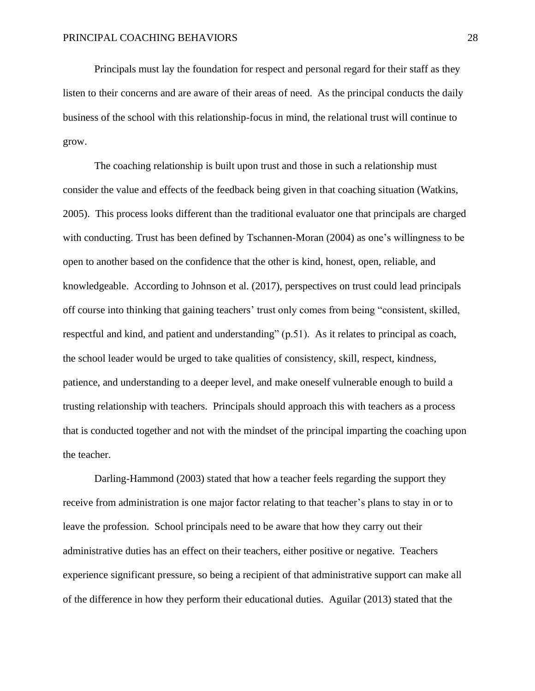Principals must lay the foundation for respect and personal regard for their staff as they listen to their concerns and are aware of their areas of need. As the principal conducts the daily business of the school with this relationship-focus in mind, the relational trust will continue to grow.

The coaching relationship is built upon trust and those in such a relationship must consider the value and effects of the feedback being given in that coaching situation (Watkins, 2005). This process looks different than the traditional evaluator one that principals are charged with conducting. Trust has been defined by Tschannen-Moran (2004) as one's willingness to be open to another based on the confidence that the other is kind, honest, open, reliable, and knowledgeable. According to Johnson et al. (2017), perspectives on trust could lead principals off course into thinking that gaining teachers' trust only comes from being "consistent, skilled, respectful and kind, and patient and understanding" (p.51). As it relates to principal as coach, the school leader would be urged to take qualities of consistency, skill, respect, kindness, patience, and understanding to a deeper level, and make oneself vulnerable enough to build a trusting relationship with teachers. Principals should approach this with teachers as a process that is conducted together and not with the mindset of the principal imparting the coaching upon the teacher.

Darling-Hammond (2003) stated that how a teacher feels regarding the support they receive from administration is one major factor relating to that teacher's plans to stay in or to leave the profession. School principals need to be aware that how they carry out their administrative duties has an effect on their teachers, either positive or negative. Teachers experience significant pressure, so being a recipient of that administrative support can make all of the difference in how they perform their educational duties. Aguilar (2013) stated that the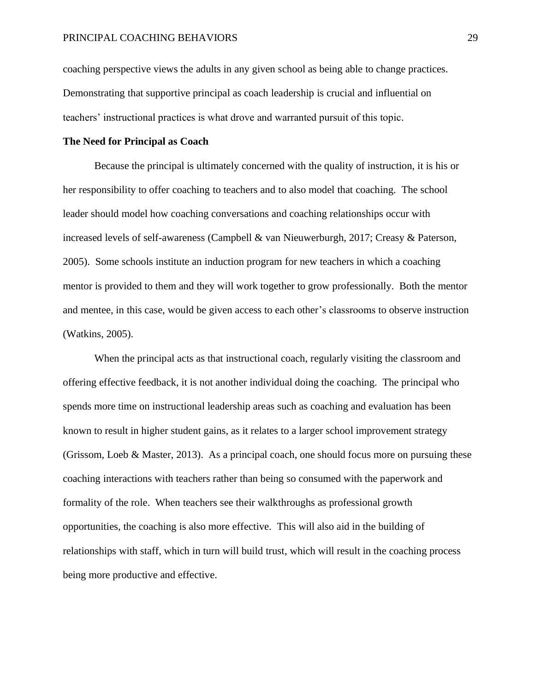coaching perspective views the adults in any given school as being able to change practices. Demonstrating that supportive principal as coach leadership is crucial and influential on teachers' instructional practices is what drove and warranted pursuit of this topic.

# **The Need for Principal as Coach**

Because the principal is ultimately concerned with the quality of instruction, it is his or her responsibility to offer coaching to teachers and to also model that coaching. The school leader should model how coaching conversations and coaching relationships occur with increased levels of self-awareness (Campbell & van Nieuwerburgh, 2017; Creasy & Paterson, 2005). Some schools institute an induction program for new teachers in which a coaching mentor is provided to them and they will work together to grow professionally. Both the mentor and mentee, in this case, would be given access to each other's classrooms to observe instruction (Watkins, 2005).

When the principal acts as that instructional coach, regularly visiting the classroom and offering effective feedback, it is not another individual doing the coaching. The principal who spends more time on instructional leadership areas such as coaching and evaluation has been known to result in higher student gains, as it relates to a larger school improvement strategy (Grissom, Loeb & Master, 2013). As a principal coach, one should focus more on pursuing these coaching interactions with teachers rather than being so consumed with the paperwork and formality of the role. When teachers see their walkthroughs as professional growth opportunities, the coaching is also more effective. This will also aid in the building of relationships with staff, which in turn will build trust, which will result in the coaching process being more productive and effective.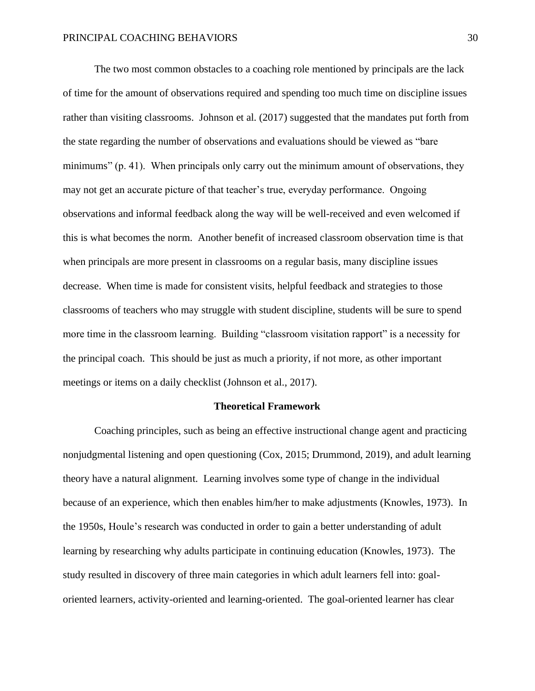The two most common obstacles to a coaching role mentioned by principals are the lack of time for the amount of observations required and spending too much time on discipline issues rather than visiting classrooms. Johnson et al. (2017) suggested that the mandates put forth from the state regarding the number of observations and evaluations should be viewed as "bare minimums" (p. 41). When principals only carry out the minimum amount of observations, they may not get an accurate picture of that teacher's true, everyday performance. Ongoing observations and informal feedback along the way will be well-received and even welcomed if this is what becomes the norm. Another benefit of increased classroom observation time is that when principals are more present in classrooms on a regular basis, many discipline issues decrease. When time is made for consistent visits, helpful feedback and strategies to those classrooms of teachers who may struggle with student discipline, students will be sure to spend more time in the classroom learning. Building "classroom visitation rapport" is a necessity for the principal coach. This should be just as much a priority, if not more, as other important meetings or items on a daily checklist (Johnson et al., 2017).

## **Theoretical Framework**

Coaching principles, such as being an effective instructional change agent and practicing nonjudgmental listening and open questioning (Cox, 2015; Drummond, 2019), and adult learning theory have a natural alignment. Learning involves some type of change in the individual because of an experience, which then enables him/her to make adjustments (Knowles, 1973). In the 1950s, Houle's research was conducted in order to gain a better understanding of adult learning by researching why adults participate in continuing education (Knowles, 1973). The study resulted in discovery of three main categories in which adult learners fell into: goaloriented learners, activity-oriented and learning-oriented. The goal-oriented learner has clear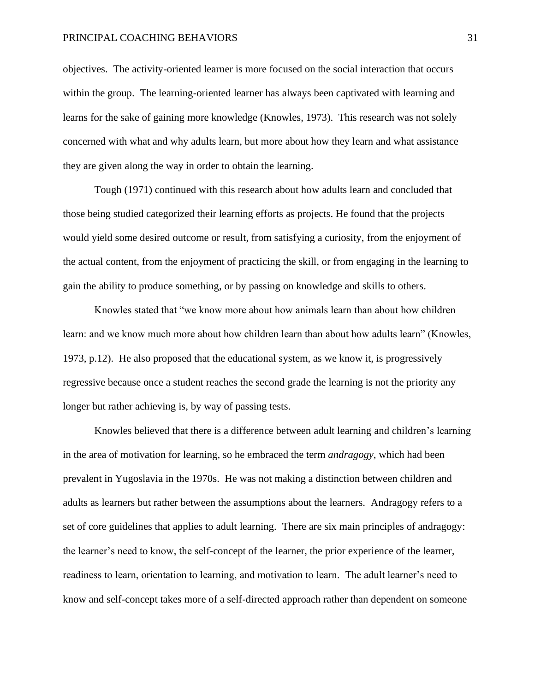objectives. The activity-oriented learner is more focused on the social interaction that occurs within the group. The learning-oriented learner has always been captivated with learning and learns for the sake of gaining more knowledge (Knowles, 1973). This research was not solely concerned with what and why adults learn, but more about how they learn and what assistance they are given along the way in order to obtain the learning.

Tough (1971) continued with this research about how adults learn and concluded that those being studied categorized their learning efforts as projects. He found that the projects would yield some desired outcome or result, from satisfying a curiosity, from the enjoyment of the actual content, from the enjoyment of practicing the skill, or from engaging in the learning to gain the ability to produce something, or by passing on knowledge and skills to others.

Knowles stated that "we know more about how animals learn than about how children learn: and we know much more about how children learn than about how adults learn" (Knowles, 1973, p.12). He also proposed that the educational system, as we know it, is progressively regressive because once a student reaches the second grade the learning is not the priority any longer but rather achieving is, by way of passing tests.

Knowles believed that there is a difference between adult learning and children's learning in the area of motivation for learning, so he embraced the term *andragogy*, which had been prevalent in Yugoslavia in the 1970s. He was not making a distinction between children and adults as learners but rather between the assumptions about the learners. Andragogy refers to a set of core guidelines that applies to adult learning. There are six main principles of andragogy: the learner's need to know, the self-concept of the learner, the prior experience of the learner, readiness to learn, orientation to learning, and motivation to learn. The adult learner's need to know and self-concept takes more of a self-directed approach rather than dependent on someone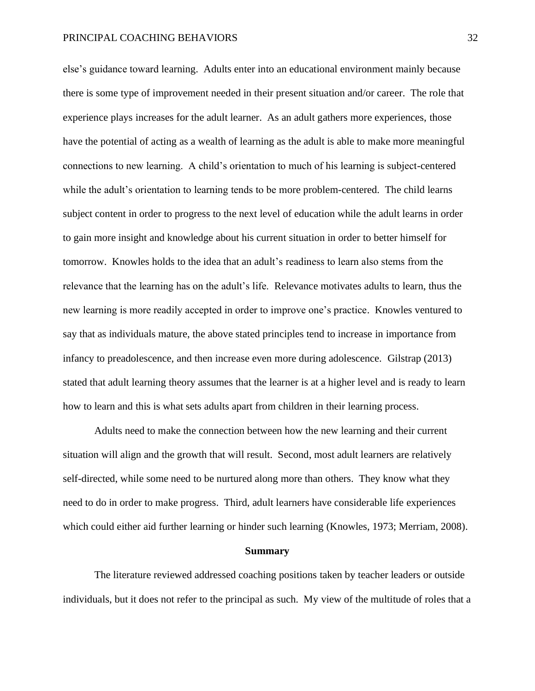else's guidance toward learning. Adults enter into an educational environment mainly because there is some type of improvement needed in their present situation and/or career. The role that experience plays increases for the adult learner. As an adult gathers more experiences, those have the potential of acting as a wealth of learning as the adult is able to make more meaningful connections to new learning. A child's orientation to much of his learning is subject-centered while the adult's orientation to learning tends to be more problem-centered. The child learns subject content in order to progress to the next level of education while the adult learns in order to gain more insight and knowledge about his current situation in order to better himself for tomorrow. Knowles holds to the idea that an adult's readiness to learn also stems from the relevance that the learning has on the adult's life. Relevance motivates adults to learn, thus the new learning is more readily accepted in order to improve one's practice. Knowles ventured to say that as individuals mature, the above stated principles tend to increase in importance from infancy to preadolescence, and then increase even more during adolescence. Gilstrap (2013) stated that adult learning theory assumes that the learner is at a higher level and is ready to learn how to learn and this is what sets adults apart from children in their learning process.

Adults need to make the connection between how the new learning and their current situation will align and the growth that will result. Second, most adult learners are relatively self-directed, while some need to be nurtured along more than others. They know what they need to do in order to make progress. Third, adult learners have considerable life experiences which could either aid further learning or hinder such learning (Knowles, 1973; Merriam, 2008).

#### **Summary**

The literature reviewed addressed coaching positions taken by teacher leaders or outside individuals, but it does not refer to the principal as such. My view of the multitude of roles that a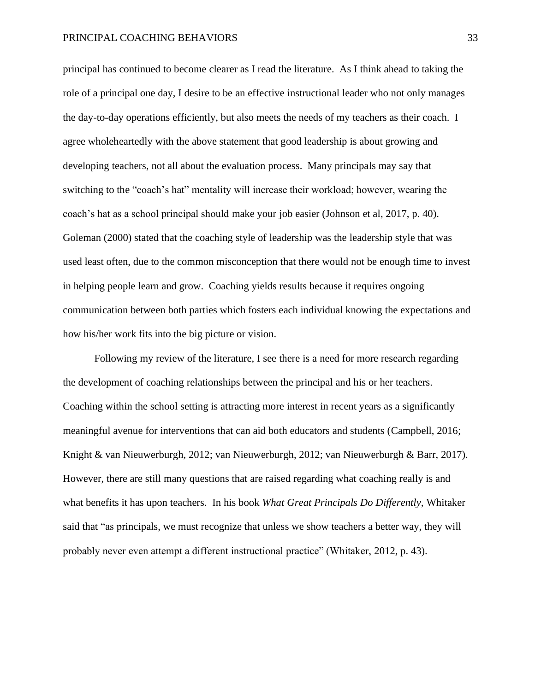principal has continued to become clearer as I read the literature. As I think ahead to taking the role of a principal one day, I desire to be an effective instructional leader who not only manages the day-to-day operations efficiently, but also meets the needs of my teachers as their coach. I agree wholeheartedly with the above statement that good leadership is about growing and developing teachers, not all about the evaluation process. Many principals may say that switching to the "coach's hat" mentality will increase their workload; however, wearing the coach's hat as a school principal should make your job easier (Johnson et al, 2017, p. 40). Goleman (2000) stated that the coaching style of leadership was the leadership style that was used least often, due to the common misconception that there would not be enough time to invest in helping people learn and grow. Coaching yields results because it requires ongoing communication between both parties which fosters each individual knowing the expectations and how his/her work fits into the big picture or vision.

Following my review of the literature, I see there is a need for more research regarding the development of coaching relationships between the principal and his or her teachers. Coaching within the school setting is attracting more interest in recent years as a significantly meaningful avenue for interventions that can aid both educators and students (Campbell, 2016; Knight & van Nieuwerburgh, 2012; van Nieuwerburgh, 2012; van Nieuwerburgh & Barr, 2017). However, there are still many questions that are raised regarding what coaching really is and what benefits it has upon teachers. In his book *What Great Principals Do Differently,* Whitaker said that "as principals, we must recognize that unless we show teachers a better way, they will probably never even attempt a different instructional practice" (Whitaker, 2012, p. 43).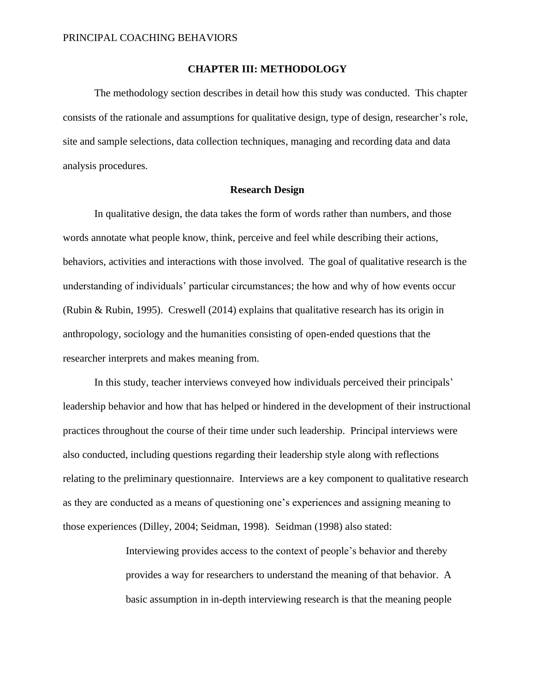## **CHAPTER III: METHODOLOGY**

The methodology section describes in detail how this study was conducted. This chapter consists of the rationale and assumptions for qualitative design, type of design, researcher's role, site and sample selections, data collection techniques, managing and recording data and data analysis procedures.

## **Research Design**

In qualitative design, the data takes the form of words rather than numbers, and those words annotate what people know, think, perceive and feel while describing their actions, behaviors, activities and interactions with those involved. The goal of qualitative research is the understanding of individuals' particular circumstances; the how and why of how events occur (Rubin & Rubin, 1995). Creswell (2014) explains that qualitative research has its origin in anthropology, sociology and the humanities consisting of open-ended questions that the researcher interprets and makes meaning from.

In this study, teacher interviews conveyed how individuals perceived their principals' leadership behavior and how that has helped or hindered in the development of their instructional practices throughout the course of their time under such leadership. Principal interviews were also conducted, including questions regarding their leadership style along with reflections relating to the preliminary questionnaire. Interviews are a key component to qualitative research as they are conducted as a means of questioning one's experiences and assigning meaning to those experiences (Dilley, 2004; Seidman, 1998). Seidman (1998) also stated:

> Interviewing provides access to the context of people's behavior and thereby provides a way for researchers to understand the meaning of that behavior. A basic assumption in in-depth interviewing research is that the meaning people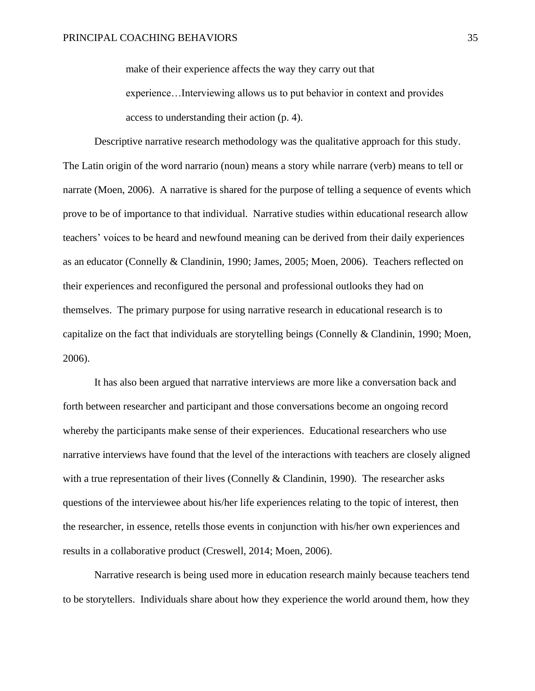make of their experience affects the way they carry out that

experience…Interviewing allows us to put behavior in context and provides access to understanding their action (p. 4).

Descriptive narrative research methodology was the qualitative approach for this study. The Latin origin of the word narrario (noun) means a story while narrare (verb) means to tell or narrate (Moen, 2006). A narrative is shared for the purpose of telling a sequence of events which prove to be of importance to that individual. Narrative studies within educational research allow teachers' voices to be heard and newfound meaning can be derived from their daily experiences as an educator (Connelly & Clandinin, 1990; James, 2005; Moen, 2006). Teachers reflected on their experiences and reconfigured the personal and professional outlooks they had on themselves. The primary purpose for using narrative research in educational research is to capitalize on the fact that individuals are storytelling beings (Connelly & Clandinin, 1990; Moen, 2006).

It has also been argued that narrative interviews are more like a conversation back and forth between researcher and participant and those conversations become an ongoing record whereby the participants make sense of their experiences. Educational researchers who use narrative interviews have found that the level of the interactions with teachers are closely aligned with a true representation of their lives (Connelly & Clandinin, 1990). The researcher asks questions of the interviewee about his/her life experiences relating to the topic of interest, then the researcher, in essence, retells those events in conjunction with his/her own experiences and results in a collaborative product (Creswell, 2014; Moen, 2006).

Narrative research is being used more in education research mainly because teachers tend to be storytellers. Individuals share about how they experience the world around them, how they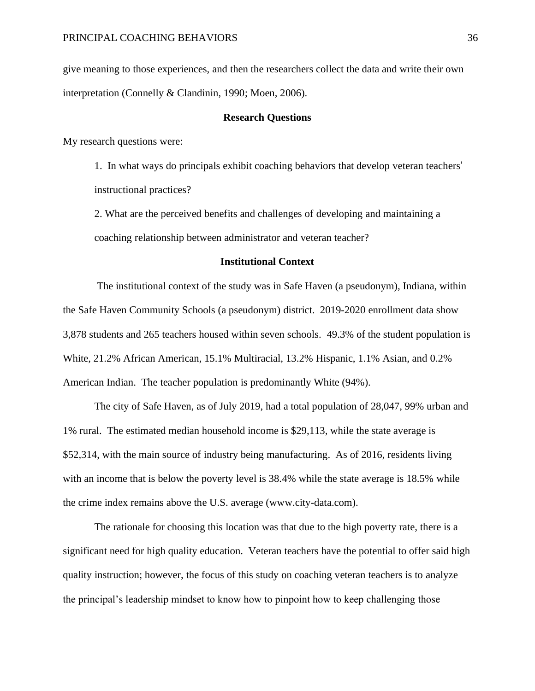give meaning to those experiences, and then the researchers collect the data and write their own interpretation (Connelly & Clandinin, 1990; Moen, 2006).

# **Research Questions**

My research questions were:

1. In what ways do principals exhibit coaching behaviors that develop veteran teachers' instructional practices?

2. What are the perceived benefits and challenges of developing and maintaining a coaching relationship between administrator and veteran teacher?

## **Institutional Context**

The institutional context of the study was in Safe Haven (a pseudonym), Indiana, within the Safe Haven Community Schools (a pseudonym) district. 2019-2020 enrollment data show 3,878 students and 265 teachers housed within seven schools. 49.3% of the student population is White, 21.2% African American, 15.1% Multiracial, 13.2% Hispanic, 1.1% Asian, and 0.2% American Indian. The teacher population is predominantly White (94%).

The city of Safe Haven, as of July 2019, had a total population of 28,047, 99% urban and 1% rural. The estimated median household income is \$29,113, while the state average is \$52,314, with the main source of industry being manufacturing. As of 2016, residents living with an income that is below the poverty level is  $38.4\%$  while the state average is 18.5% while the crime index remains above the U.S. average (www.city-data.com).

The rationale for choosing this location was that due to the high poverty rate, there is a significant need for high quality education. Veteran teachers have the potential to offer said high quality instruction; however, the focus of this study on coaching veteran teachers is to analyze the principal's leadership mindset to know how to pinpoint how to keep challenging those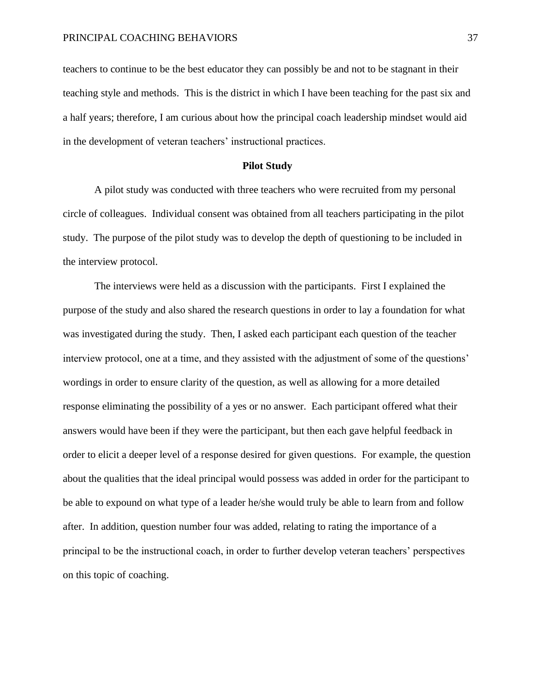teachers to continue to be the best educator they can possibly be and not to be stagnant in their teaching style and methods. This is the district in which I have been teaching for the past six and a half years; therefore, I am curious about how the principal coach leadership mindset would aid in the development of veteran teachers' instructional practices.

## **Pilot Study**

A pilot study was conducted with three teachers who were recruited from my personal circle of colleagues. Individual consent was obtained from all teachers participating in the pilot study. The purpose of the pilot study was to develop the depth of questioning to be included in the interview protocol.

The interviews were held as a discussion with the participants. First I explained the purpose of the study and also shared the research questions in order to lay a foundation for what was investigated during the study. Then, I asked each participant each question of the teacher interview protocol, one at a time, and they assisted with the adjustment of some of the questions' wordings in order to ensure clarity of the question, as well as allowing for a more detailed response eliminating the possibility of a yes or no answer. Each participant offered what their answers would have been if they were the participant, but then each gave helpful feedback in order to elicit a deeper level of a response desired for given questions. For example, the question about the qualities that the ideal principal would possess was added in order for the participant to be able to expound on what type of a leader he/she would truly be able to learn from and follow after. In addition, question number four was added, relating to rating the importance of a principal to be the instructional coach, in order to further develop veteran teachers' perspectives on this topic of coaching.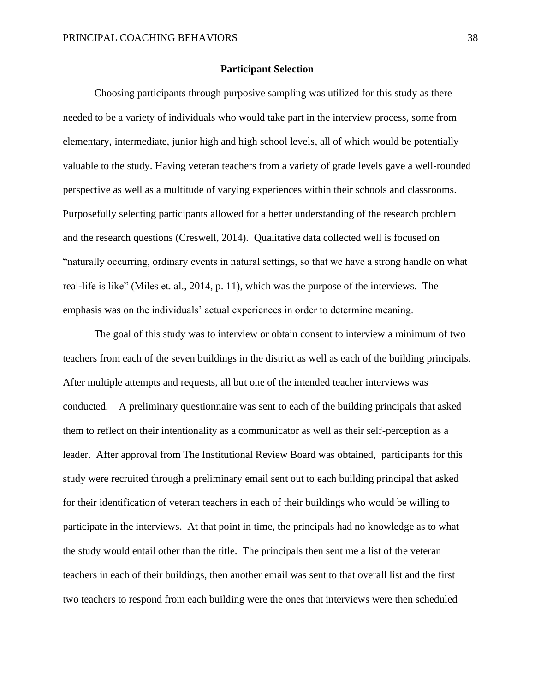## **Participant Selection**

Choosing participants through purposive sampling was utilized for this study as there needed to be a variety of individuals who would take part in the interview process, some from elementary, intermediate, junior high and high school levels, all of which would be potentially valuable to the study. Having veteran teachers from a variety of grade levels gave a well-rounded perspective as well as a multitude of varying experiences within their schools and classrooms. Purposefully selecting participants allowed for a better understanding of the research problem and the research questions (Creswell, 2014). Qualitative data collected well is focused on "naturally occurring, ordinary events in natural settings, so that we have a strong handle on what real-life is like" (Miles et. al., 2014, p. 11), which was the purpose of the interviews. The emphasis was on the individuals' actual experiences in order to determine meaning.

The goal of this study was to interview or obtain consent to interview a minimum of two teachers from each of the seven buildings in the district as well as each of the building principals. After multiple attempts and requests, all but one of the intended teacher interviews was conducted. A preliminary questionnaire was sent to each of the building principals that asked them to reflect on their intentionality as a communicator as well as their self-perception as a leader. After approval from The Institutional Review Board was obtained, participants for this study were recruited through a preliminary email sent out to each building principal that asked for their identification of veteran teachers in each of their buildings who would be willing to participate in the interviews. At that point in time, the principals had no knowledge as to what the study would entail other than the title. The principals then sent me a list of the veteran teachers in each of their buildings, then another email was sent to that overall list and the first two teachers to respond from each building were the ones that interviews were then scheduled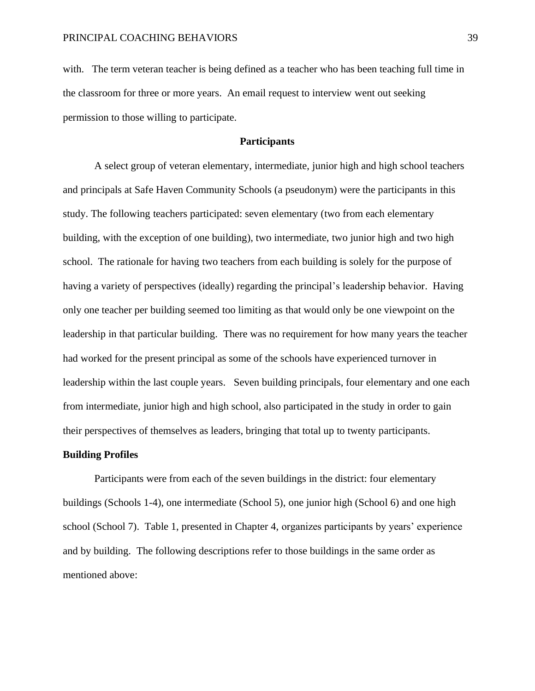with. The term veteran teacher is being defined as a teacher who has been teaching full time in the classroom for three or more years. An email request to interview went out seeking permission to those willing to participate.

# **Participants**

A select group of veteran elementary, intermediate, junior high and high school teachers and principals at Safe Haven Community Schools (a pseudonym) were the participants in this study. The following teachers participated: seven elementary (two from each elementary building, with the exception of one building), two intermediate, two junior high and two high school. The rationale for having two teachers from each building is solely for the purpose of having a variety of perspectives (ideally) regarding the principal's leadership behavior. Having only one teacher per building seemed too limiting as that would only be one viewpoint on the leadership in that particular building. There was no requirement for how many years the teacher had worked for the present principal as some of the schools have experienced turnover in leadership within the last couple years. Seven building principals, four elementary and one each from intermediate, junior high and high school, also participated in the study in order to gain their perspectives of themselves as leaders, bringing that total up to twenty participants.

#### **Building Profiles**

Participants were from each of the seven buildings in the district: four elementary buildings (Schools 1-4), one intermediate (School 5), one junior high (School 6) and one high school (School 7). Table 1, presented in Chapter 4, organizes participants by years' experience and by building. The following descriptions refer to those buildings in the same order as mentioned above: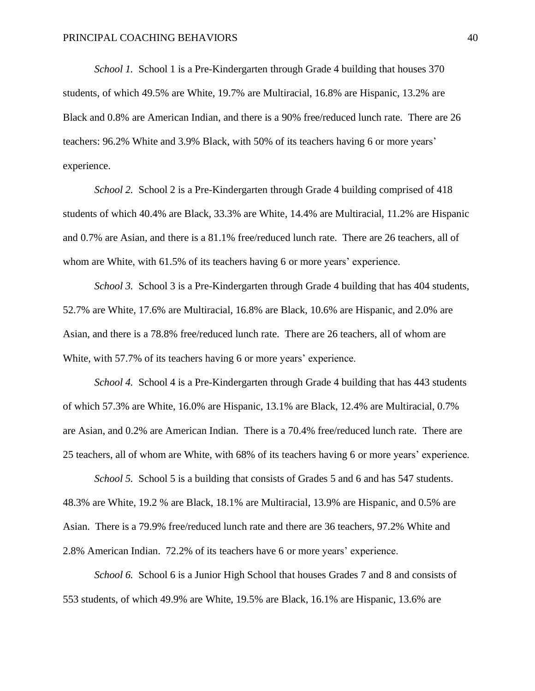*School 1.* School 1 is a Pre-Kindergarten through Grade 4 building that houses 370 students, of which 49.5% are White, 19.7% are Multiracial, 16.8% are Hispanic, 13.2% are Black and 0.8% are American Indian, and there is a 90% free/reduced lunch rate. There are 26 teachers: 96.2% White and 3.9% Black, with 50% of its teachers having 6 or more years' experience.

*School 2.* School 2 is a Pre-Kindergarten through Grade 4 building comprised of 418 students of which 40.4% are Black, 33.3% are White, 14.4% are Multiracial, 11.2% are Hispanic and 0.7% are Asian, and there is a 81.1% free/reduced lunch rate. There are 26 teachers, all of whom are White, with 61.5% of its teachers having 6 or more years' experience.

*School 3.* School 3 is a Pre-Kindergarten through Grade 4 building that has 404 students, 52.7% are White, 17.6% are Multiracial, 16.8% are Black, 10.6% are Hispanic, and 2.0% are Asian, and there is a 78.8% free/reduced lunch rate. There are 26 teachers, all of whom are White, with 57.7% of its teachers having 6 or more years' experience.

*School 4.* School 4 is a Pre-Kindergarten through Grade 4 building that has 443 students of which 57.3% are White, 16.0% are Hispanic, 13.1% are Black, 12.4% are Multiracial, 0.7% are Asian, and 0.2% are American Indian. There is a 70.4% free/reduced lunch rate. There are 25 teachers, all of whom are White, with 68% of its teachers having 6 or more years' experience.

*School 5.* School 5 is a building that consists of Grades 5 and 6 and has 547 students. 48.3% are White, 19.2 % are Black, 18.1% are Multiracial, 13.9% are Hispanic, and 0.5% are Asian. There is a 79.9% free/reduced lunch rate and there are 36 teachers, 97.2% White and 2.8% American Indian. 72.2% of its teachers have 6 or more years' experience.

*School 6.* School 6 is a Junior High School that houses Grades 7 and 8 and consists of 553 students, of which 49.9% are White, 19.5% are Black, 16.1% are Hispanic, 13.6% are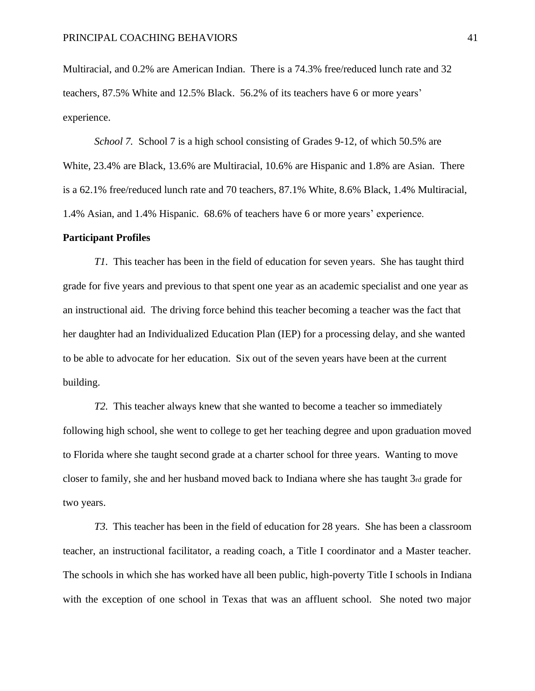Multiracial, and 0.2% are American Indian. There is a 74.3% free/reduced lunch rate and 32 teachers, 87.5% White and 12.5% Black. 56.2% of its teachers have 6 or more years' experience.

*School 7.* School 7 is a high school consisting of Grades 9-12, of which 50.5% are White, 23.4% are Black, 13.6% are Multiracial, 10.6% are Hispanic and 1.8% are Asian. There is a 62.1% free/reduced lunch rate and 70 teachers, 87.1% White, 8.6% Black, 1.4% Multiracial, 1.4% Asian, and 1.4% Hispanic. 68.6% of teachers have 6 or more years' experience.

#### **Participant Profiles**

*T1.* This teacher has been in the field of education for seven years. She has taught third grade for five years and previous to that spent one year as an academic specialist and one year as an instructional aid. The driving force behind this teacher becoming a teacher was the fact that her daughter had an Individualized Education Plan (IEP) for a processing delay, and she wanted to be able to advocate for her education. Six out of the seven years have been at the current building.

*T2.* This teacher always knew that she wanted to become a teacher so immediately following high school, she went to college to get her teaching degree and upon graduation moved to Florida where she taught second grade at a charter school for three years. Wanting to move closer to family, she and her husband moved back to Indiana where she has taught 3rd grade for two years.

*T3.* This teacher has been in the field of education for 28 years. She has been a classroom teacher, an instructional facilitator, a reading coach, a Title I coordinator and a Master teacher. The schools in which she has worked have all been public, high-poverty Title I schools in Indiana with the exception of one school in Texas that was an affluent school. She noted two major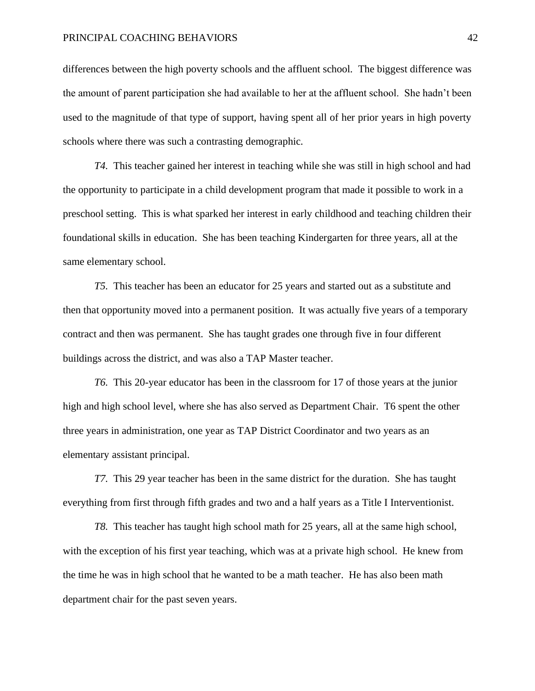differences between the high poverty schools and the affluent school. The biggest difference was the amount of parent participation she had available to her at the affluent school. She hadn't been used to the magnitude of that type of support, having spent all of her prior years in high poverty schools where there was such a contrasting demographic.

*T4.* This teacher gained her interest in teaching while she was still in high school and had the opportunity to participate in a child development program that made it possible to work in a preschool setting. This is what sparked her interest in early childhood and teaching children their foundational skills in education. She has been teaching Kindergarten for three years, all at the same elementary school.

*T5.* This teacher has been an educator for 25 years and started out as a substitute and then that opportunity moved into a permanent position. It was actually five years of a temporary contract and then was permanent. She has taught grades one through five in four different buildings across the district, and was also a TAP Master teacher.

*T6.* This 20-year educator has been in the classroom for 17 of those years at the junior high and high school level, where she has also served as Department Chair. T6 spent the other three years in administration, one year as TAP District Coordinator and two years as an elementary assistant principal.

*T7.* This 29 year teacher has been in the same district for the duration. She has taught everything from first through fifth grades and two and a half years as a Title I Interventionist.

*T8.* This teacher has taught high school math for 25 years, all at the same high school, with the exception of his first year teaching, which was at a private high school. He knew from the time he was in high school that he wanted to be a math teacher. He has also been math department chair for the past seven years.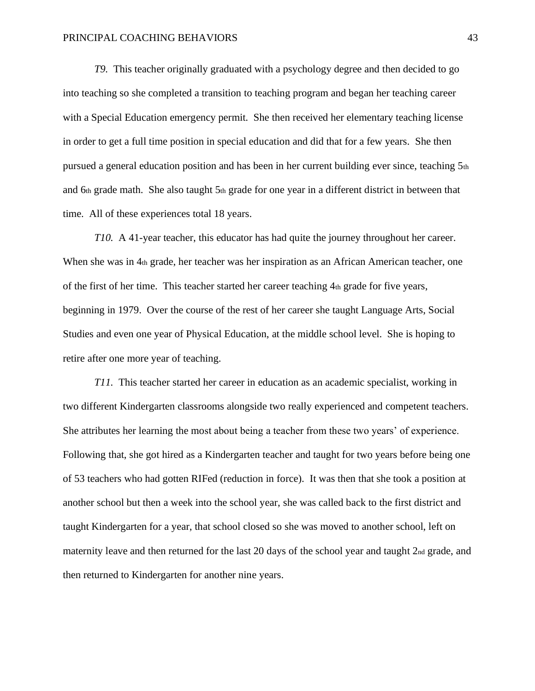*T9.* This teacher originally graduated with a psychology degree and then decided to go into teaching so she completed a transition to teaching program and began her teaching career with a Special Education emergency permit. She then received her elementary teaching license in order to get a full time position in special education and did that for a few years. She then pursued a general education position and has been in her current building ever since, teaching 5th and 6th grade math. She also taught  $5<sub>th</sub>$  grade for one year in a different district in between that time. All of these experiences total 18 years.

*T10.* A 41-year teacher, this educator has had quite the journey throughout her career. When she was in 4th grade, her teacher was her inspiration as an African American teacher, one of the first of her time. This teacher started her career teaching 4th grade for five years, beginning in 1979. Over the course of the rest of her career she taught Language Arts, Social Studies and even one year of Physical Education, at the middle school level. She is hoping to retire after one more year of teaching.

*T11.* This teacher started her career in education as an academic specialist, working in two different Kindergarten classrooms alongside two really experienced and competent teachers. She attributes her learning the most about being a teacher from these two years' of experience. Following that, she got hired as a Kindergarten teacher and taught for two years before being one of 53 teachers who had gotten RIFed (reduction in force). It was then that she took a position at another school but then a week into the school year, she was called back to the first district and taught Kindergarten for a year, that school closed so she was moved to another school, left on maternity leave and then returned for the last 20 days of the school year and taught 2nd grade, and then returned to Kindergarten for another nine years.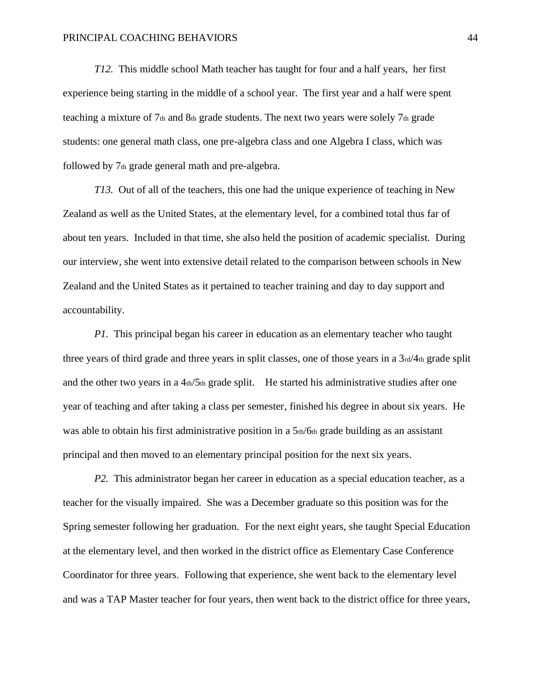*T12.* This middle school Math teacher has taught for four and a half years, her first experience being starting in the middle of a school year. The first year and a half were spent teaching a mixture of 7th and 8th grade students. The next two years were solely 7th grade students: one general math class, one pre-algebra class and one Algebra I class, which was followed by 7th grade general math and pre-algebra.

*T13.* Out of all of the teachers, this one had the unique experience of teaching in New Zealand as well as the United States, at the elementary level, for a combined total thus far of about ten years. Included in that time, she also held the position of academic specialist. During our interview, she went into extensive detail related to the comparison between schools in New Zealand and the United States as it pertained to teacher training and day to day support and accountability.

*P1*. This principal began his career in education as an elementary teacher who taught three years of third grade and three years in split classes, one of those years in a  $3rd/4<sub>th</sub>$  grade split and the other two years in a  $4<sub>th</sub>/5<sub>th</sub>$  grade split. He started his administrative studies after one year of teaching and after taking a class per semester, finished his degree in about six years. He was able to obtain his first administrative position in a 5th/6th grade building as an assistant principal and then moved to an elementary principal position for the next six years.

*P2.* This administrator began her career in education as a special education teacher, as a teacher for the visually impaired. She was a December graduate so this position was for the Spring semester following her graduation. For the next eight years, she taught Special Education at the elementary level, and then worked in the district office as Elementary Case Conference Coordinator for three years. Following that experience, she went back to the elementary level and was a TAP Master teacher for four years, then went back to the district office for three years,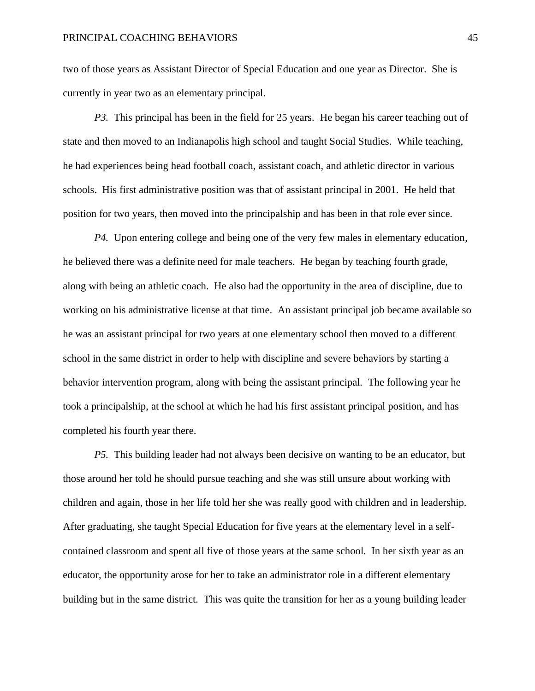two of those years as Assistant Director of Special Education and one year as Director. She is currently in year two as an elementary principal.

*P3.* This principal has been in the field for 25 years. He began his career teaching out of state and then moved to an Indianapolis high school and taught Social Studies. While teaching, he had experiences being head football coach, assistant coach, and athletic director in various schools. His first administrative position was that of assistant principal in 2001. He held that position for two years, then moved into the principalship and has been in that role ever since.

*P4.* Upon entering college and being one of the very few males in elementary education, he believed there was a definite need for male teachers. He began by teaching fourth grade, along with being an athletic coach. He also had the opportunity in the area of discipline, due to working on his administrative license at that time. An assistant principal job became available so he was an assistant principal for two years at one elementary school then moved to a different school in the same district in order to help with discipline and severe behaviors by starting a behavior intervention program, along with being the assistant principal. The following year he took a principalship, at the school at which he had his first assistant principal position, and has completed his fourth year there.

*P5.* This building leader had not always been decisive on wanting to be an educator, but those around her told he should pursue teaching and she was still unsure about working with children and again, those in her life told her she was really good with children and in leadership. After graduating, she taught Special Education for five years at the elementary level in a selfcontained classroom and spent all five of those years at the same school. In her sixth year as an educator, the opportunity arose for her to take an administrator role in a different elementary building but in the same district. This was quite the transition for her as a young building leader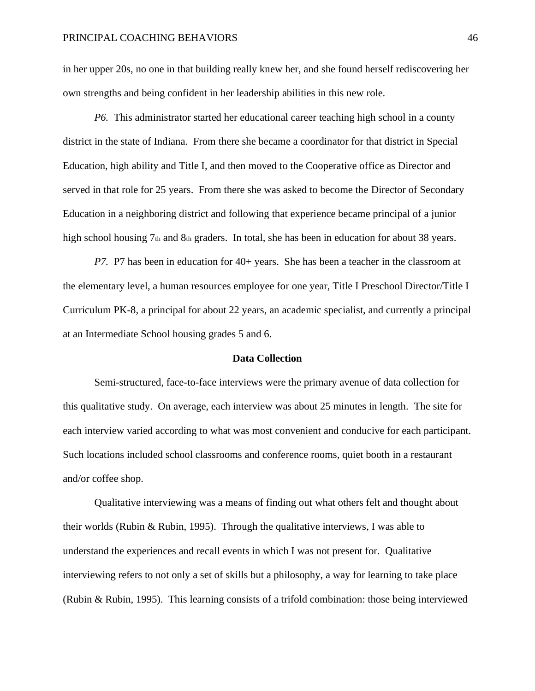in her upper 20s, no one in that building really knew her, and she found herself rediscovering her own strengths and being confident in her leadership abilities in this new role.

*P6.* This administrator started her educational career teaching high school in a county district in the state of Indiana. From there she became a coordinator for that district in Special Education, high ability and Title I, and then moved to the Cooperative office as Director and served in that role for 25 years. From there she was asked to become the Director of Secondary Education in a neighboring district and following that experience became principal of a junior high school housing  $7<sub>th</sub>$  and  $8<sub>th</sub>$  graders. In total, she has been in education for about 38 years.

*P7.* P7 has been in education for 40+ years. She has been a teacher in the classroom at the elementary level, a human resources employee for one year, Title I Preschool Director/Title I Curriculum PK-8, a principal for about 22 years, an academic specialist, and currently a principal at an Intermediate School housing grades 5 and 6.

## **Data Collection**

Semi-structured, face-to-face interviews were the primary avenue of data collection for this qualitative study. On average, each interview was about 25 minutes in length. The site for each interview varied according to what was most convenient and conducive for each participant. Such locations included school classrooms and conference rooms, quiet booth in a restaurant and/or coffee shop.

Qualitative interviewing was a means of finding out what others felt and thought about their worlds (Rubin & Rubin, 1995). Through the qualitative interviews, I was able to understand the experiences and recall events in which I was not present for. Qualitative interviewing refers to not only a set of skills but a philosophy, a way for learning to take place (Rubin & Rubin, 1995). This learning consists of a trifold combination: those being interviewed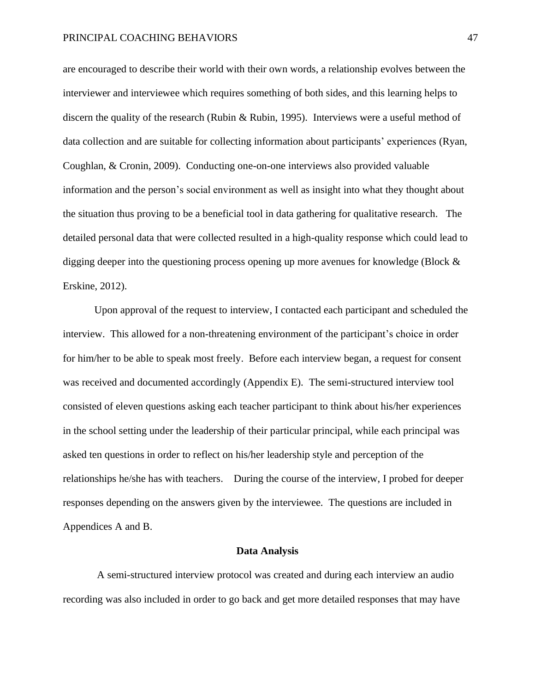are encouraged to describe their world with their own words, a relationship evolves between the interviewer and interviewee which requires something of both sides, and this learning helps to discern the quality of the research (Rubin & Rubin, 1995). Interviews were a useful method of data collection and are suitable for collecting information about participants' experiences (Ryan, Coughlan, & Cronin, 2009). Conducting one-on-one interviews also provided valuable information and the person's social environment as well as insight into what they thought about the situation thus proving to be a beneficial tool in data gathering for qualitative research. The detailed personal data that were collected resulted in a high-quality response which could lead to digging deeper into the questioning process opening up more avenues for knowledge (Block & Erskine, 2012).

Upon approval of the request to interview, I contacted each participant and scheduled the interview. This allowed for a non-threatening environment of the participant's choice in order for him/her to be able to speak most freely. Before each interview began, a request for consent was received and documented accordingly (Appendix E). The semi-structured interview tool consisted of eleven questions asking each teacher participant to think about his/her experiences in the school setting under the leadership of their particular principal, while each principal was asked ten questions in order to reflect on his/her leadership style and perception of the relationships he/she has with teachers. During the course of the interview, I probed for deeper responses depending on the answers given by the interviewee. The questions are included in Appendices A and B.

#### **Data Analysis**

A semi-structured interview protocol was created and during each interview an audio recording was also included in order to go back and get more detailed responses that may have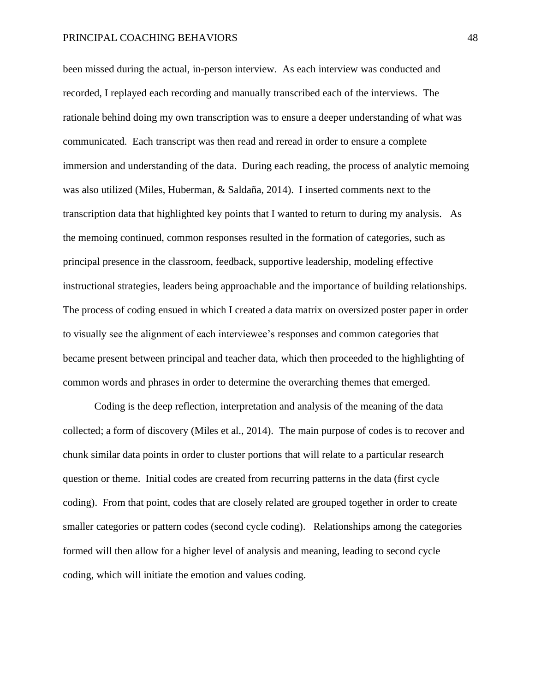been missed during the actual, in-person interview. As each interview was conducted and recorded, I replayed each recording and manually transcribed each of the interviews. The rationale behind doing my own transcription was to ensure a deeper understanding of what was communicated. Each transcript was then read and reread in order to ensure a complete immersion and understanding of the data. During each reading, the process of analytic memoing was also utilized (Miles, Huberman, & Saldaña, 2014). I inserted comments next to the transcription data that highlighted key points that I wanted to return to during my analysis. As the memoing continued, common responses resulted in the formation of categories, such as principal presence in the classroom, feedback, supportive leadership, modeling effective instructional strategies, leaders being approachable and the importance of building relationships. The process of coding ensued in which I created a data matrix on oversized poster paper in order to visually see the alignment of each interviewee's responses and common categories that became present between principal and teacher data, which then proceeded to the highlighting of common words and phrases in order to determine the overarching themes that emerged.

Coding is the deep reflection, interpretation and analysis of the meaning of the data collected; a form of discovery (Miles et al., 2014). The main purpose of codes is to recover and chunk similar data points in order to cluster portions that will relate to a particular research question or theme. Initial codes are created from recurring patterns in the data (first cycle coding). From that point, codes that are closely related are grouped together in order to create smaller categories or pattern codes (second cycle coding). Relationships among the categories formed will then allow for a higher level of analysis and meaning, leading to second cycle coding, which will initiate the emotion and values coding.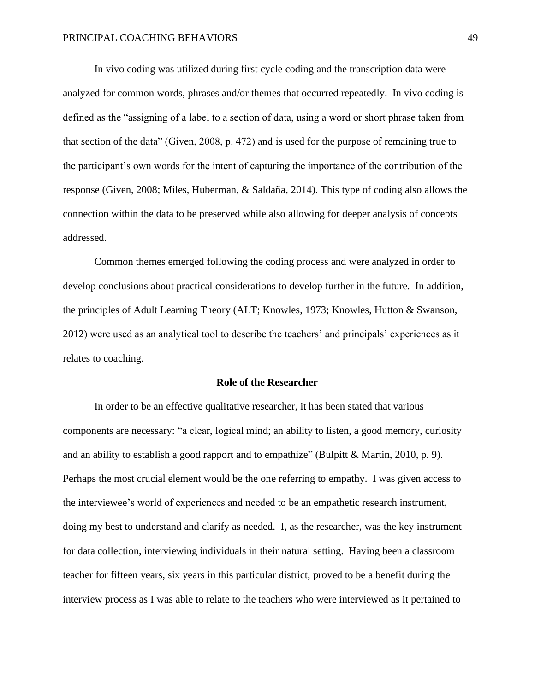In vivo coding was utilized during first cycle coding and the transcription data were analyzed for common words, phrases and/or themes that occurred repeatedly. In vivo coding is defined as the "assigning of a label to a section of data, using a word or short phrase taken from that section of the data" (Given, 2008, p. 472) and is used for the purpose of remaining true to the participant's own words for the intent of capturing the importance of the contribution of the response (Given, 2008; Miles, Huberman, & Saldaña, 2014). This type of coding also allows the connection within the data to be preserved while also allowing for deeper analysis of concepts addressed.

Common themes emerged following the coding process and were analyzed in order to develop conclusions about practical considerations to develop further in the future. In addition, the principles of Adult Learning Theory (ALT; Knowles, 1973; Knowles, Hutton & Swanson, 2012) were used as an analytical tool to describe the teachers' and principals' experiences as it relates to coaching.

## **Role of the Researcher**

In order to be an effective qualitative researcher, it has been stated that various components are necessary: "a clear, logical mind; an ability to listen, a good memory, curiosity and an ability to establish a good rapport and to empathize" (Bulpitt & Martin, 2010, p. 9). Perhaps the most crucial element would be the one referring to empathy. I was given access to the interviewee's world of experiences and needed to be an empathetic research instrument, doing my best to understand and clarify as needed. I, as the researcher, was the key instrument for data collection, interviewing individuals in their natural setting. Having been a classroom teacher for fifteen years, six years in this particular district, proved to be a benefit during the interview process as I was able to relate to the teachers who were interviewed as it pertained to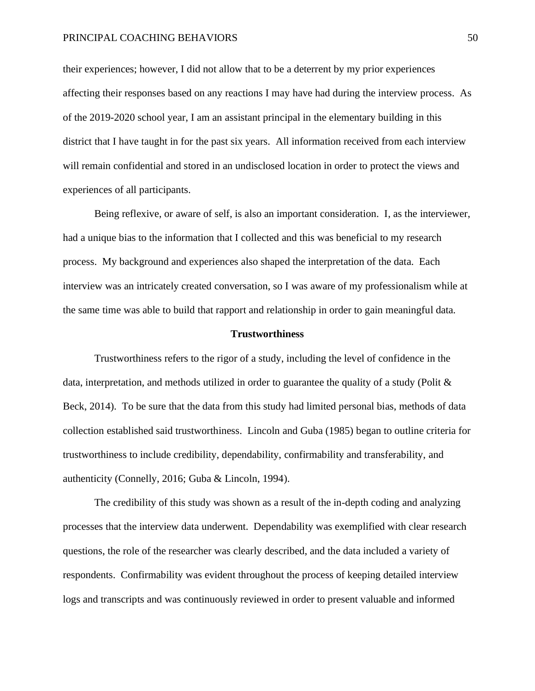their experiences; however, I did not allow that to be a deterrent by my prior experiences affecting their responses based on any reactions I may have had during the interview process. As of the 2019-2020 school year, I am an assistant principal in the elementary building in this district that I have taught in for the past six years. All information received from each interview will remain confidential and stored in an undisclosed location in order to protect the views and experiences of all participants.

Being reflexive, or aware of self, is also an important consideration. I, as the interviewer, had a unique bias to the information that I collected and this was beneficial to my research process. My background and experiences also shaped the interpretation of the data. Each interview was an intricately created conversation, so I was aware of my professionalism while at the same time was able to build that rapport and relationship in order to gain meaningful data.

## **Trustworthiness**

Trustworthiness refers to the rigor of a study, including the level of confidence in the data, interpretation, and methods utilized in order to guarantee the quality of a study (Polit  $\&$ Beck, 2014). To be sure that the data from this study had limited personal bias, methods of data collection established said trustworthiness. Lincoln and Guba (1985) began to outline criteria for trustworthiness to include credibility, dependability, confirmability and transferability, and authenticity (Connelly, 2016; Guba & Lincoln, 1994).

The credibility of this study was shown as a result of the in-depth coding and analyzing processes that the interview data underwent. Dependability was exemplified with clear research questions, the role of the researcher was clearly described, and the data included a variety of respondents. Confirmability was evident throughout the process of keeping detailed interview logs and transcripts and was continuously reviewed in order to present valuable and informed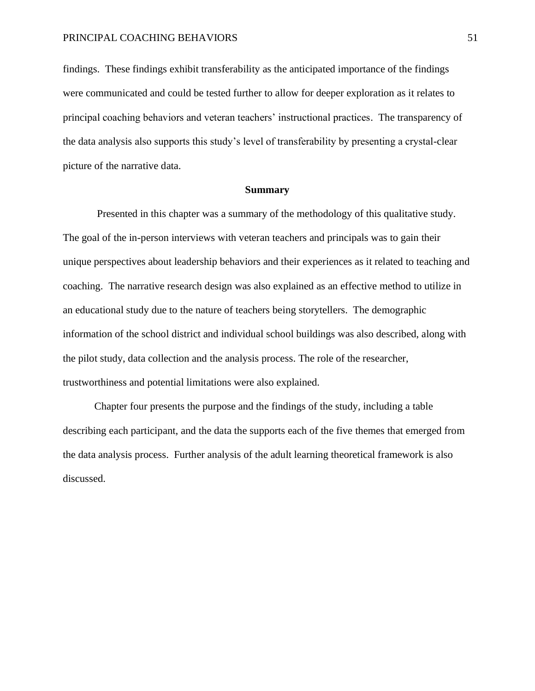findings. These findings exhibit transferability as the anticipated importance of the findings were communicated and could be tested further to allow for deeper exploration as it relates to principal coaching behaviors and veteran teachers' instructional practices. The transparency of the data analysis also supports this study's level of transferability by presenting a crystal-clear picture of the narrative data.

## **Summary**

Presented in this chapter was a summary of the methodology of this qualitative study. The goal of the in-person interviews with veteran teachers and principals was to gain their unique perspectives about leadership behaviors and their experiences as it related to teaching and coaching. The narrative research design was also explained as an effective method to utilize in an educational study due to the nature of teachers being storytellers. The demographic information of the school district and individual school buildings was also described, along with the pilot study, data collection and the analysis process. The role of the researcher, trustworthiness and potential limitations were also explained.

Chapter four presents the purpose and the findings of the study, including a table describing each participant, and the data the supports each of the five themes that emerged from the data analysis process. Further analysis of the adult learning theoretical framework is also discussed.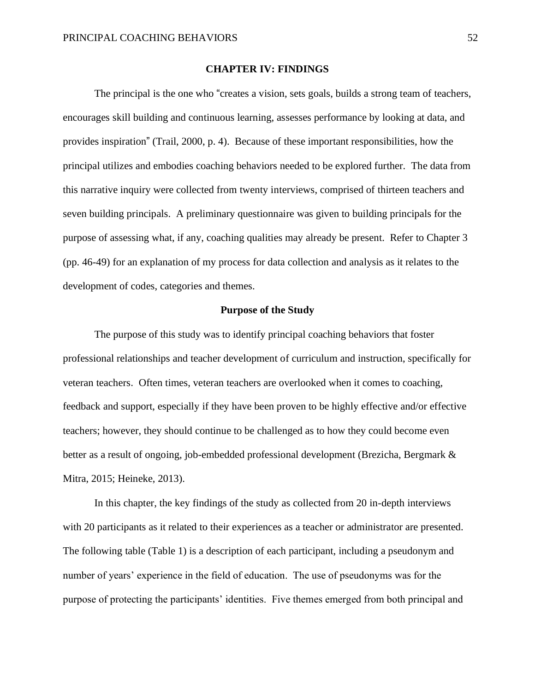## **CHAPTER IV: FINDINGS**

The principal is the one who "creates a vision, sets goals, builds a strong team of teachers, encourages skill building and continuous learning, assesses performance by looking at data, and provides inspiration" (Trail, 2000, p. 4). Because of these important responsibilities, how the principal utilizes and embodies coaching behaviors needed to be explored further. The data from this narrative inquiry were collected from twenty interviews, comprised of thirteen teachers and seven building principals. A preliminary questionnaire was given to building principals for the purpose of assessing what, if any, coaching qualities may already be present. Refer to Chapter 3 (pp. 46-49) for an explanation of my process for data collection and analysis as it relates to the development of codes, categories and themes.

## **Purpose of the Study**

The purpose of this study was to identify principal coaching behaviors that foster professional relationships and teacher development of curriculum and instruction, specifically for veteran teachers. Often times, veteran teachers are overlooked when it comes to coaching, feedback and support, especially if they have been proven to be highly effective and/or effective teachers; however, they should continue to be challenged as to how they could become even better as a result of ongoing, job-embedded professional development (Brezicha, Bergmark & Mitra, 2015; Heineke, 2013).

In this chapter, the key findings of the study as collected from 20 in-depth interviews with 20 participants as it related to their experiences as a teacher or administrator are presented. The following table (Table 1) is a description of each participant, including a pseudonym and number of years' experience in the field of education. The use of pseudonyms was for the purpose of protecting the participants' identities. Five themes emerged from both principal and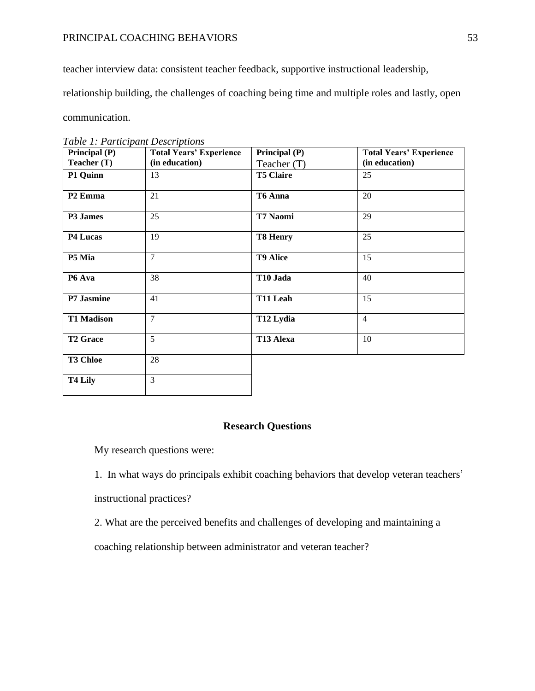teacher interview data: consistent teacher feedback, supportive instructional leadership,

relationship building, the challenges of coaching being time and multiple roles and lastly, open

communication.

| Principal (P)       | <b>Total Years' Experience</b> | Principal (P)         | <b>Total Years' Experience</b> |
|---------------------|--------------------------------|-----------------------|--------------------------------|
| Teacher $(T)$       | (in education)                 | Teacher (T)           | (in education)                 |
| P1 Quinn            | 13                             | <b>T5 Claire</b>      | 25                             |
| P <sub>2</sub> Emma | 21                             | T6 Anna               | 20                             |
| P3 James            | 25                             | T7 Naomi              | 29                             |
| P4 Lucas            | 19                             | <b>T8 Henry</b>       | 25                             |
| P5 Mia              | $\tau$                         | <b>T9 Alice</b>       | 15                             |
| P6 Ava              | 38                             | T10 Jada              | 40                             |
| P7 Jasmine          | 41                             | T11 Leah              | 15                             |
| <b>T1 Madison</b>   | $\overline{7}$                 | T <sub>12</sub> Lydia | $\overline{4}$                 |
| <b>T2 Grace</b>     | 5                              | T13 Alexa             | 10                             |
| <b>T3 Chloe</b>     | 28                             |                       |                                |
| T <sub>4</sub> Lily | $\overline{3}$                 |                       |                                |

*Table 1: Participant Descriptions* 

# **Research Questions**

My research questions were:

1. In what ways do principals exhibit coaching behaviors that develop veteran teachers' instructional practices?

2. What are the perceived benefits and challenges of developing and maintaining a

coaching relationship between administrator and veteran teacher?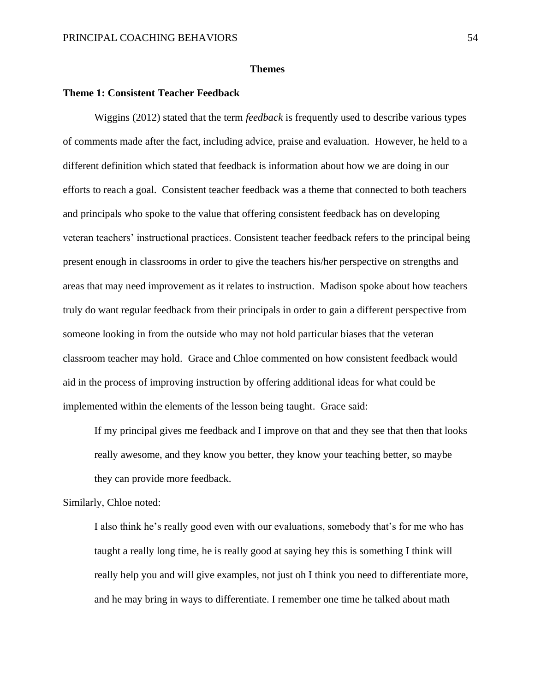## **Themes**

## **Theme 1: Consistent Teacher Feedback**

Wiggins (2012) stated that the term *feedback* is frequently used to describe various types of comments made after the fact, including advice, praise and evaluation. However, he held to a different definition which stated that feedback is information about how we are doing in our efforts to reach a goal. Consistent teacher feedback was a theme that connected to both teachers and principals who spoke to the value that offering consistent feedback has on developing veteran teachers' instructional practices. Consistent teacher feedback refers to the principal being present enough in classrooms in order to give the teachers his/her perspective on strengths and areas that may need improvement as it relates to instruction. Madison spoke about how teachers truly do want regular feedback from their principals in order to gain a different perspective from someone looking in from the outside who may not hold particular biases that the veteran classroom teacher may hold. Grace and Chloe commented on how consistent feedback would aid in the process of improving instruction by offering additional ideas for what could be implemented within the elements of the lesson being taught. Grace said:

If my principal gives me feedback and I improve on that and they see that then that looks really awesome, and they know you better, they know your teaching better, so maybe they can provide more feedback.

Similarly, Chloe noted:

I also think he's really good even with our evaluations, somebody that's for me who has taught a really long time, he is really good at saying hey this is something I think will really help you and will give examples, not just oh I think you need to differentiate more, and he may bring in ways to differentiate. I remember one time he talked about math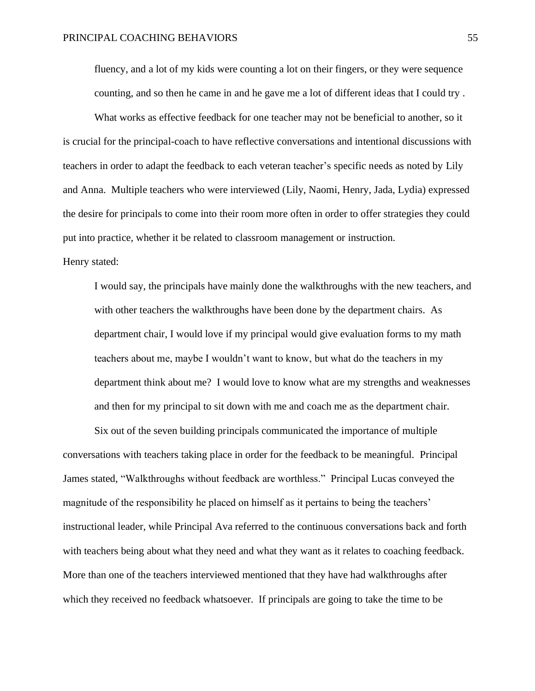fluency, and a lot of my kids were counting a lot on their fingers, or they were sequence counting, and so then he came in and he gave me a lot of different ideas that I could try .

What works as effective feedback for one teacher may not be beneficial to another, so it is crucial for the principal-coach to have reflective conversations and intentional discussions with teachers in order to adapt the feedback to each veteran teacher's specific needs as noted by Lily and Anna. Multiple teachers who were interviewed (Lily, Naomi, Henry, Jada, Lydia) expressed the desire for principals to come into their room more often in order to offer strategies they could put into practice, whether it be related to classroom management or instruction. Henry stated:

I would say, the principals have mainly done the walkthroughs with the new teachers, and with other teachers the walkthroughs have been done by the department chairs. As department chair, I would love if my principal would give evaluation forms to my math teachers about me, maybe I wouldn't want to know, but what do the teachers in my department think about me? I would love to know what are my strengths and weaknesses and then for my principal to sit down with me and coach me as the department chair.

Six out of the seven building principals communicated the importance of multiple conversations with teachers taking place in order for the feedback to be meaningful. Principal James stated, "Walkthroughs without feedback are worthless." Principal Lucas conveyed the magnitude of the responsibility he placed on himself as it pertains to being the teachers' instructional leader, while Principal Ava referred to the continuous conversations back and forth with teachers being about what they need and what they want as it relates to coaching feedback. More than one of the teachers interviewed mentioned that they have had walkthroughs after which they received no feedback whatsoever. If principals are going to take the time to be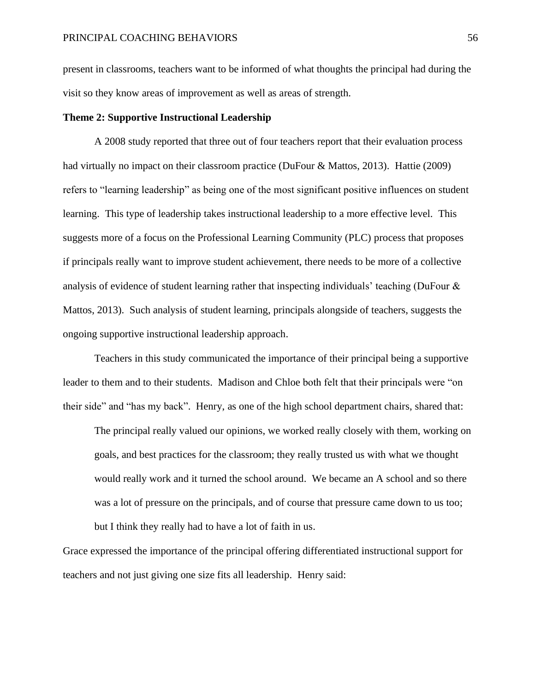present in classrooms, teachers want to be informed of what thoughts the principal had during the visit so they know areas of improvement as well as areas of strength.

## **Theme 2: Supportive Instructional Leadership**

A 2008 study reported that three out of four teachers report that their evaluation process had virtually no impact on their classroom practice (DuFour & Mattos, 2013). Hattie (2009) refers to "learning leadership" as being one of the most significant positive influences on student learning. This type of leadership takes instructional leadership to a more effective level. This suggests more of a focus on the Professional Learning Community (PLC) process that proposes if principals really want to improve student achievement, there needs to be more of a collective analysis of evidence of student learning rather that inspecting individuals' teaching (DuFour & Mattos, 2013). Such analysis of student learning, principals alongside of teachers, suggests the ongoing supportive instructional leadership approach.

Teachers in this study communicated the importance of their principal being a supportive leader to them and to their students. Madison and Chloe both felt that their principals were "on their side" and "has my back". Henry, as one of the high school department chairs, shared that:

The principal really valued our opinions, we worked really closely with them, working on goals, and best practices for the classroom; they really trusted us with what we thought would really work and it turned the school around. We became an A school and so there was a lot of pressure on the principals, and of course that pressure came down to us too; but I think they really had to have a lot of faith in us.

Grace expressed the importance of the principal offering differentiated instructional support for teachers and not just giving one size fits all leadership. Henry said: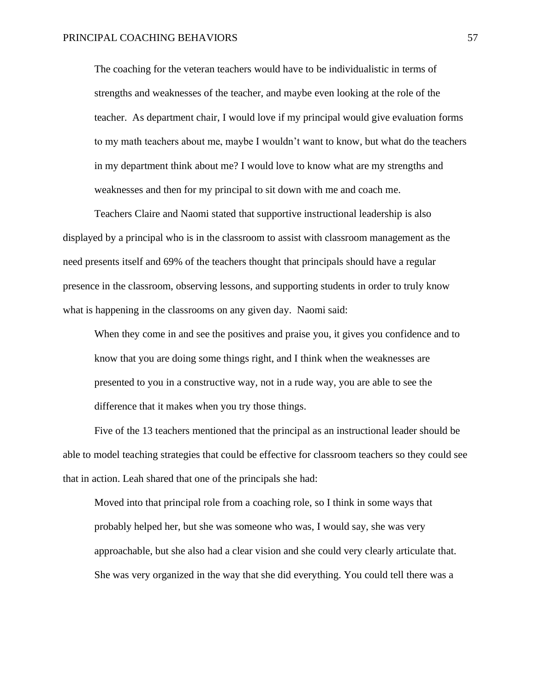The coaching for the veteran teachers would have to be individualistic in terms of strengths and weaknesses of the teacher, and maybe even looking at the role of the teacher. As department chair, I would love if my principal would give evaluation forms to my math teachers about me, maybe I wouldn't want to know, but what do the teachers in my department think about me? I would love to know what are my strengths and weaknesses and then for my principal to sit down with me and coach me.

Teachers Claire and Naomi stated that supportive instructional leadership is also displayed by a principal who is in the classroom to assist with classroom management as the need presents itself and 69% of the teachers thought that principals should have a regular presence in the classroom, observing lessons, and supporting students in order to truly know what is happening in the classrooms on any given day. Naomi said:

When they come in and see the positives and praise you, it gives you confidence and to know that you are doing some things right, and I think when the weaknesses are presented to you in a constructive way, not in a rude way, you are able to see the difference that it makes when you try those things.

Five of the 13 teachers mentioned that the principal as an instructional leader should be able to model teaching strategies that could be effective for classroom teachers so they could see that in action. Leah shared that one of the principals she had:

Moved into that principal role from a coaching role, so I think in some ways that probably helped her, but she was someone who was, I would say, she was very approachable, but she also had a clear vision and she could very clearly articulate that. She was very organized in the way that she did everything. You could tell there was a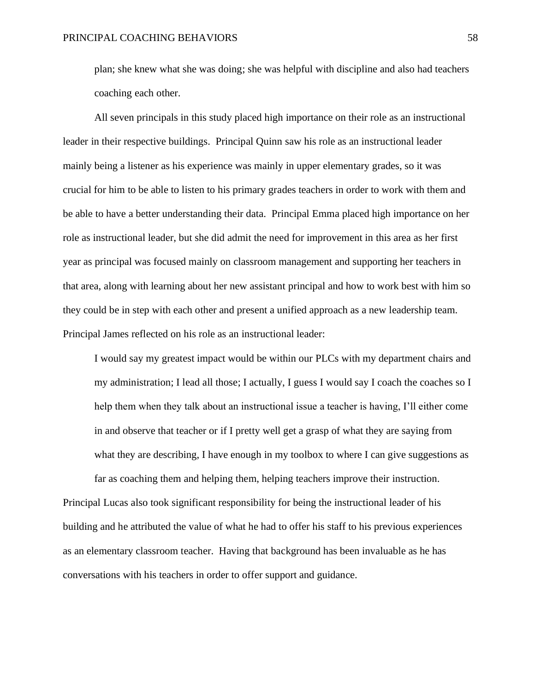plan; she knew what she was doing; she was helpful with discipline and also had teachers coaching each other.

All seven principals in this study placed high importance on their role as an instructional leader in their respective buildings. Principal Quinn saw his role as an instructional leader mainly being a listener as his experience was mainly in upper elementary grades, so it was crucial for him to be able to listen to his primary grades teachers in order to work with them and be able to have a better understanding their data. Principal Emma placed high importance on her role as instructional leader, but she did admit the need for improvement in this area as her first year as principal was focused mainly on classroom management and supporting her teachers in that area, along with learning about her new assistant principal and how to work best with him so they could be in step with each other and present a unified approach as a new leadership team. Principal James reflected on his role as an instructional leader:

I would say my greatest impact would be within our PLCs with my department chairs and my administration; I lead all those; I actually, I guess I would say I coach the coaches so I help them when they talk about an instructional issue a teacher is having, I'll either come in and observe that teacher or if I pretty well get a grasp of what they are saying from what they are describing, I have enough in my toolbox to where I can give suggestions as

far as coaching them and helping them, helping teachers improve their instruction. Principal Lucas also took significant responsibility for being the instructional leader of his building and he attributed the value of what he had to offer his staff to his previous experiences as an elementary classroom teacher. Having that background has been invaluable as he has conversations with his teachers in order to offer support and guidance.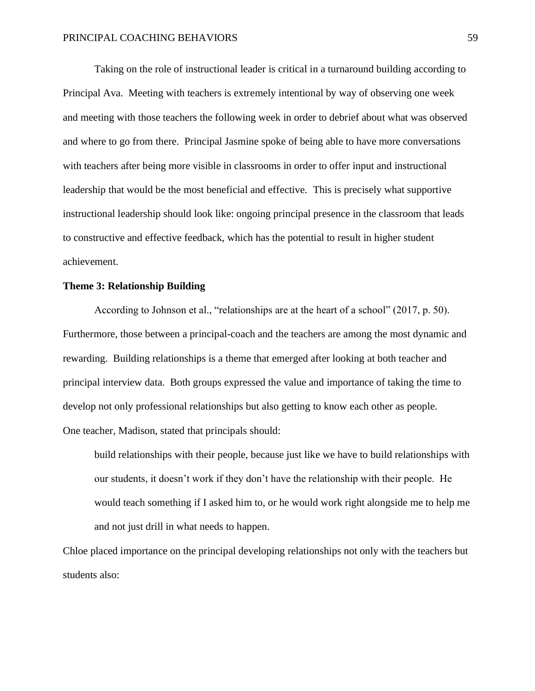Taking on the role of instructional leader is critical in a turnaround building according to Principal Ava. Meeting with teachers is extremely intentional by way of observing one week and meeting with those teachers the following week in order to debrief about what was observed and where to go from there. Principal Jasmine spoke of being able to have more conversations with teachers after being more visible in classrooms in order to offer input and instructional leadership that would be the most beneficial and effective. This is precisely what supportive instructional leadership should look like: ongoing principal presence in the classroom that leads to constructive and effective feedback, which has the potential to result in higher student achievement.

# **Theme 3: Relationship Building**

According to Johnson et al., "relationships are at the heart of a school" (2017, p. 50). Furthermore, those between a principal-coach and the teachers are among the most dynamic and rewarding. Building relationships is a theme that emerged after looking at both teacher and principal interview data. Both groups expressed the value and importance of taking the time to develop not only professional relationships but also getting to know each other as people. One teacher, Madison, stated that principals should:

build relationships with their people, because just like we have to build relationships with our students, it doesn't work if they don't have the relationship with their people. He would teach something if I asked him to, or he would work right alongside me to help me and not just drill in what needs to happen.

Chloe placed importance on the principal developing relationships not only with the teachers but students also: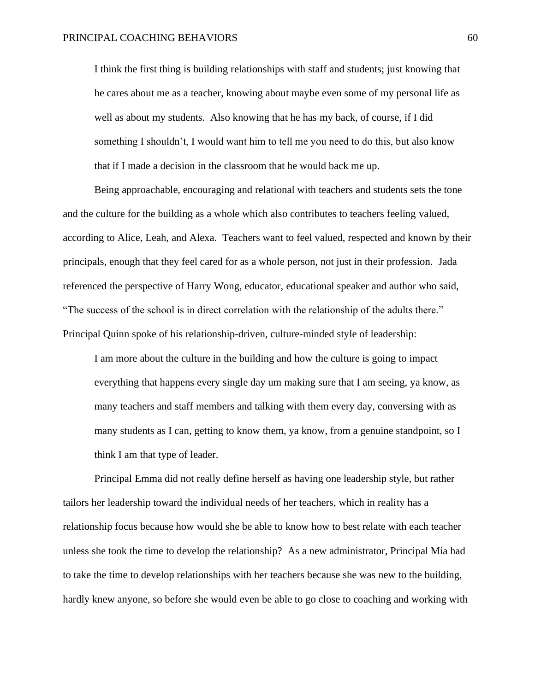I think the first thing is building relationships with staff and students; just knowing that he cares about me as a teacher, knowing about maybe even some of my personal life as well as about my students. Also knowing that he has my back, of course, if I did something I shouldn't, I would want him to tell me you need to do this, but also know that if I made a decision in the classroom that he would back me up.

Being approachable, encouraging and relational with teachers and students sets the tone and the culture for the building as a whole which also contributes to teachers feeling valued, according to Alice, Leah, and Alexa. Teachers want to feel valued, respected and known by their principals, enough that they feel cared for as a whole person, not just in their profession. Jada referenced the perspective of Harry Wong, educator, educational speaker and author who said, "The success of the school is in direct correlation with the relationship of the adults there." Principal Quinn spoke of his relationship-driven, culture-minded style of leadership:

I am more about the culture in the building and how the culture is going to impact everything that happens every single day um making sure that I am seeing, ya know, as many teachers and staff members and talking with them every day, conversing with as many students as I can, getting to know them, ya know, from a genuine standpoint, so I think I am that type of leader.

Principal Emma did not really define herself as having one leadership style, but rather tailors her leadership toward the individual needs of her teachers, which in reality has a relationship focus because how would she be able to know how to best relate with each teacher unless she took the time to develop the relationship? As a new administrator, Principal Mia had to take the time to develop relationships with her teachers because she was new to the building, hardly knew anyone, so before she would even be able to go close to coaching and working with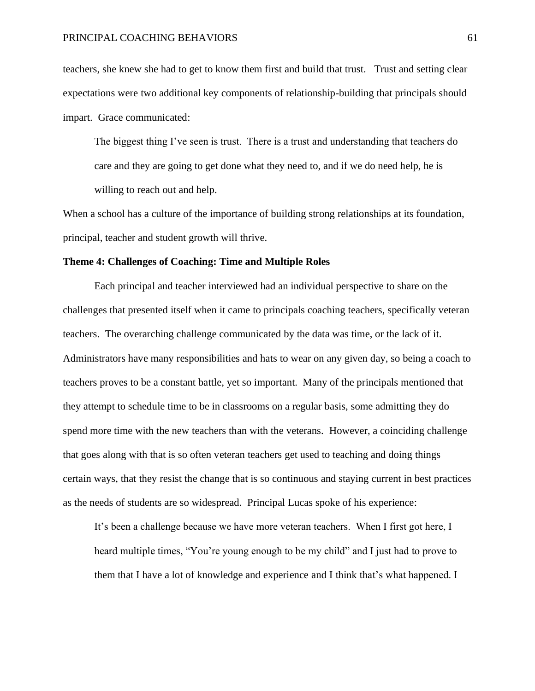teachers, she knew she had to get to know them first and build that trust. Trust and setting clear expectations were two additional key components of relationship-building that principals should impart. Grace communicated:

The biggest thing I've seen is trust. There is a trust and understanding that teachers do care and they are going to get done what they need to, and if we do need help, he is willing to reach out and help.

When a school has a culture of the importance of building strong relationships at its foundation, principal, teacher and student growth will thrive.

## **Theme 4: Challenges of Coaching: Time and Multiple Roles**

Each principal and teacher interviewed had an individual perspective to share on the challenges that presented itself when it came to principals coaching teachers, specifically veteran teachers. The overarching challenge communicated by the data was time, or the lack of it. Administrators have many responsibilities and hats to wear on any given day, so being a coach to teachers proves to be a constant battle, yet so important. Many of the principals mentioned that they attempt to schedule time to be in classrooms on a regular basis, some admitting they do spend more time with the new teachers than with the veterans. However, a coinciding challenge that goes along with that is so often veteran teachers get used to teaching and doing things certain ways, that they resist the change that is so continuous and staying current in best practices as the needs of students are so widespread. Principal Lucas spoke of his experience:

It's been a challenge because we have more veteran teachers. When I first got here, I heard multiple times, "You're young enough to be my child" and I just had to prove to them that I have a lot of knowledge and experience and I think that's what happened. I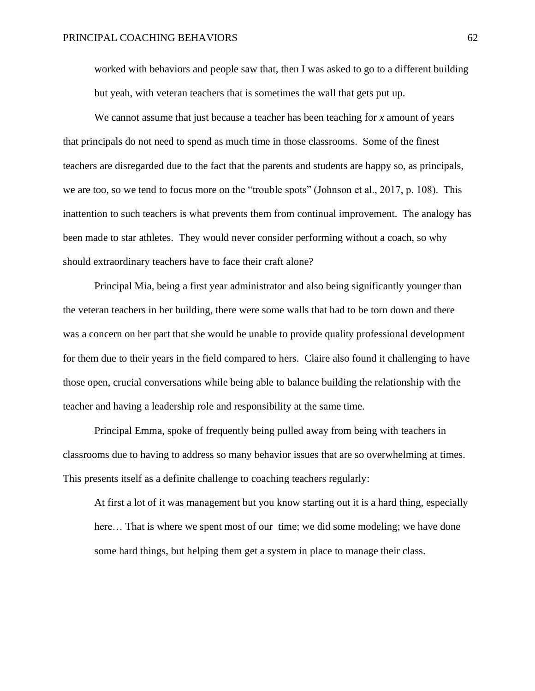worked with behaviors and people saw that, then I was asked to go to a different building but yeah, with veteran teachers that is sometimes the wall that gets put up.

We cannot assume that just because a teacher has been teaching for *x* amount of years that principals do not need to spend as much time in those classrooms. Some of the finest teachers are disregarded due to the fact that the parents and students are happy so, as principals, we are too, so we tend to focus more on the "trouble spots" (Johnson et al., 2017, p. 108). This inattention to such teachers is what prevents them from continual improvement. The analogy has been made to star athletes. They would never consider performing without a coach, so why should extraordinary teachers have to face their craft alone?

Principal Mia, being a first year administrator and also being significantly younger than the veteran teachers in her building, there were some walls that had to be torn down and there was a concern on her part that she would be unable to provide quality professional development for them due to their years in the field compared to hers. Claire also found it challenging to have those open, crucial conversations while being able to balance building the relationship with the teacher and having a leadership role and responsibility at the same time.

Principal Emma, spoke of frequently being pulled away from being with teachers in classrooms due to having to address so many behavior issues that are so overwhelming at times. This presents itself as a definite challenge to coaching teachers regularly:

At first a lot of it was management but you know starting out it is a hard thing, especially here… That is where we spent most of our time; we did some modeling; we have done some hard things, but helping them get a system in place to manage their class.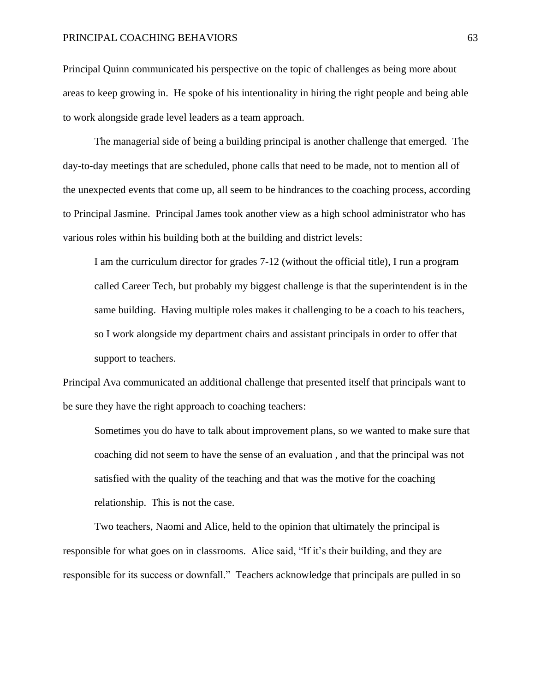#### PRINCIPAL COACHING BEHAVIORS 63

Principal Quinn communicated his perspective on the topic of challenges as being more about areas to keep growing in. He spoke of his intentionality in hiring the right people and being able to work alongside grade level leaders as a team approach.

The managerial side of being a building principal is another challenge that emerged. The day-to-day meetings that are scheduled, phone calls that need to be made, not to mention all of the unexpected events that come up, all seem to be hindrances to the coaching process, according to Principal Jasmine. Principal James took another view as a high school administrator who has various roles within his building both at the building and district levels:

I am the curriculum director for grades 7-12 (without the official title), I run a program called Career Tech, but probably my biggest challenge is that the superintendent is in the same building. Having multiple roles makes it challenging to be a coach to his teachers, so I work alongside my department chairs and assistant principals in order to offer that support to teachers.

Principal Ava communicated an additional challenge that presented itself that principals want to be sure they have the right approach to coaching teachers:

Sometimes you do have to talk about improvement plans, so we wanted to make sure that coaching did not seem to have the sense of an evaluation , and that the principal was not satisfied with the quality of the teaching and that was the motive for the coaching relationship. This is not the case.

Two teachers, Naomi and Alice, held to the opinion that ultimately the principal is responsible for what goes on in classrooms. Alice said, "If it's their building, and they are responsible for its success or downfall." Teachers acknowledge that principals are pulled in so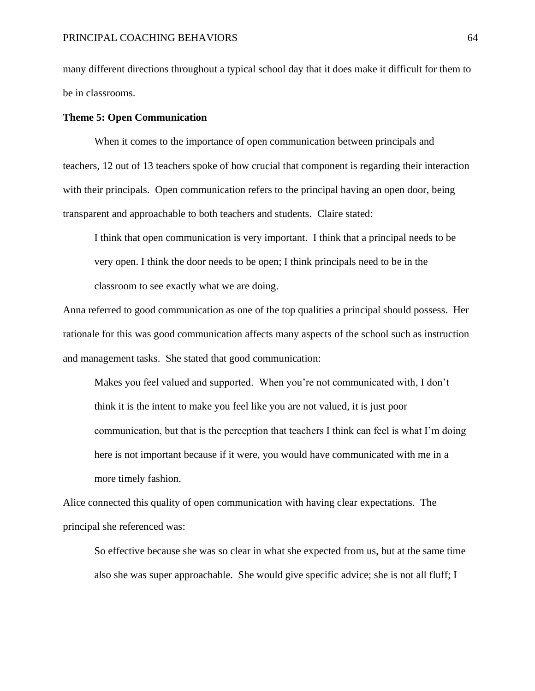many different directions throughout a typical school day that it does make it difficult for them to be in classrooms.

#### **Theme 5: Open Communication**

When it comes to the importance of open communication between principals and teachers, 12 out of 13 teachers spoke of how crucial that component is regarding their interaction with their principals. Open communication refers to the principal having an open door, being transparent and approachable to both teachers and students. Claire stated:

I think that open communication is very important. I think that a principal needs to be very open. I think the door needs to be open; I think principals need to be in the classroom to see exactly what we are doing.

Anna referred to good communication as one of the top qualities a principal should possess. Her rationale for this was good communication affects many aspects of the school such as instruction and management tasks. She stated that good communication:

Makes you feel valued and supported. When you're not communicated with, I don't think it is the intent to make you feel like you are not valued, it is just poor communication, but that is the perception that teachers I think can feel is what I'm doing here is not important because if it were, you would have communicated with me in a more timely fashion.

Alice connected this quality of open communication with having clear expectations. The principal she referenced was:

So effective because she was so clear in what she expected from us, but at the same time also she was super approachable. She would give specific advice; she is not all fluff; I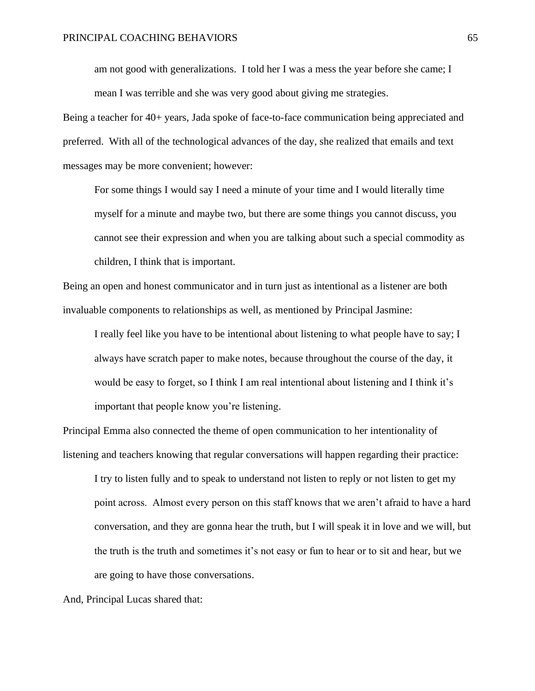am not good with generalizations. I told her I was a mess the year before she came; I mean I was terrible and she was very good about giving me strategies.

Being a teacher for 40+ years, Jada spoke of face-to-face communication being appreciated and preferred. With all of the technological advances of the day, she realized that emails and text messages may be more convenient; however:

For some things I would say I need a minute of your time and I would literally time myself for a minute and maybe two, but there are some things you cannot discuss, you cannot see their expression and when you are talking about such a special commodity as children, I think that is important.

Being an open and honest communicator and in turn just as intentional as a listener are both invaluable components to relationships as well, as mentioned by Principal Jasmine:

I really feel like you have to be intentional about listening to what people have to say; I always have scratch paper to make notes, because throughout the course of the day, it would be easy to forget, so I think I am real intentional about listening and I think it's important that people know you're listening.

Principal Emma also connected the theme of open communication to her intentionality of listening and teachers knowing that regular conversations will happen regarding their practice:

I try to listen fully and to speak to understand not listen to reply or not listen to get my point across. Almost every person on this staff knows that we aren't afraid to have a hard conversation, and they are gonna hear the truth, but I will speak it in love and we will, but the truth is the truth and sometimes it's not easy or fun to hear or to sit and hear, but we are going to have those conversations.

And, Principal Lucas shared that: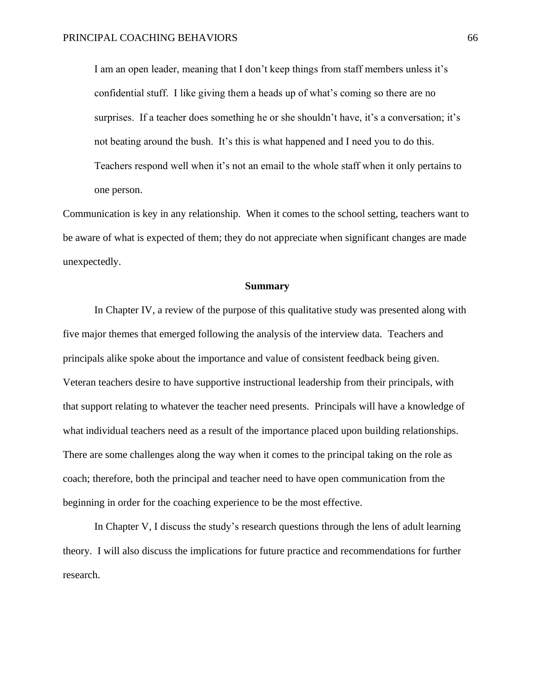I am an open leader, meaning that I don't keep things from staff members unless it's confidential stuff. I like giving them a heads up of what's coming so there are no surprises. If a teacher does something he or she shouldn't have, it's a conversation; it's not beating around the bush. It's this is what happened and I need you to do this. Teachers respond well when it's not an email to the whole staff when it only pertains to one person.

Communication is key in any relationship. When it comes to the school setting, teachers want to be aware of what is expected of them; they do not appreciate when significant changes are made unexpectedly.

#### **Summary**

In Chapter IV, a review of the purpose of this qualitative study was presented along with five major themes that emerged following the analysis of the interview data. Teachers and principals alike spoke about the importance and value of consistent feedback being given. Veteran teachers desire to have supportive instructional leadership from their principals, with that support relating to whatever the teacher need presents. Principals will have a knowledge of what individual teachers need as a result of the importance placed upon building relationships. There are some challenges along the way when it comes to the principal taking on the role as coach; therefore, both the principal and teacher need to have open communication from the beginning in order for the coaching experience to be the most effective.

In Chapter V, I discuss the study's research questions through the lens of adult learning theory. I will also discuss the implications for future practice and recommendations for further research.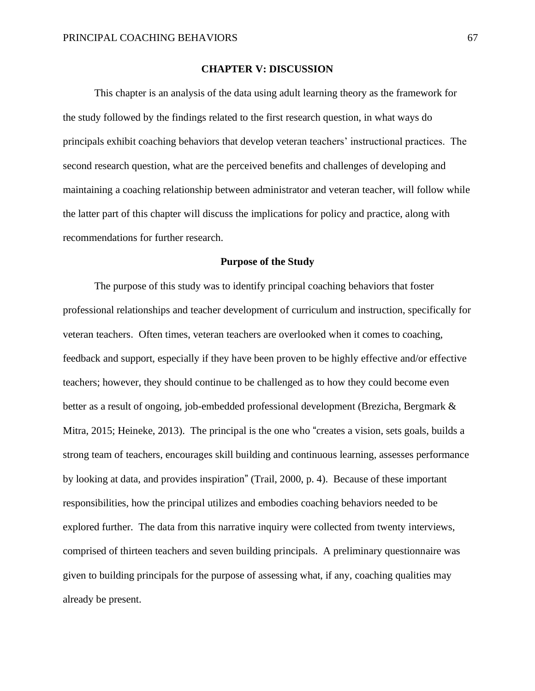#### **CHAPTER V: DISCUSSION**

This chapter is an analysis of the data using adult learning theory as the framework for the study followed by the findings related to the first research question, in what ways do principals exhibit coaching behaviors that develop veteran teachers' instructional practices. The second research question, what are the perceived benefits and challenges of developing and maintaining a coaching relationship between administrator and veteran teacher, will follow while the latter part of this chapter will discuss the implications for policy and practice, along with recommendations for further research.

#### **Purpose of the Study**

The purpose of this study was to identify principal coaching behaviors that foster professional relationships and teacher development of curriculum and instruction, specifically for veteran teachers. Often times, veteran teachers are overlooked when it comes to coaching, feedback and support, especially if they have been proven to be highly effective and/or effective teachers; however, they should continue to be challenged as to how they could become even better as a result of ongoing, job-embedded professional development (Brezicha, Bergmark & Mitra, 2015; Heineke, 2013). The principal is the one who "creates a vision, sets goals, builds a strong team of teachers, encourages skill building and continuous learning, assesses performance by looking at data, and provides inspiration" (Trail, 2000, p. 4). Because of these important responsibilities, how the principal utilizes and embodies coaching behaviors needed to be explored further. The data from this narrative inquiry were collected from twenty interviews, comprised of thirteen teachers and seven building principals. A preliminary questionnaire was given to building principals for the purpose of assessing what, if any, coaching qualities may already be present.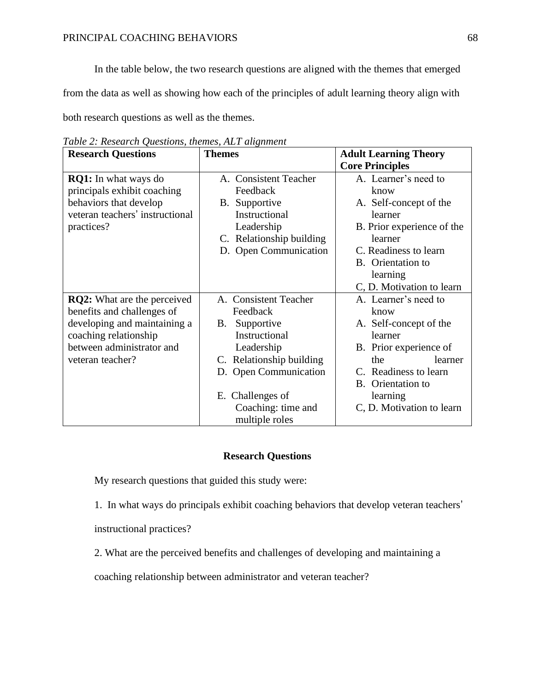In the table below, the two research questions are aligned with the themes that emerged

from the data as well as showing how each of the principles of adult learning theory align with

both research questions as well as the themes.

| <b>Research Questions</b>          | <b>Themes</b>            | <b>Adult Learning Theory</b> |  |
|------------------------------------|--------------------------|------------------------------|--|
|                                    |                          | <b>Core Principles</b>       |  |
| <b>RQ1:</b> In what ways do        | A. Consistent Teacher    | A. Learner's need to         |  |
| principals exhibit coaching        | Feedback                 | know                         |  |
| behaviors that develop             | B. Supportive            | A. Self-concept of the       |  |
| veteran teachers' instructional    | Instructional            | learner                      |  |
| practices?                         | Leadership               | B. Prior experience of the   |  |
|                                    | C. Relationship building | learner                      |  |
|                                    | D. Open Communication    | C. Readiness to learn        |  |
|                                    |                          | B. Orientation to            |  |
|                                    |                          | learning                     |  |
|                                    |                          | C, D. Motivation to learn    |  |
| <b>RQ2:</b> What are the perceived | A. Consistent Teacher    | A. Learner's need to         |  |
| benefits and challenges of         | Feedback                 | know                         |  |
| developing and maintaining a       | Supportive<br>В.         | A. Self-concept of the       |  |
| coaching relationship              | Instructional            | learner                      |  |
| between administrator and          | Leadership               | B. Prior experience of       |  |
| veteran teacher?                   | C. Relationship building | the<br>learner               |  |
|                                    | D. Open Communication    | C. Readiness to learn        |  |
|                                    |                          | B. Orientation to            |  |
|                                    | E. Challenges of         | learning                     |  |
|                                    | Coaching: time and       | C, D. Motivation to learn    |  |
|                                    | multiple roles           |                              |  |

*Table 2: Research Questions, themes, ALT alignment*

## **Research Questions**

My research questions that guided this study were:

1. In what ways do principals exhibit coaching behaviors that develop veteran teachers'

instructional practices?

2. What are the perceived benefits and challenges of developing and maintaining a

coaching relationship between administrator and veteran teacher?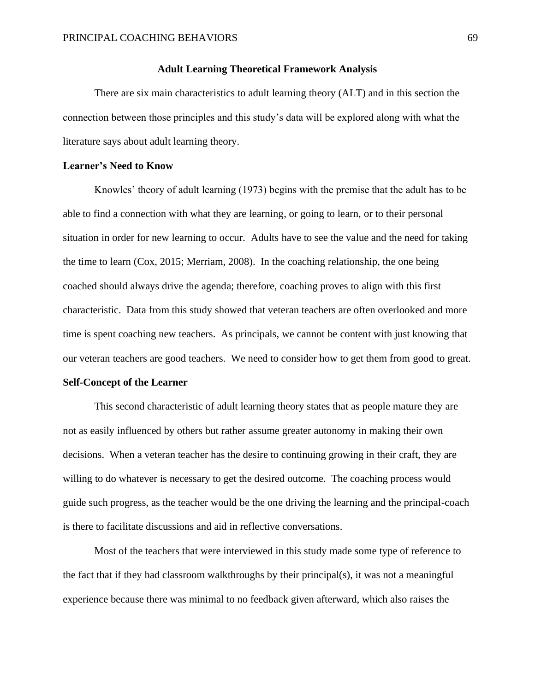### **Adult Learning Theoretical Framework Analysis**

There are six main characteristics to adult learning theory (ALT) and in this section the connection between those principles and this study's data will be explored along with what the literature says about adult learning theory.

#### **Learner's Need to Know**

Knowles' theory of adult learning (1973) begins with the premise that the adult has to be able to find a connection with what they are learning, or going to learn, or to their personal situation in order for new learning to occur. Adults have to see the value and the need for taking the time to learn (Cox, 2015; Merriam, 2008). In the coaching relationship, the one being coached should always drive the agenda; therefore, coaching proves to align with this first characteristic. Data from this study showed that veteran teachers are often overlooked and more time is spent coaching new teachers. As principals, we cannot be content with just knowing that our veteran teachers are good teachers. We need to consider how to get them from good to great.

#### **Self-Concept of the Learner**

This second characteristic of adult learning theory states that as people mature they are not as easily influenced by others but rather assume greater autonomy in making their own decisions. When a veteran teacher has the desire to continuing growing in their craft, they are willing to do whatever is necessary to get the desired outcome. The coaching process would guide such progress, as the teacher would be the one driving the learning and the principal-coach is there to facilitate discussions and aid in reflective conversations.

Most of the teachers that were interviewed in this study made some type of reference to the fact that if they had classroom walkthroughs by their principal(s), it was not a meaningful experience because there was minimal to no feedback given afterward, which also raises the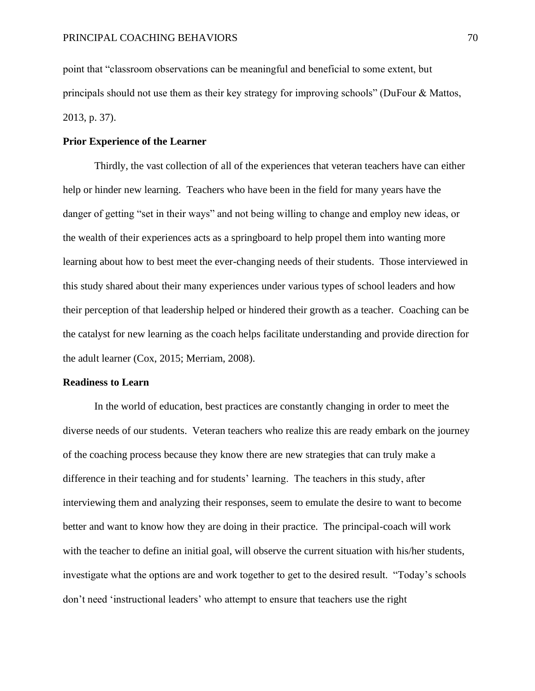point that "classroom observations can be meaningful and beneficial to some extent, but principals should not use them as their key strategy for improving schools" (DuFour & Mattos, 2013, p. 37).

#### **Prior Experience of the Learner**

Thirdly, the vast collection of all of the experiences that veteran teachers have can either help or hinder new learning. Teachers who have been in the field for many years have the danger of getting "set in their ways" and not being willing to change and employ new ideas, or the wealth of their experiences acts as a springboard to help propel them into wanting more learning about how to best meet the ever-changing needs of their students. Those interviewed in this study shared about their many experiences under various types of school leaders and how their perception of that leadership helped or hindered their growth as a teacher. Coaching can be the catalyst for new learning as the coach helps facilitate understanding and provide direction for the adult learner (Cox, 2015; Merriam, 2008).

#### **Readiness to Learn**

In the world of education, best practices are constantly changing in order to meet the diverse needs of our students. Veteran teachers who realize this are ready embark on the journey of the coaching process because they know there are new strategies that can truly make a difference in their teaching and for students' learning. The teachers in this study, after interviewing them and analyzing their responses, seem to emulate the desire to want to become better and want to know how they are doing in their practice. The principal-coach will work with the teacher to define an initial goal, will observe the current situation with his/her students, investigate what the options are and work together to get to the desired result. "Today's schools don't need 'instructional leaders' who attempt to ensure that teachers use the right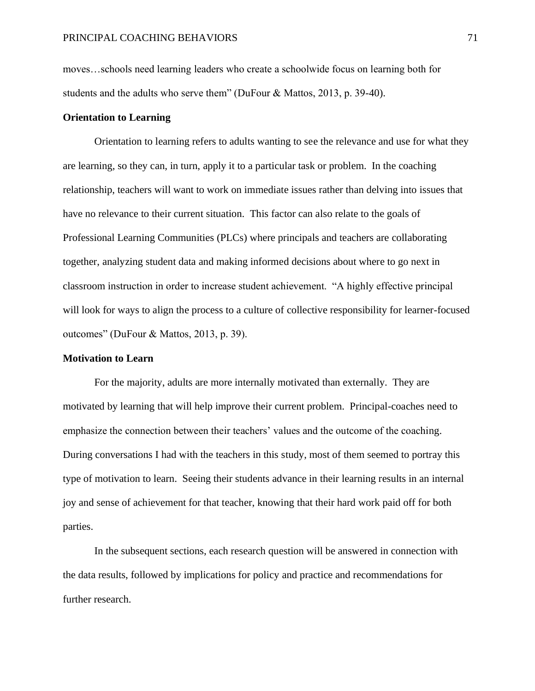moves…schools need learning leaders who create a schoolwide focus on learning both for students and the adults who serve them" (DuFour & Mattos, 2013, p. 39-40).

#### **Orientation to Learning**

Orientation to learning refers to adults wanting to see the relevance and use for what they are learning, so they can, in turn, apply it to a particular task or problem. In the coaching relationship, teachers will want to work on immediate issues rather than delving into issues that have no relevance to their current situation. This factor can also relate to the goals of Professional Learning Communities (PLCs) where principals and teachers are collaborating together, analyzing student data and making informed decisions about where to go next in classroom instruction in order to increase student achievement. "A highly effective principal will look for ways to align the process to a culture of collective responsibility for learner-focused outcomes" (DuFour & Mattos, 2013, p. 39).

#### **Motivation to Learn**

For the majority, adults are more internally motivated than externally. They are motivated by learning that will help improve their current problem. Principal-coaches need to emphasize the connection between their teachers' values and the outcome of the coaching. During conversations I had with the teachers in this study, most of them seemed to portray this type of motivation to learn. Seeing their students advance in their learning results in an internal joy and sense of achievement for that teacher, knowing that their hard work paid off for both parties.

In the subsequent sections, each research question will be answered in connection with the data results, followed by implications for policy and practice and recommendations for further research.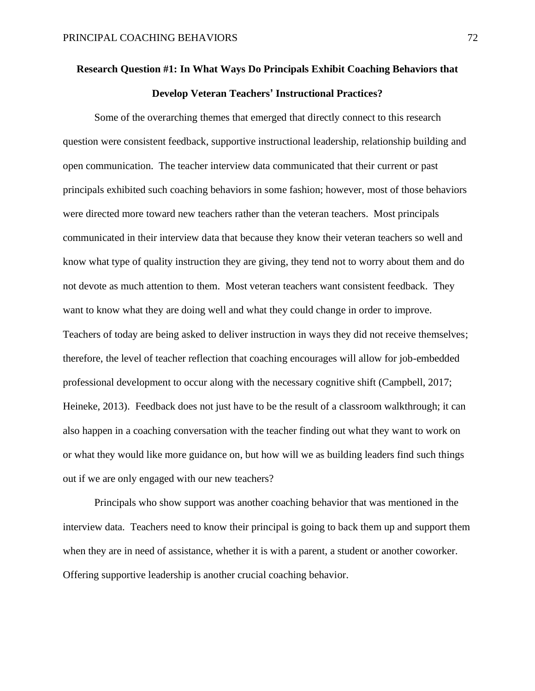# **Research Question #1: In What Ways Do Principals Exhibit Coaching Behaviors that Develop Veteran Teachers' Instructional Practices?**

Some of the overarching themes that emerged that directly connect to this research question were consistent feedback, supportive instructional leadership, relationship building and open communication. The teacher interview data communicated that their current or past principals exhibited such coaching behaviors in some fashion; however, most of those behaviors were directed more toward new teachers rather than the veteran teachers. Most principals communicated in their interview data that because they know their veteran teachers so well and know what type of quality instruction they are giving, they tend not to worry about them and do not devote as much attention to them. Most veteran teachers want consistent feedback. They want to know what they are doing well and what they could change in order to improve. Teachers of today are being asked to deliver instruction in ways they did not receive themselves; therefore, the level of teacher reflection that coaching encourages will allow for job-embedded professional development to occur along with the necessary cognitive shift (Campbell, 2017; Heineke, 2013). Feedback does not just have to be the result of a classroom walkthrough; it can also happen in a coaching conversation with the teacher finding out what they want to work on or what they would like more guidance on, but how will we as building leaders find such things out if we are only engaged with our new teachers?

Principals who show support was another coaching behavior that was mentioned in the interview data. Teachers need to know their principal is going to back them up and support them when they are in need of assistance, whether it is with a parent, a student or another coworker. Offering supportive leadership is another crucial coaching behavior.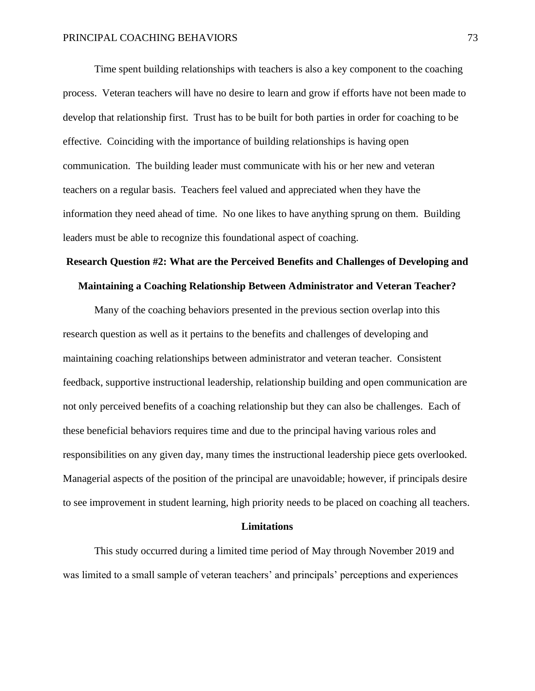Time spent building relationships with teachers is also a key component to the coaching process. Veteran teachers will have no desire to learn and grow if efforts have not been made to develop that relationship first. Trust has to be built for both parties in order for coaching to be effective. Coinciding with the importance of building relationships is having open communication. The building leader must communicate with his or her new and veteran teachers on a regular basis. Teachers feel valued and appreciated when they have the information they need ahead of time. No one likes to have anything sprung on them. Building leaders must be able to recognize this foundational aspect of coaching.

## **Research Question #2: What are the Perceived Benefits and Challenges of Developing and**

#### **Maintaining a Coaching Relationship Between Administrator and Veteran Teacher?**

Many of the coaching behaviors presented in the previous section overlap into this research question as well as it pertains to the benefits and challenges of developing and maintaining coaching relationships between administrator and veteran teacher. Consistent feedback, supportive instructional leadership, relationship building and open communication are not only perceived benefits of a coaching relationship but they can also be challenges. Each of these beneficial behaviors requires time and due to the principal having various roles and responsibilities on any given day, many times the instructional leadership piece gets overlooked. Managerial aspects of the position of the principal are unavoidable; however, if principals desire to see improvement in student learning, high priority needs to be placed on coaching all teachers.

#### **Limitations**

This study occurred during a limited time period of May through November 2019 and was limited to a small sample of veteran teachers' and principals' perceptions and experiences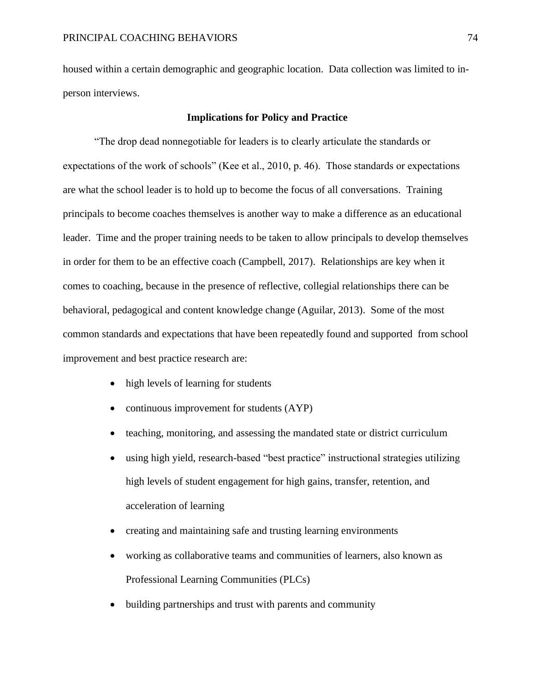housed within a certain demographic and geographic location. Data collection was limited to inperson interviews.

#### **Implications for Policy and Practice**

"The drop dead nonnegotiable for leaders is to clearly articulate the standards or expectations of the work of schools" (Kee et al., 2010, p. 46). Those standards or expectations are what the school leader is to hold up to become the focus of all conversations. Training principals to become coaches themselves is another way to make a difference as an educational leader. Time and the proper training needs to be taken to allow principals to develop themselves in order for them to be an effective coach (Campbell, 2017). Relationships are key when it comes to coaching, because in the presence of reflective, collegial relationships there can be behavioral, pedagogical and content knowledge change (Aguilar, 2013). Some of the most common standards and expectations that have been repeatedly found and supported from school improvement and best practice research are:

- high levels of learning for students
- continuous improvement for students (AYP)
- teaching, monitoring, and assessing the mandated state or district curriculum
- using high yield, research-based "best practice" instructional strategies utilizing high levels of student engagement for high gains, transfer, retention, and acceleration of learning
- creating and maintaining safe and trusting learning environments
- working as collaborative teams and communities of learners, also known as Professional Learning Communities (PLCs)
- building partnerships and trust with parents and community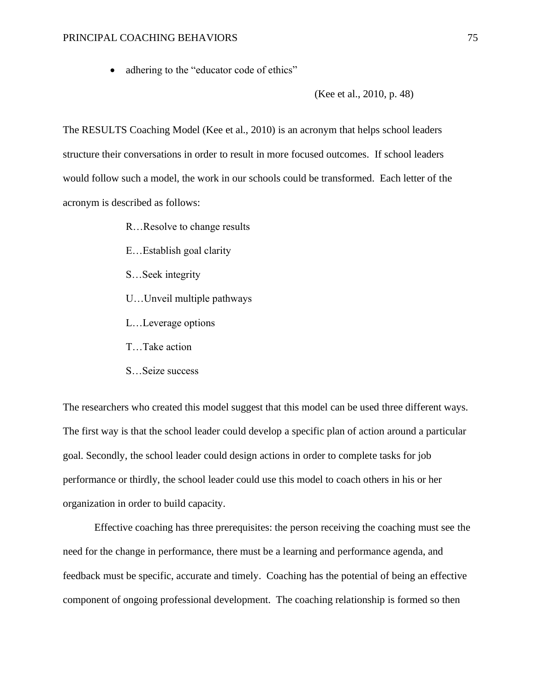• adhering to the "educator code of ethics"

(Kee et al., 2010, p. 48)

The RESULTS Coaching Model (Kee et al., 2010) is an acronym that helps school leaders structure their conversations in order to result in more focused outcomes. If school leaders would follow such a model, the work in our schools could be transformed. Each letter of the acronym is described as follows:

- R…Resolve to change results
- E…Establish goal clarity
- S…Seek integrity
- U…Unveil multiple pathways
- L…Leverage options
- T…Take action
- S…Seize success

The researchers who created this model suggest that this model can be used three different ways. The first way is that the school leader could develop a specific plan of action around a particular goal. Secondly, the school leader could design actions in order to complete tasks for job performance or thirdly, the school leader could use this model to coach others in his or her organization in order to build capacity.

Effective coaching has three prerequisites: the person receiving the coaching must see the need for the change in performance, there must be a learning and performance agenda, and feedback must be specific, accurate and timely. Coaching has the potential of being an effective component of ongoing professional development. The coaching relationship is formed so then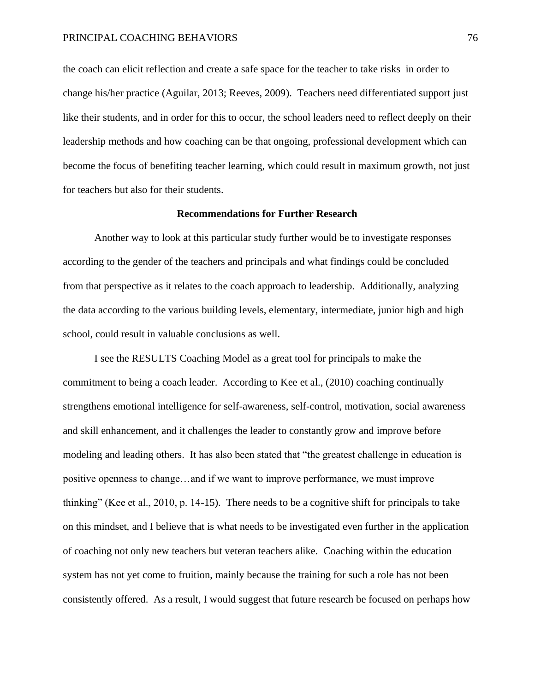the coach can elicit reflection and create a safe space for the teacher to take risks in order to change his/her practice (Aguilar, 2013; Reeves, 2009). Teachers need differentiated support just like their students, and in order for this to occur, the school leaders need to reflect deeply on their leadership methods and how coaching can be that ongoing, professional development which can become the focus of benefiting teacher learning, which could result in maximum growth, not just for teachers but also for their students.

#### **Recommendations for Further Research**

Another way to look at this particular study further would be to investigate responses according to the gender of the teachers and principals and what findings could be concluded from that perspective as it relates to the coach approach to leadership. Additionally, analyzing the data according to the various building levels, elementary, intermediate, junior high and high school, could result in valuable conclusions as well.

I see the RESULTS Coaching Model as a great tool for principals to make the commitment to being a coach leader. According to Kee et al., (2010) coaching continually strengthens emotional intelligence for self-awareness, self-control, motivation, social awareness and skill enhancement, and it challenges the leader to constantly grow and improve before modeling and leading others. It has also been stated that "the greatest challenge in education is positive openness to change…and if we want to improve performance, we must improve thinking" (Kee et al., 2010, p. 14-15). There needs to be a cognitive shift for principals to take on this mindset, and I believe that is what needs to be investigated even further in the application of coaching not only new teachers but veteran teachers alike. Coaching within the education system has not yet come to fruition, mainly because the training for such a role has not been consistently offered. As a result, I would suggest that future research be focused on perhaps how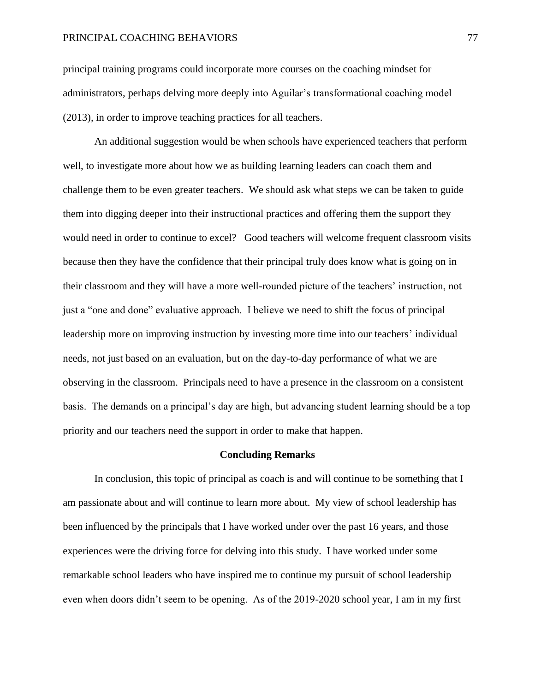#### PRINCIPAL COACHING BEHAVIORS 77

principal training programs could incorporate more courses on the coaching mindset for administrators, perhaps delving more deeply into Aguilar's transformational coaching model (2013), in order to improve teaching practices for all teachers.

An additional suggestion would be when schools have experienced teachers that perform well, to investigate more about how we as building learning leaders can coach them and challenge them to be even greater teachers. We should ask what steps we can be taken to guide them into digging deeper into their instructional practices and offering them the support they would need in order to continue to excel? Good teachers will welcome frequent classroom visits because then they have the confidence that their principal truly does know what is going on in their classroom and they will have a more well-rounded picture of the teachers' instruction, not just a "one and done" evaluative approach. I believe we need to shift the focus of principal leadership more on improving instruction by investing more time into our teachers' individual needs, not just based on an evaluation, but on the day-to-day performance of what we are observing in the classroom. Principals need to have a presence in the classroom on a consistent basis. The demands on a principal's day are high, but advancing student learning should be a top priority and our teachers need the support in order to make that happen.

#### **Concluding Remarks**

In conclusion, this topic of principal as coach is and will continue to be something that I am passionate about and will continue to learn more about. My view of school leadership has been influenced by the principals that I have worked under over the past 16 years, and those experiences were the driving force for delving into this study. I have worked under some remarkable school leaders who have inspired me to continue my pursuit of school leadership even when doors didn't seem to be opening. As of the 2019-2020 school year, I am in my first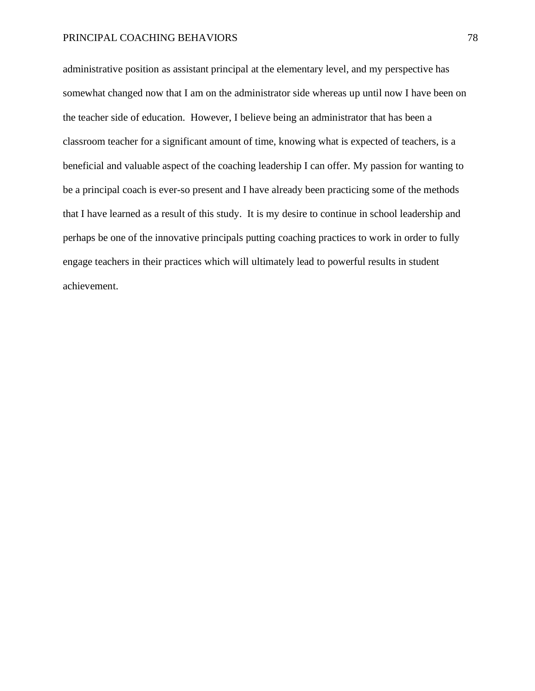#### PRINCIPAL COACHING BEHAVIORS 78

administrative position as assistant principal at the elementary level, and my perspective has somewhat changed now that I am on the administrator side whereas up until now I have been on the teacher side of education. However, I believe being an administrator that has been a classroom teacher for a significant amount of time, knowing what is expected of teachers, is a beneficial and valuable aspect of the coaching leadership I can offer. My passion for wanting to be a principal coach is ever-so present and I have already been practicing some of the methods that I have learned as a result of this study. It is my desire to continue in school leadership and perhaps be one of the innovative principals putting coaching practices to work in order to fully engage teachers in their practices which will ultimately lead to powerful results in student achievement.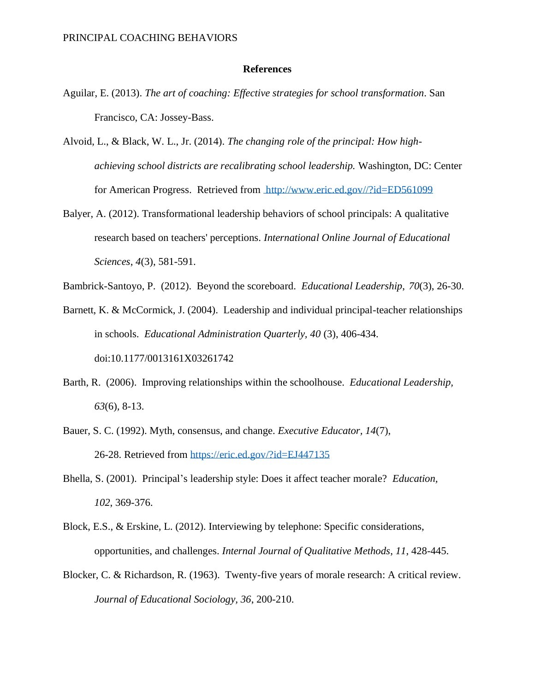#### **References**

- Aguilar, E. (2013). *The art of coaching: Effective strategies for school transformation*. San Francisco, CA: Jossey-Bass.
- Alvoid, L., & Black, W. L., Jr. (2014). *The changing role of the principal: How highachieving school districts are recalibrating school leadership.* Washington, DC: Center for American Progress. Retrieved from [h](https://files-eric-ed-/)ttp://www.eric.ed.gov//?id=ED561099
- Balyer, A. (2012). Transformational leadership behaviors of school principals: A qualitative research based on teachers' perceptions. *International Online Journal of Educational Sciences*, *4*(3), 581-591.
- Bambrick-Santoyo, P. (2012). Beyond the scoreboard. *Educational Leadership*, *70*(3), 26-30.
- Barnett, K. & McCormick, J. (2004). Leadership and individual principal-teacher relationships in schools. *Educational Administration Quarterly, 40* (3), 406-434. doi:10.1177/0013161X03261742
- Barth, R. (2006). Improving relationships within the schoolhouse. *Educational Leadership, 63*(6)*,* 8-13.
- Bauer, S. C. (1992). Myth, consensus, and change. *Executive Educator, 14*(7), 26-28. Retrieved from<https://eric.ed.gov/?id=EJ447135>
- Bhella, S. (2001). Principal's leadership style: Does it affect teacher morale? *Education, 102*, 369-376.
- Block, E.S., & Erskine, L. (2012). Interviewing by telephone: Specific considerations, opportunities, and challenges. *Internal Journal of Qualitative Methods*, *11*, 428-445.
- Blocker, C. & Richardson, R. (1963). Twenty-five years of morale research: A critical review. *Journal of Educational Sociology, 36*, 200-210.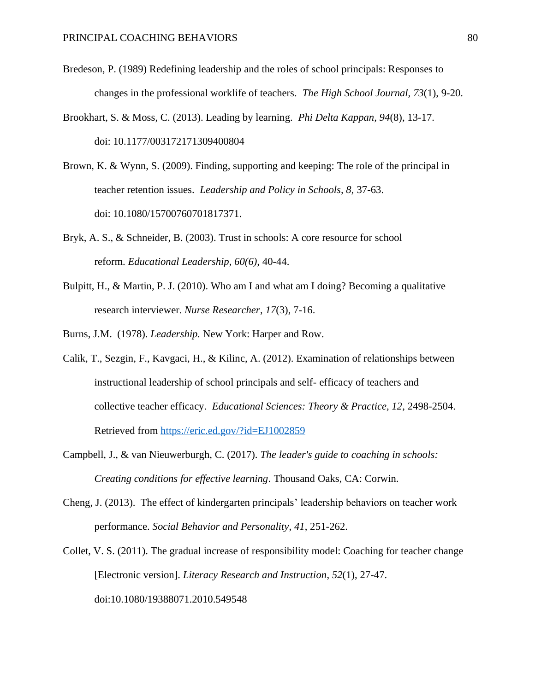- Bredeson, P. (1989) Redefining leadership and the roles of school principals: Responses to changes in the professional worklife of teachers. *The High School Journal, 73*(1), 9-20.
- Brookhart, S. & Moss, C. (2013). Leading by learning. *Phi Delta Kappan, 94*(8), 13-17. doi: 10.1177/003172171309400804
- Brown, K. & Wynn, S. (2009). Finding, supporting and keeping: The role of the principal in teacher retention issues. *Leadership and Policy in Schools, 8,* 37-63. doi: 10.1080/15700760701817371.
- Bryk, A. S., & Schneider, B. (2003). Trust in schools: A core resource for school reform. *Educational Leadership*, *60(6),* 40-44.
- Bulpitt, H., & Martin, P. J. (2010). Who am I and what am I doing? Becoming a qualitative research interviewer. *Nurse Researcher*, *17*(3), 7-16.
- Burns, J.M. (1978). *Leadership.* New York: Harper and Row.
- Calik, T., Sezgin, F., Kavgaci, H., & Kilinc, A. (2012). Examination of relationships between instructional leadership of school principals and self- efficacy of teachers and collective teacher efficacy. *Educational Sciences: Theory & Practice, 12*, 2498-2504. Retrieved from<https://eric.ed.gov/?id=EJ1002859>
- Campbell, J., & van Nieuwerburgh, C. (2017). *The leader's guide to coaching in schools: Creating conditions for effective learning*. Thousand Oaks, CA: Corwin.
- Cheng, J. (2013). The effect of kindergarten principals' leadership behaviors on teacher work performance. *Social Behavior and Personality*, *41*, 251-262.
- Collet, V. S. (2011). The gradual increase of responsibility model: Coaching for teacher change [Electronic version]. *Literacy Research and Instruction*, *52*(1), 27-47. doi:10.1080/19388071.2010.549548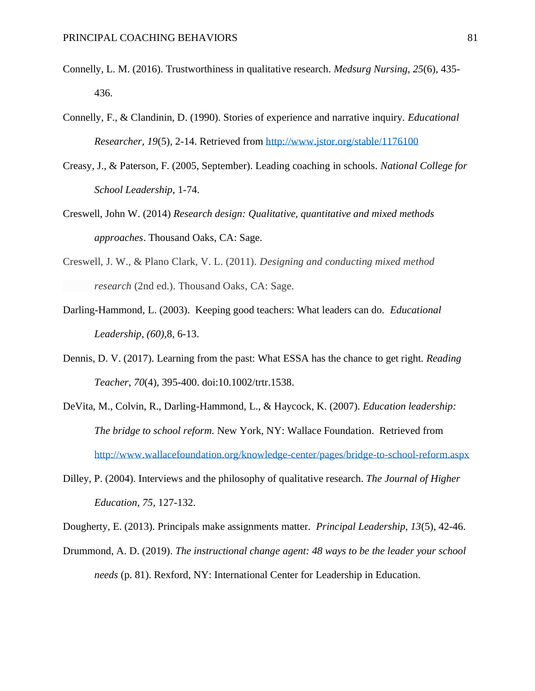- Connelly, L. M. (2016). Trustworthiness in qualitative research. *Medsurg Nursing*, *25*(6), 435- 436.
- Connelly, F., & Clandinin, D. (1990). Stories of experience and narrative inquiry. *Educational Researcher*, *19*(5), 2-14. Retrieved from<http://www.jstor.org/stable/1176100>
- Creasy, J., & Paterson, F. (2005, September). Leading coaching in schools. *National College for School Leadership*, 1-74.
- Creswell, John W. (2014) *Research design: Qualitative, quantitative and mixed methods approaches*. Thousand Oaks, CA: Sage.
- Creswell, J. W., & Plano Clark, V. L. (2011). *Designing and conducting mixed method research* (2nd ed.). Thousand Oaks, CA: Sage.
- Darling-Hammond, L. (2003). Keeping good teachers: What leaders can do. *Educational Leadership, (60),*8, 6-13.
- Dennis, D. V. (2017). Learning from the past: What ESSA has the chance to get right. *Reading Teacher*, *70*(4), 395-400. doi:10.1002/trtr.1538.
- DeVita, M., Colvin, R., Darling-Hammond, L., & Haycock, K. (2007). *Education leadership: The bridge to school reform.* New York, NY: Wallace Foundation. Retrieved from <http://www.wallacefoundation.org/knowledge-center/pages/bridge-to-school-reform.aspx>
- Dilley, P. (2004). Interviews and the philosophy of qualitative research. *The Journal of Higher Education*, *75*, 127-132.

Dougherty, E. (2013). Principals make assignments matter. *Principal Leadership, 13*(5), 42-46.

Drummond, A. D. (2019). *The instructional change agent: 48 ways to be the leader your school needs* (p. 81). Rexford, NY: International Center for Leadership in Education.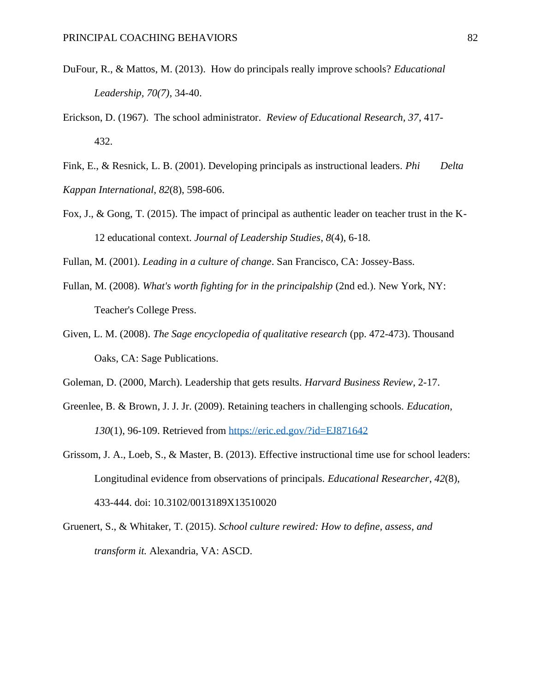- DuFour, R., & Mattos, M. (2013). How do principals really improve schools? *Educational Leadership, 70(7),* 34-40.
- Erickson, D. (1967). The school administrator. *Review of Educational Research, 37*, 417- 432.

Fink, E., & Resnick, L. B. (2001). Developing principals as instructional leaders. *Phi Delta Kappan International*, *82*(8), 598-606.

Fox, J., & Gong, T. (2015). The impact of principal as authentic leader on teacher trust in the K-12 educational context. *Journal of Leadership Studies*, *8*(4), 6-18.

Fullan, M. (2001). *Leading in a culture of change*. San Francisco, CA: Jossey-Bass.

- Fullan, M. (2008). *What's worth fighting for in the principalship* (2nd ed.). New York, NY: Teacher's College Press.
- Given, L. M. (2008). *The Sage encyclopedia of qualitative research* (pp. 472-473). Thousand Oaks, CA: Sage Publications.
- Goleman, D. (2000, March). Leadership that gets results. *Harvard Business Review*, 2-17.
- Greenlee, B. & Brown, J. J. Jr. (2009). Retaining teachers in challenging schools. *Education, 130*(1), 96-109. Retrieved from <https://eric.ed.gov/?id=EJ871642>
- Grissom, J. A., Loeb, S., & Master, B. (2013). Effective instructional time use for school leaders: Longitudinal evidence from observations of principals. *Educational Researcher*, *42*(8), 433-444. doi: 10.3102/0013189X13510020
- Gruenert, S., & Whitaker, T. (2015). *School culture rewired: How to define, assess, and transform it.* Alexandria, VA: ASCD.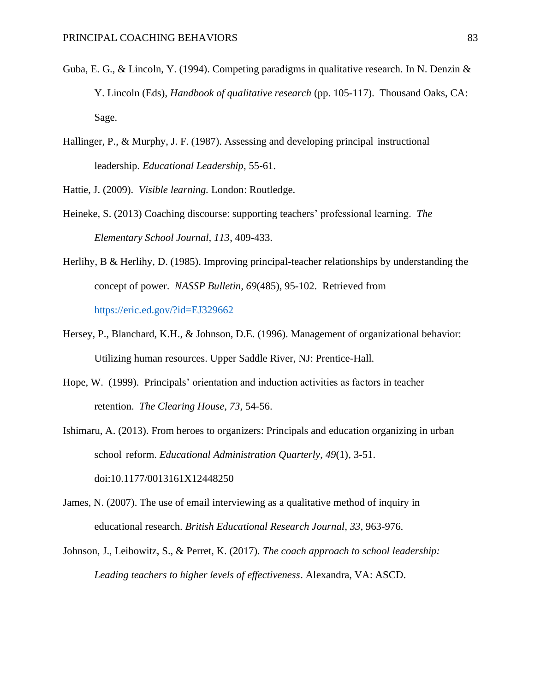- Guba, E. G., & Lincoln, Y. (1994). Competing paradigms in qualitative research. In N. Denzin  $\&$ Y. Lincoln (Eds), *Handbook of qualitative research* (pp. 105-117). Thousand Oaks, CA: Sage.
- Hallinger, P., & Murphy, J. F. (1987). Assessing and developing principal instructional leadership. *Educational Leadership*, 55-61.

Hattie, J. (2009). *Visible learning.* London: Routledge.

- Heineke, S. (2013) Coaching discourse: supporting teachers' professional learning. *The Elementary School Journal, 113*, 409-433.
- Herlihy, B & Herlihy, D. (1985). Improving principal-teacher relationships by understanding the concept of power. *NASSP Bulletin, 69*(485), 95-102. Retrieved from <https://eric.ed.gov/?id=EJ329662>
- Hersey, P., Blanchard, K.H., & Johnson, D.E. (1996). Management of organizational behavior: Utilizing human resources. Upper Saddle River, NJ: Prentice-Hall.
- Hope, W. (1999). Principals' orientation and induction activities as factors in teacher retention. *The Clearing House, 73*, 54-56.
- Ishimaru, A. (2013). From heroes to organizers: Principals and education organizing in urban school reform. *Educational Administration Quarterly*, *49*(1), 3-51. doi:10.1177/0013161X12448250
- James, N. (2007). The use of email interviewing as a qualitative method of inquiry in educational research. *British Educational Research Journal*, *33*, 963-976.
- Johnson, J., Leibowitz, S., & Perret, K. (2017). *The coach approach to school leadership: Leading teachers to higher levels of effectiveness*. Alexandra, VA: ASCD.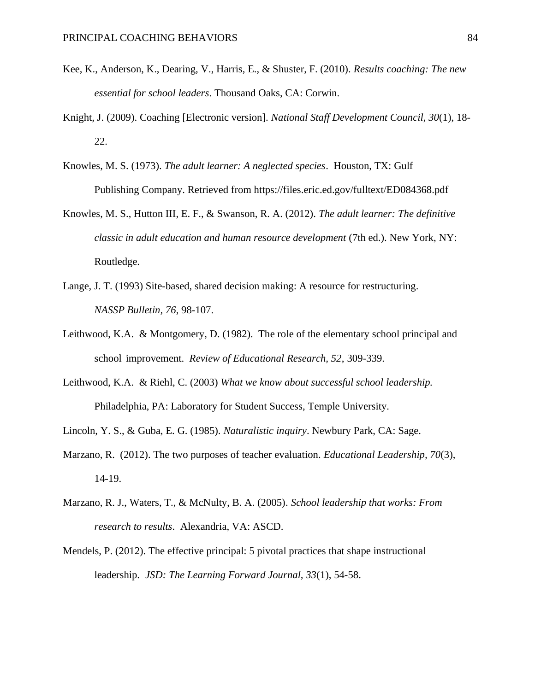- Kee, K., Anderson, K., Dearing, V., Harris, E., & Shuster, F. (2010). *Results coaching: The new essential for school leaders*. Thousand Oaks, CA: Corwin.
- Knight, J. (2009). Coaching [Electronic version]. *National Staff Development Council*, *30*(1), 18- 22.
- Knowles, M. S. (1973). *The adult learner: A neglected species*. Houston, TX: Gulf Publishing Company. Retrieved from https://files.eric.ed.gov/fulltext/ED084368.pdf
- Knowles, M. S., Hutton III, E. F., & Swanson, R. A. (2012). *The adult learner: The definitive classic in adult education and human resource development* (7th ed.). New York, NY: Routledge.
- Lange, J. T. (1993) Site-based, shared decision making: A resource for restructuring. *NASSP Bulletin, 76*, 98-107.
- Leithwood, K.A. & Montgomery, D. (1982). The role of the elementary school principal and school improvement. *Review of Educational Research, 52*, 309-339.
- Leithwood, K.A. & Riehl, C. (2003) *What we know about successful school leadership.* Philadelphia, PA: Laboratory for Student Success, Temple University*.*
- Lincoln, Y. S., & Guba, E. G. (1985). *Naturalistic inquiry*. Newbury Park, CA: Sage.
- Marzano, R. (2012). The two purposes of teacher evaluation. *Educational Leadership, 70*(3), 14-19.
- Marzano, R. J., Waters, T., & McNulty, B. A. (2005). *School leadership that works: From research to results*. Alexandria, VA: ASCD.
- Mendels, P. (2012). The effective principal: 5 pivotal practices that shape instructional leadership. *JSD: The Learning Forward Journal, 33*(1), 54-58.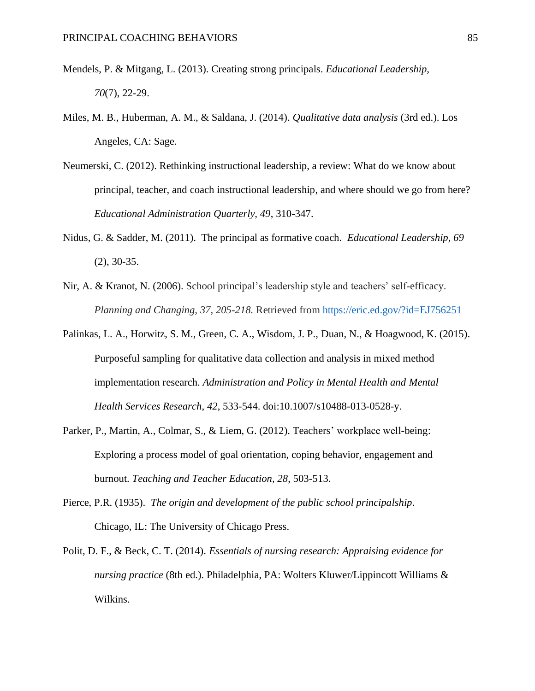- Mendels, P. & Mitgang, L. (2013). Creating strong principals. *Educational Leadership, 70*(7), 22-29.
- Miles, M. B., Huberman, A. M., & Saldana, J. (2014). *Qualitative data analysis* (3rd ed.). Los Angeles, CA: Sage.
- Neumerski, C. (2012). Rethinking instructional leadership, a review: What do we know about principal, teacher, and coach instructional leadership, and where should we go from here? *Educational Administration Quarterly, 49*, 310-347.
- Nidus, G. & Sadder, M. (2011). The principal as formative coach. *Educational Leadership, 69* (2), 30-35.
- Nir, A. & Kranot, N. (2006). School principal's leadership style and teachers' self-efficacy. *Planning and Changing, 37, 205-218.* Retrieved from<https://eric.ed.gov/?id=EJ756251>
- Palinkas, L. A., Horwitz, S. M., Green, C. A., Wisdom, J. P., Duan, N., & Hoagwood, K. (2015). Purposeful sampling for qualitative data collection and analysis in mixed method implementation research. *Administration and Policy in Mental Health and Mental Health Services Research*, *42*, 533-544. doi:10.1007/s10488-013-0528-y.
- Parker, P., Martin, A., Colmar, S., & Liem, G. (2012). Teachers' workplace well-being: Exploring a process model of goal orientation, coping behavior, engagement and burnout. *Teaching and Teacher Education, 28*, 503-513.
- Pierce, P.R. (1935). *The origin and development of the public school principalship*. Chicago, IL: The University of Chicago Press.
- Polit, D. F., & Beck, C. T. (2014). *Essentials of nursing research: Appraising evidence for nursing practice* (8th ed.). Philadelphia, PA: Wolters Kluwer/Lippincott Williams & Wilkins.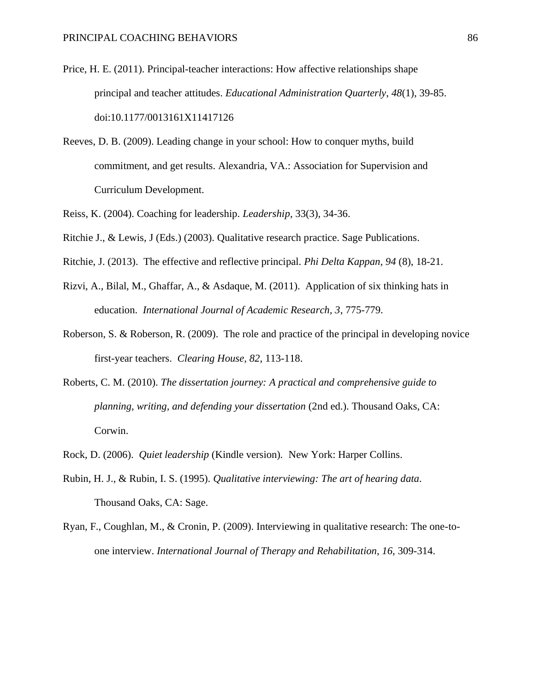- Price, H. E. (2011). Principal-teacher interactions: How affective relationships shape principal and teacher attitudes. *Educational Administration Quarterly*, *48*(1), 39-85. doi:10.1177/0013161X11417126
- Reeves, D. B. (2009). Leading change in your school: How to conquer myths, build commitment, and get results. Alexandria, VA.: Association for Supervision and Curriculum Development.
- Reiss, K. (2004). Coaching for leadership. *Leadership*, 33(3), 34-36.
- Ritchie J., & Lewis, J (Eds.) (2003). Qualitative research practice. Sage Publications.
- Ritchie, J. (2013). The effective and reflective principal. *Phi Delta Kappan, 94* (8), 18-21.
- Rizvi, A., Bilal, M., Ghaffar, A., & Asdaque, M. (2011). Application of six thinking hats in education. *International Journal of Academic Research, 3*, 775-779.
- Roberson, S. & Roberson, R. (2009). The role and practice of the principal in developing novice first-year teachers. *Clearing House, 82*, 113-118.
- Roberts, C. M. (2010). *The dissertation journey: A practical and comprehensive guide to planning, writing, and defending your dissertation* (2nd ed.). Thousand Oaks, CA: Corwin.
- Rock, D. (2006). *Quiet leadership* (Kindle version)*.* New York: Harper Collins.
- Rubin, H. J., & Rubin, I. S. (1995). *Qualitative interviewing: The art of hearing data*. Thousand Oaks, CA: Sage.
- Ryan, F., Coughlan, M., & Cronin, P. (2009). Interviewing in qualitative research: The one-toone interview. *International Journal of Therapy and Rehabilitation*, *16*, 309-314.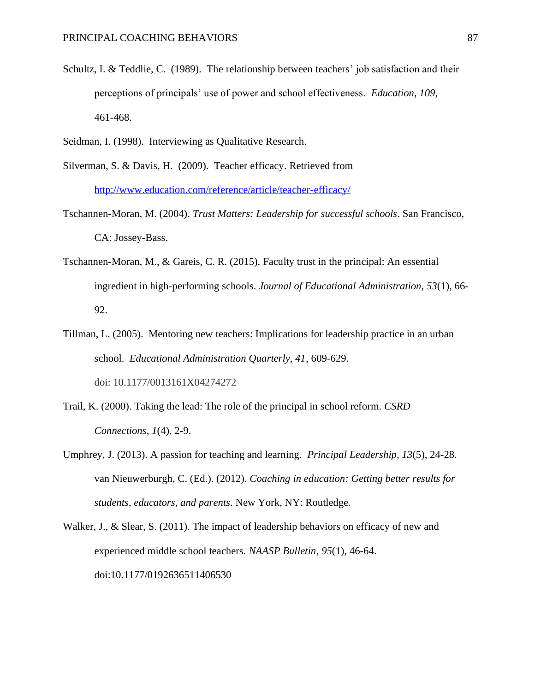- Schultz, I. & Teddlie, C. (1989). The relationship between teachers' job satisfaction and their perceptions of principals' use of power and school effectiveness. *Education, 109*, 461-468.
- Seidman, I. (1998). Interviewing as Qualitative Research.
- Silverman, S. & Davis, H. (2009). Teacher efficacy. Retrieved from <http://www.education.com/reference/article/teacher-efficacy/>
- Tschannen-Moran, M. (2004). *Trust Matters: Leadership for successful schools*. San Francisco, CA: Jossey-Bass.
- Tschannen-Moran, M., & Gareis, C. R. (2015). Faculty trust in the principal: An essential ingredient in high-performing schools. *Journal of Educational Administration*, *53*(1), 66- 92.
- Tillman, L. (2005). Mentoring new teachers: Implications for leadership practice in an urban school. *Educational Administration Quarterly, 41*, 609-629. doi: 10.1177/0013161X04274272
- Trail, K. (2000). Taking the lead: The role of the principal in school reform. *CSRD Connections*, *1*(4), 2-9.
- Umphrey, J. (2013). A passion for teaching and learning. *Principal Leadership, 13*(5), 24-28. van Nieuwerburgh, C. (Ed.). (2012). *Coaching in education: Getting better results for students, educators, and parents*. New York, NY: Routledge.
- Walker, J., & Slear, S. (2011). The impact of leadership behaviors on efficacy of new and experienced middle school teachers. *NAASP Bulletin*, *95*(1), 46-64. doi:10.1177/0192636511406530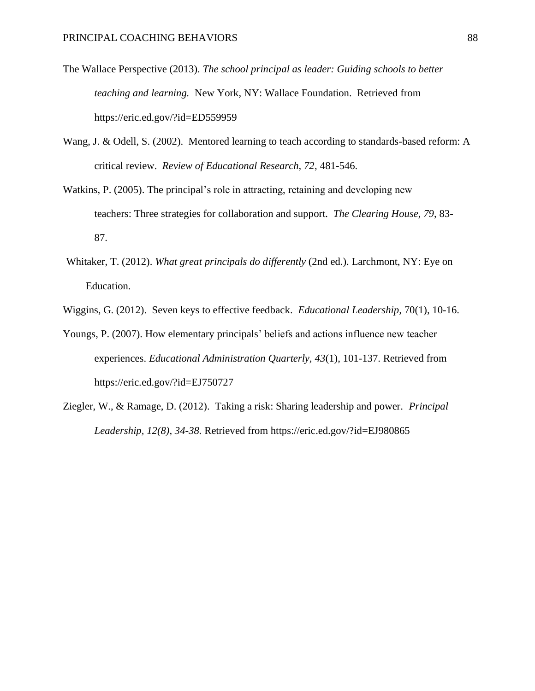- The Wallace Perspective (2013). *The school principal as leader: Guiding schools to better teaching and learning.* New York, NY: Wallace Foundation. Retrieved from https://eric.ed.gov/?id=ED559959
- Wang, J. & Odell, S. (2002). Mentored learning to teach according to standards-based reform: A critical review. *Review of Educational Research, 72*, 481-546.
- Watkins, P. (2005). The principal's role in attracting, retaining and developing new teachers: Three strategies for collaboration and support. *The Clearing House, 79*, 83- 87.
- Whitaker, T. (2012). *What great principals do differently* (2nd ed.). Larchmont, NY: Eye on Education.
- Wiggins, G. (2012). Seven keys to effective feedback. *Educational Leadership,* 70(1), 10-16.
- Youngs, P. (2007). How elementary principals' beliefs and actions influence new teacher experiences. *Educational Administration Quarterly, 43*(1), 101-137. Retrieved from https://eric.ed.gov/?id=EJ750727
- Ziegler, W., & Ramage, D. (2012). Taking a risk: Sharing leadership and power. *Principal Leadership, 12(8), 34-38.* Retrieved from https://eric.ed.gov/?id=EJ980865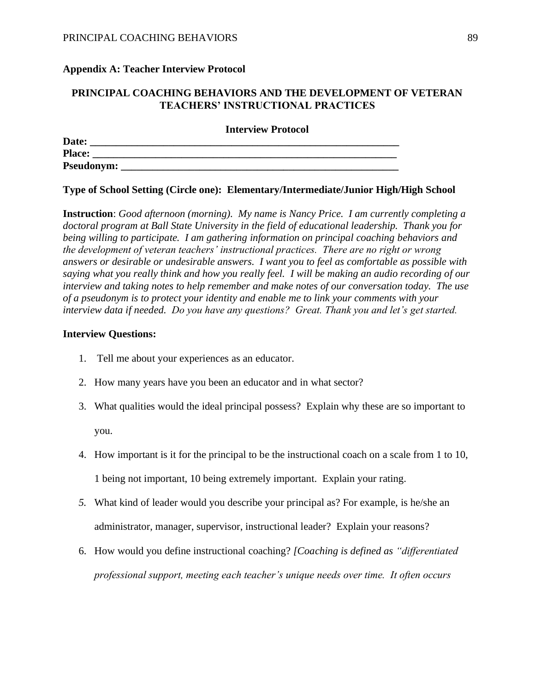#### **Appendix A: Teacher Interview Protocol**

## **PRINCIPAL COACHING BEHAVIORS AND THE DEVELOPMENT OF VETERAN TEACHERS' INSTRUCTIONAL PRACTICES**

**Interview Protocol**

| Date:             |  |
|-------------------|--|
| <b>Place:</b>     |  |
| <b>Pseudonym:</b> |  |

#### **Type of School Setting (Circle one): Elementary/Intermediate/Junior High/High School**

**Instruction**: *Good afternoon (morning). My name is Nancy Price. I am currently completing a doctoral program at Ball State University in the field of educational leadership. Thank you for being willing to participate. I am gathering information on principal coaching behaviors and the development of veteran teachers' instructional practices. There are no right or wrong answers or desirable or undesirable answers. I want you to feel as comfortable as possible with saying what you really think and how you really feel. I will be making an audio recording of our interview and taking notes to help remember and make notes of our conversation today. The use of a pseudonym is to protect your identity and enable me to link your comments with your interview data if needed. Do you have any questions? Great. Thank you and let's get started.* 

#### **Interview Questions:**

- 1. Tell me about your experiences as an educator.
- 2. How many years have you been an educator and in what sector?
- 3. What qualities would the ideal principal possess? Explain why these are so important to you.
- 4. How important is it for the principal to be the instructional coach on a scale from 1 to 10, 1 being not important, 10 being extremely important. Explain your rating.
- *5.* What kind of leader would you describe your principal as? For example, is he/she an administrator, manager, supervisor, instructional leader? Explain your reasons?
- 6. How would you define instructional coaching? *[Coaching is defined as "differentiated professional support, meeting each teacher's unique needs over time. It often occurs*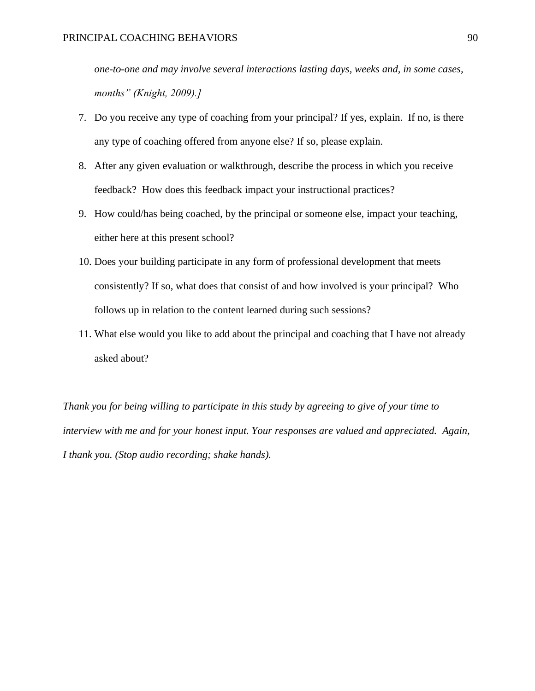*one-to-one and may involve several interactions lasting days, weeks and, in some cases, months" (Knight, 2009).]*

- 7. Do you receive any type of coaching from your principal? If yes, explain. If no, is there any type of coaching offered from anyone else? If so, please explain.
- 8. After any given evaluation or walkthrough, describe the process in which you receive feedback? How does this feedback impact your instructional practices?
- 9. How could/has being coached, by the principal or someone else, impact your teaching, either here at this present school?
- 10. Does your building participate in any form of professional development that meets consistently? If so, what does that consist of and how involved is your principal? Who follows up in relation to the content learned during such sessions?
- 11. What else would you like to add about the principal and coaching that I have not already asked about?

*Thank you for being willing to participate in this study by agreeing to give of your time to interview with me and for your honest input. Your responses are valued and appreciated. Again, I thank you. (Stop audio recording; shake hands).*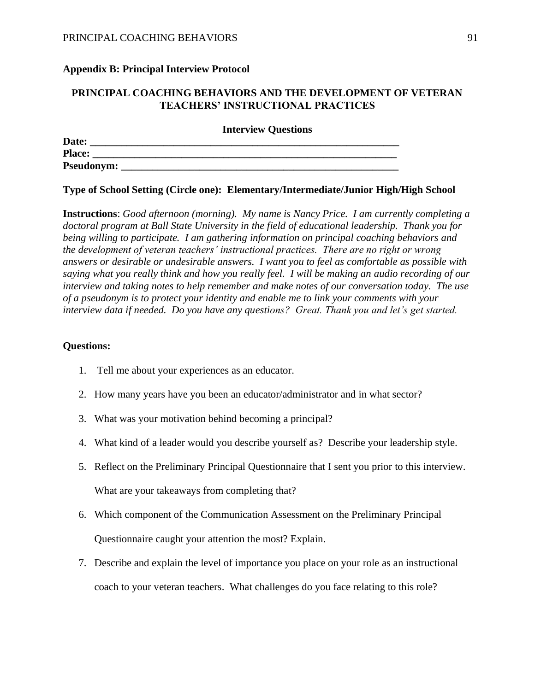#### **Appendix B: Principal Interview Protocol**

## **PRINCIPAL COACHING BEHAVIORS AND THE DEVELOPMENT OF VETERAN TEACHERS' INSTRUCTIONAL PRACTICES**

**Interview Questions**

| Date:             |  |
|-------------------|--|
| <b>Place:</b>     |  |
| <b>Pseudonym:</b> |  |

#### **Type of School Setting (Circle one): Elementary/Intermediate/Junior High/High School**

**Instructions**: *Good afternoon (morning). My name is Nancy Price. I am currently completing a doctoral program at Ball State University in the field of educational leadership. Thank you for being willing to participate. I am gathering information on principal coaching behaviors and the development of veteran teachers' instructional practices. There are no right or wrong answers or desirable or undesirable answers. I want you to feel as comfortable as possible with saying what you really think and how you really feel. I will be making an audio recording of our interview and taking notes to help remember and make notes of our conversation today. The use of a pseudonym is to protect your identity and enable me to link your comments with your interview data if needed. Do you have any questions? Great. Thank you and let's get started.*

#### **Questions:**

- 1. Tell me about your experiences as an educator.
- 2. How many years have you been an educator/administrator and in what sector?
- 3. What was your motivation behind becoming a principal?
- 4. What kind of a leader would you describe yourself as? Describe your leadership style.
- 5. Reflect on the Preliminary Principal Questionnaire that I sent you prior to this interview. What are your takeaways from completing that?
- 6. Which component of the Communication Assessment on the Preliminary Principal Questionnaire caught your attention the most? Explain.
- 7. Describe and explain the level of importance you place on your role as an instructional coach to your veteran teachers. What challenges do you face relating to this role?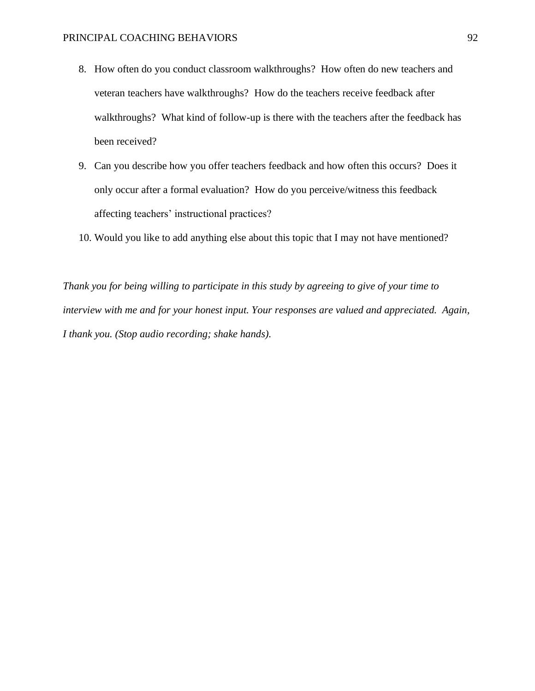- 8. How often do you conduct classroom walkthroughs? How often do new teachers and veteran teachers have walkthroughs? How do the teachers receive feedback after walkthroughs? What kind of follow-up is there with the teachers after the feedback has been received?
- 9. Can you describe how you offer teachers feedback and how often this occurs? Does it only occur after a formal evaluation? How do you perceive/witness this feedback affecting teachers' instructional practices?
- 10. Would you like to add anything else about this topic that I may not have mentioned?

*Thank you for being willing to participate in this study by agreeing to give of your time to interview with me and for your honest input. Your responses are valued and appreciated. Again, I thank you. (Stop audio recording; shake hands).*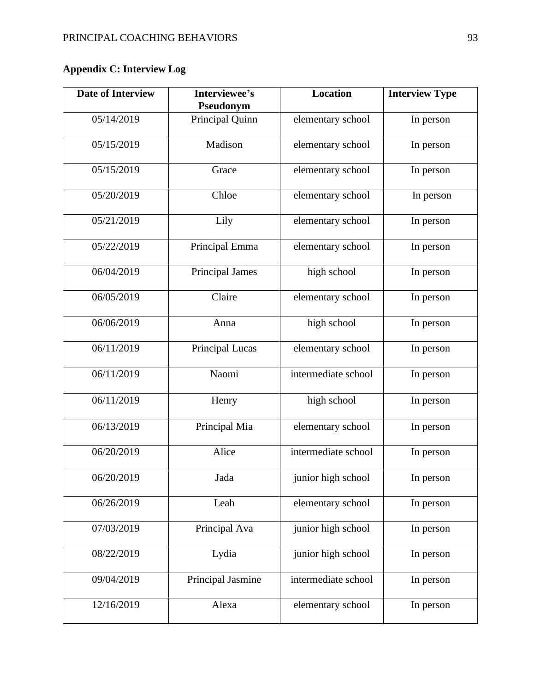# **Appendix C: Interview Log**

| <b>Date of Interview</b> | Interviewee's<br>Pseudonym | <b>Location</b>     | <b>Interview Type</b> |  |
|--------------------------|----------------------------|---------------------|-----------------------|--|
| 05/14/2019               | Principal Quinn            | elementary school   | In person             |  |
| 05/15/2019               | Madison                    | elementary school   | In person             |  |
| 05/15/2019               | Grace                      | elementary school   | In person             |  |
| 05/20/2019               | Chloe                      | elementary school   | In person             |  |
| 05/21/2019               | Lily                       | elementary school   | In person             |  |
| 05/22/2019               | Principal Emma             | elementary school   | In person             |  |
| 06/04/2019               | Principal James            | high school         | In person             |  |
| 06/05/2019               | Claire                     | elementary school   | In person             |  |
| 06/06/2019               | Anna                       | high school         | In person             |  |
| 06/11/2019               | Principal Lucas            | elementary school   | In person             |  |
| 06/11/2019               | Naomi                      | intermediate school | In person             |  |
| 06/11/2019               | Henry                      | high school         | In person             |  |
| 06/13/2019               | Principal Mia              | elementary school   | In person             |  |
| 06/20/2019               | Alice                      | intermediate school | In person             |  |
| 06/20/2019               | Jada                       | junior high school  | In person             |  |
| 06/26/2019               | Leah                       | elementary school   | In person             |  |
| 07/03/2019               | Principal Ava              | junior high school  | In person             |  |
| 08/22/2019               | Lydia                      | junior high school  | In person             |  |
| 09/04/2019               | Principal Jasmine          | intermediate school | In person             |  |
| 12/16/2019               | Alexa                      | elementary school   | In person             |  |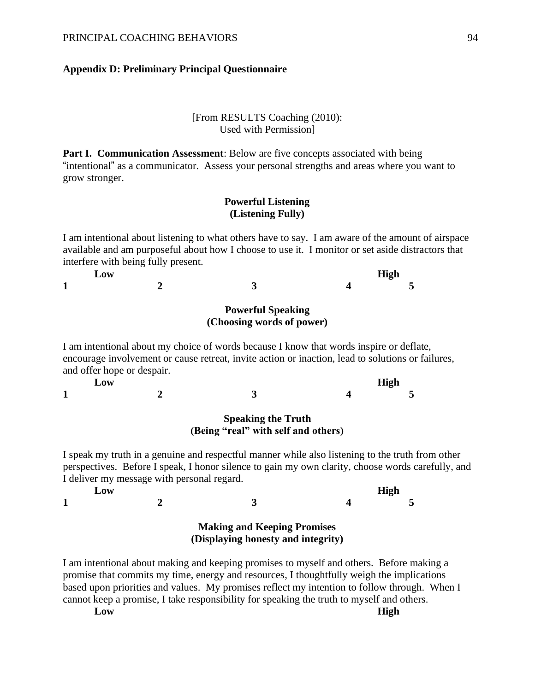#### **Appendix D: Preliminary Principal Questionnaire**

#### [From RESULTS Coaching (2010): Used with Permission]

**Part I. Communication Assessment:** Below are five concepts associated with being "intentional" as a communicator. Assess your personal strengths and areas where you want to grow stronger.

### **Powerful Listening (Listening Fully)**

I am intentional about listening to what others have to say. I am aware of the amount of airspace available and am purposeful about how I choose to use it. I monitor or set aside distractors that interfere with being fully present.

| Low               |   | <b>High</b> |  |
|-------------------|---|-------------|--|
| 1<br>$\mathbf{r}$ | — |             |  |

#### **Powerful Speaking (Choosing words of power)**

I am intentional about my choice of words because I know that words inspire or deflate, encourage involvement or cause retreat, invite action or inaction, lead to solutions or failures, and offer hope or despair.

**Low High 1 2 3 4 5**

#### **Speaking the Truth (Being "real" with self and others)**

I speak my truth in a genuine and respectful manner while also listening to the truth from other perspectives. Before I speak, I honor silence to gain my own clarity, choose words carefully, and I deliver my message with personal regard.

| LOW               |   |                       | <b>High</b> |
|-------------------|---|-----------------------|-------------|
| м<br>$\mathbf{r}$ | — | $\tilde{\phantom{a}}$ |             |

### **Making and Keeping Promises (Displaying honesty and integrity)**

I am intentional about making and keeping promises to myself and others. Before making a promise that commits my time, energy and resources, I thoughtfully weigh the implications based upon priorities and values. My promises reflect my intention to follow through. When I cannot keep a promise, I take responsibility for speaking the truth to myself and others.

**Low High**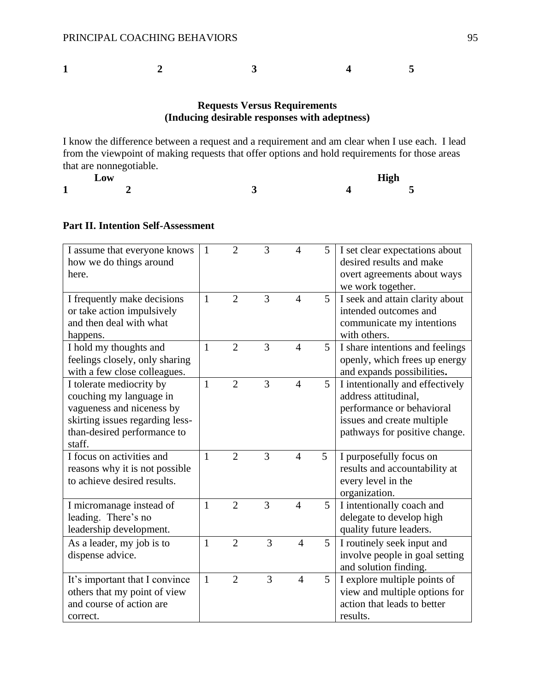**1 2 3 4 5**

## **Requests Versus Requirements (Inducing desirable responses with adeptness)**

I know the difference between a request and a requirement and am clear when I use each. I lead from the viewpoint of making requests that offer options and hold requirements for those areas that are nonnegotiable.

|                               | $L$ ow |  | <b>High</b>              |
|-------------------------------|--------|--|--------------------------|
| м<br>$\overline{\phantom{a}}$ |        |  | $\overline{\phantom{0}}$ |

## **Part II. Intention Self-Assessment**

| I assume that everyone knows<br>how we do things around<br>here.                                                                                             | $\mathbf{1}$ | $\overline{2}$ | 3 | $\overline{4}$ | 5 | I set clear expectations about<br>desired results and make<br>overt agreements about ways<br>we work together.                                      |
|--------------------------------------------------------------------------------------------------------------------------------------------------------------|--------------|----------------|---|----------------|---|-----------------------------------------------------------------------------------------------------------------------------------------------------|
| I frequently make decisions<br>or take action impulsively<br>and then deal with what<br>happens.                                                             | $\mathbf{1}$ | $\overline{2}$ | 3 | $\overline{4}$ | 5 | I seek and attain clarity about<br>intended outcomes and<br>communicate my intentions<br>with others.                                               |
| I hold my thoughts and<br>feelings closely, only sharing<br>with a few close colleagues.                                                                     | $\mathbf{1}$ | $\overline{2}$ | 3 | $\overline{4}$ | 5 | I share intentions and feelings<br>openly, which frees up energy<br>and expands possibilities.                                                      |
| I tolerate mediocrity by<br>couching my language in<br>vagueness and niceness by<br>skirting issues regarding less-<br>than-desired performance to<br>staff. | $\mathbf{1}$ | $\overline{2}$ | 3 | $\overline{4}$ | 5 | I intentionally and effectively<br>address attitudinal,<br>performance or behavioral<br>issues and create multiple<br>pathways for positive change. |
| I focus on activities and<br>reasons why it is not possible<br>to achieve desired results.                                                                   | $\mathbf{1}$ | $\overline{2}$ | 3 | $\overline{4}$ | 5 | I purposefully focus on<br>results and accountability at<br>every level in the<br>organization.                                                     |
| I micromanage instead of<br>leading. There's no<br>leadership development.                                                                                   | $\mathbf{1}$ | $\overline{2}$ | 3 | $\overline{4}$ | 5 | I intentionally coach and<br>delegate to develop high<br>quality future leaders.                                                                    |
| As a leader, my job is to<br>dispense advice.                                                                                                                | $\mathbf{1}$ | $\overline{2}$ | 3 | $\overline{4}$ | 5 | I routinely seek input and<br>involve people in goal setting<br>and solution finding.                                                               |
| It's important that I convince<br>others that my point of view<br>and course of action are<br>correct.                                                       | $\mathbf{1}$ | $\overline{2}$ | 3 | $\overline{4}$ | 5 | I explore multiple points of<br>view and multiple options for<br>action that leads to better<br>results.                                            |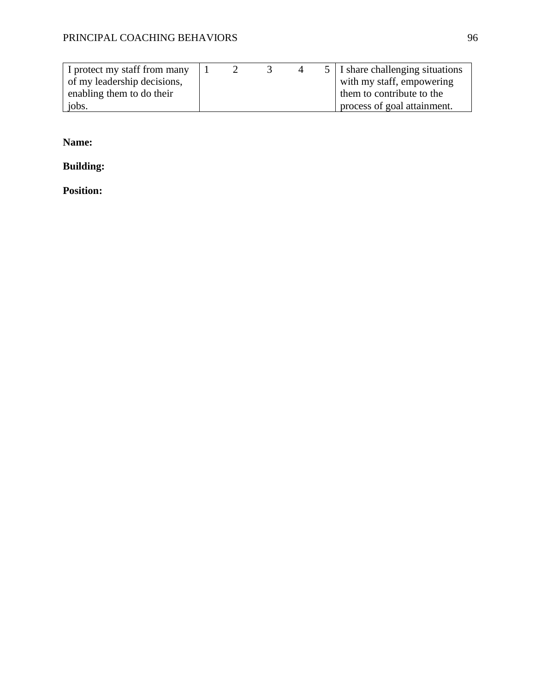| I protect my staff from many |  |  | 5   I share challenging situations |
|------------------------------|--|--|------------------------------------|
| of my leadership decisions,  |  |  | with my staff, empowering          |
| enabling them to do their    |  |  | them to contribute to the          |
| jobs.                        |  |  | process of goal attainment.        |

**Name:**

**Building:** 

**Position:**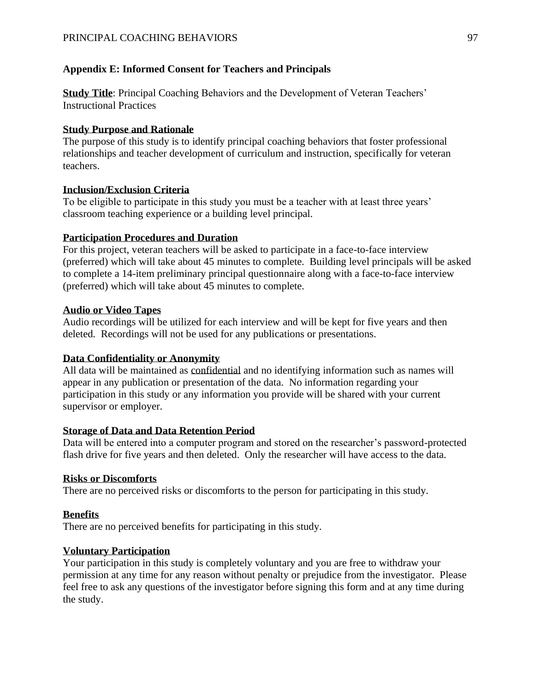## **Appendix E: Informed Consent for Teachers and Principals**

**Study Title**: Principal Coaching Behaviors and the Development of Veteran Teachers' Instructional Practices

## **Study Purpose and Rationale**

The purpose of this study is to identify principal coaching behaviors that foster professional relationships and teacher development of curriculum and instruction, specifically for veteran teachers.

## **Inclusion/Exclusion Criteria**

To be eligible to participate in this study you must be a teacher with at least three years' classroom teaching experience or a building level principal.

## **Participation Procedures and Duration**

For this project, veteran teachers will be asked to participate in a face-to-face interview (preferred) which will take about 45 minutes to complete. Building level principals will be asked to complete a 14-item preliminary principal questionnaire along with a face-to-face interview (preferred) which will take about 45 minutes to complete.

## **Audio or Video Tapes**

Audio recordings will be utilized for each interview and will be kept for five years and then deleted*.* Recordings will not be used for any publications or presentations.

## **Data Confidentiality or Anonymity**

All data will be maintained as confidential and no identifying information such as names will appear in any publication or presentation of the data. No information regarding your participation in this study or any information you provide will be shared with your current supervisor or employer.

## **Storage of Data and Data Retention Period**

Data will be entered into a computer program and stored on the researcher's password-protected flash drive for five years and then deleted. Only the researcher will have access to the data.

## **Risks or Discomforts**

There are no perceived risks or discomforts to the person for participating in this study.

## **Benefits**

There are no perceived benefits for participating in this study.

## **Voluntary Participation**

Your participation in this study is completely voluntary and you are free to withdraw your permission at any time for any reason without penalty or prejudice from the investigator. Please feel free to ask any questions of the investigator before signing this form and at any time during the study.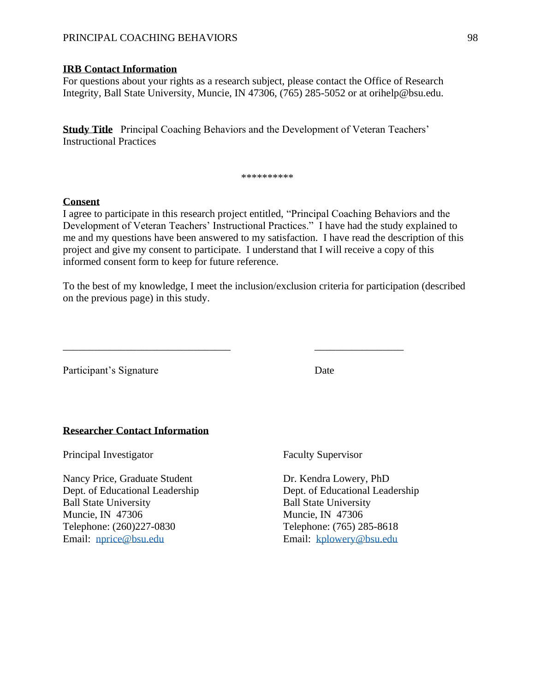### PRINCIPAL COACHING BEHAVIORS 98

#### **IRB Contact Information**

For questions about your rights as a research subject, please contact the Office of Research Integrity, Ball State University, Muncie, IN 47306, (765) 285-5052 or at orihelp@bsu.edu.

**Study Title** Principal Coaching Behaviors and the Development of Veteran Teachers' Instructional Practices

#### \*\*\*\*\*\*\*\*\*

#### **Consent**

I agree to participate in this research project entitled, "Principal Coaching Behaviors and the Development of Veteran Teachers' Instructional Practices." I have had the study explained to me and my questions have been answered to my satisfaction. I have read the description of this project and give my consent to participate. I understand that I will receive a copy of this informed consent form to keep for future reference.

To the best of my knowledge, I meet the inclusion/exclusion criteria for participation (described on the previous page) in this study.

\_\_\_\_\_\_\_\_\_\_\_\_\_\_\_\_\_\_\_\_\_\_\_\_\_\_\_\_\_\_\_\_ \_\_\_\_\_\_\_\_\_\_\_\_\_\_\_\_\_

Participant's Signature Date

#### **Researcher Contact Information**

Principal Investigator Faculty Supervisor

Nancy Price, Graduate Student Dr. Kendra Lowery, PhD Dept. of Educational Leadership Dept. of Educational Leadership Ball State University Ball State University Muncie, IN 47306 Muncie, IN 47306 Telephone: (260)227-0830 Telephone: (765) 285-8618 Email: [nprice@bsu.edu](mailto:nprice@bsu.edu) Email: [kplowery@bsu.edu](mailto:kplowery@bsu.edu)